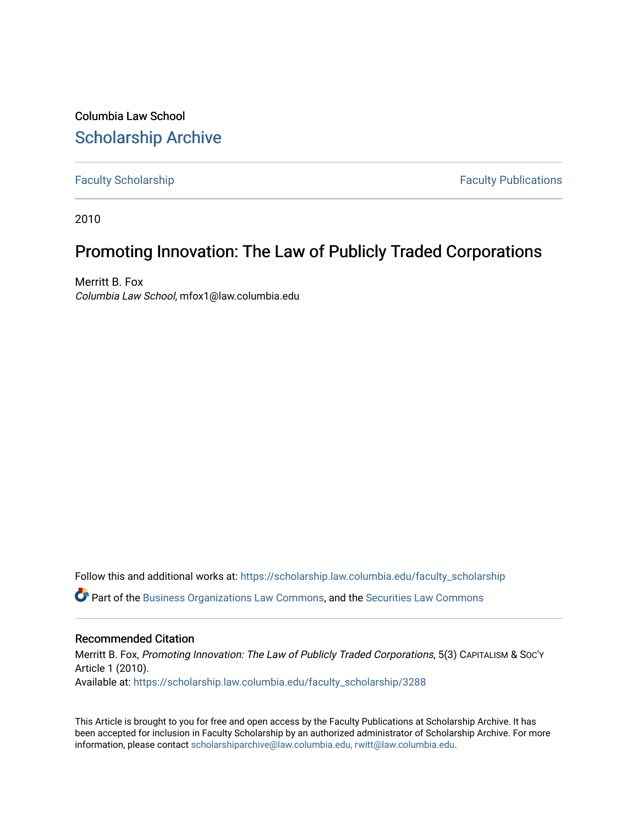Columbia Law School [Scholarship Archive](https://scholarship.law.columbia.edu/) 

[Faculty Scholarship](https://scholarship.law.columbia.edu/faculty_scholarship) **Faculty Scholarship Faculty Publications** 

2010

# Promoting Innovation: The Law of Publicly Traded Corporations

Merritt B. Fox Columbia Law School, mfox1@law.columbia.edu

Follow this and additional works at: [https://scholarship.law.columbia.edu/faculty\\_scholarship](https://scholarship.law.columbia.edu/faculty_scholarship?utm_source=scholarship.law.columbia.edu%2Ffaculty_scholarship%2F3288&utm_medium=PDF&utm_campaign=PDFCoverPages) Part of the [Business Organizations Law Commons](http://network.bepress.com/hgg/discipline/900?utm_source=scholarship.law.columbia.edu%2Ffaculty_scholarship%2F3288&utm_medium=PDF&utm_campaign=PDFCoverPages), and the [Securities Law Commons](http://network.bepress.com/hgg/discipline/619?utm_source=scholarship.law.columbia.edu%2Ffaculty_scholarship%2F3288&utm_medium=PDF&utm_campaign=PDFCoverPages) 

# Recommended Citation

Merritt B. Fox, Promoting Innovation: The Law of Publicly Traded Corporations, 5(3) CAPITALISM & SOC'Y Article 1 (2010). Available at: [https://scholarship.law.columbia.edu/faculty\\_scholarship/3288](https://scholarship.law.columbia.edu/faculty_scholarship/3288?utm_source=scholarship.law.columbia.edu%2Ffaculty_scholarship%2F3288&utm_medium=PDF&utm_campaign=PDFCoverPages)

This Article is brought to you for free and open access by the Faculty Publications at Scholarship Archive. It has been accepted for inclusion in Faculty Scholarship by an authorized administrator of Scholarship Archive. For more information, please contact [scholarshiparchive@law.columbia.edu, rwitt@law.columbia.edu](mailto:scholarshiparchive@law.columbia.edu,%20rwitt@law.columbia.edu).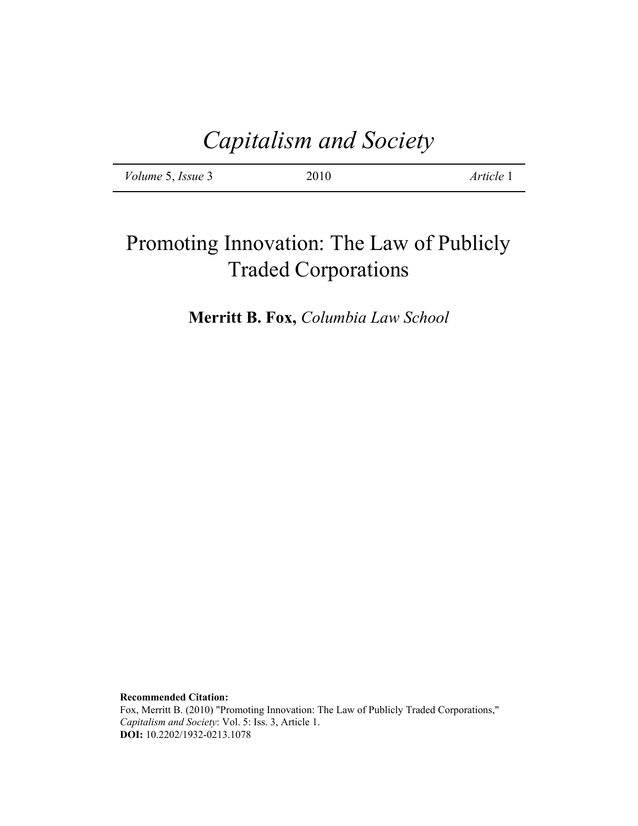| <i>Volume</i> 5, <i>Issue</i> 3 | 2010 | Article 1 |
|---------------------------------|------|-----------|
|                                 |      |           |

**Merritt B. Fox,** *Columbia Law School*

**Recommended Citation:** Fox, Merritt B. (2010) "Promoting Innovation: The Law of Publicly Traded Corporations," *Capitalism and Society*: Vol. 5: Iss. 3, Article 1. **DOI:** 10.2202/1932-0213.1078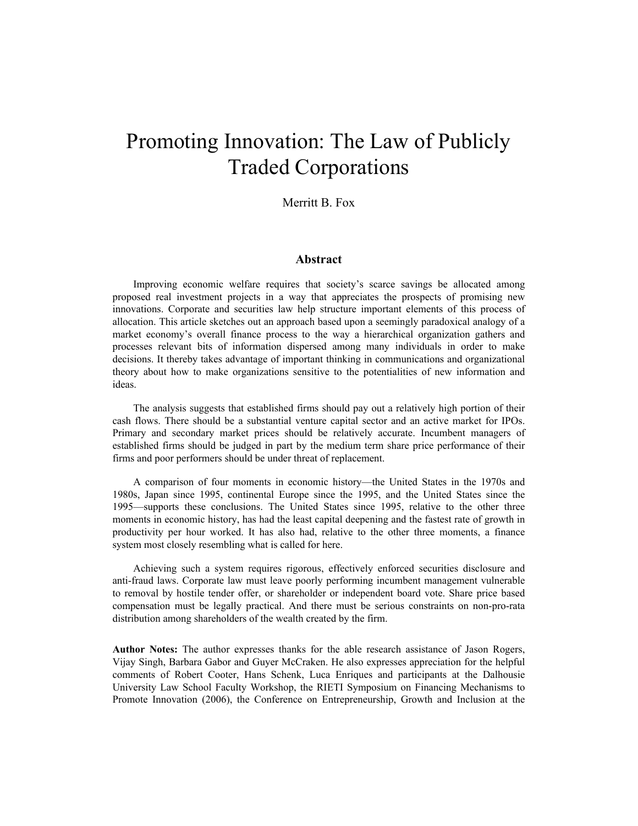Merritt B. Fox

#### **Abstract**

Improving economic welfare requires that society's scarce savings be allocated among proposed real investment projects in a way that appreciates the prospects of promising new innovations. Corporate and securities law help structure important elements of this process of allocation. This article sketches out an approach based upon a seemingly paradoxical analogy of a market economy's overall finance process to the way a hierarchical organization gathers and processes relevant bits of information dispersed among many individuals in order to make decisions. It thereby takes advantage of important thinking in communications and organizational theory about how to make organizations sensitive to the potentialities of new information and ideas.

The analysis suggests that established firms should pay out a relatively high portion of their cash flows. There should be a substantial venture capital sector and an active market for IPOs. Primary and secondary market prices should be relatively accurate. Incumbent managers of established firms should be judged in part by the medium term share price performance of their firms and poor performers should be under threat of replacement.

A comparison of four moments in economic history—the United States in the 1970s and 1980s, Japan since 1995, continental Europe since the 1995, and the United States since the 1995—supports these conclusions. The United States since 1995, relative to the other three moments in economic history, has had the least capital deepening and the fastest rate of growth in productivity per hour worked. It has also had, relative to the other three moments, a finance system most closely resembling what is called for here.

Achieving such a system requires rigorous, effectively enforced securities disclosure and anti-fraud laws. Corporate law must leave poorly performing incumbent management vulnerable to removal by hostile tender offer, or shareholder or independent board vote. Share price based compensation must be legally practical. And there must be serious constraints on non-pro-rata distribution among shareholders of the wealth created by the firm.

**Author Notes:** The author expresses thanks for the able research assistance of Jason Rogers, Vijay Singh, Barbara Gabor and Guyer McCraken. He also expresses appreciation for the helpful comments of Robert Cooter, Hans Schenk, Luca Enriques and participants at the Dalhousie University Law School Faculty Workshop, the RIETI Symposium on Financing Mechanisms to Promote Innovation (2006), the Conference on Entrepreneurship, Growth and Inclusion at the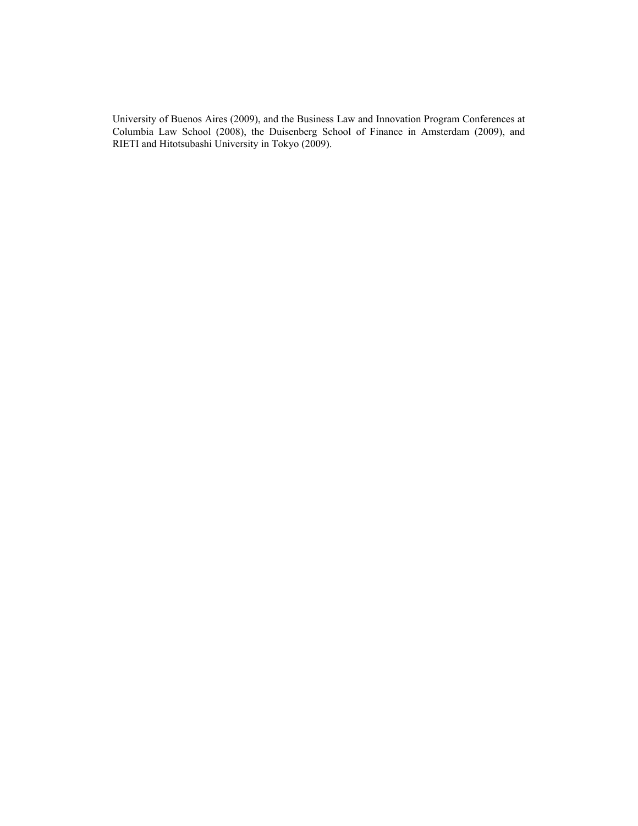University of Buenos Aires (2009), and the Business Law and Innovation Program Conferences at Columbia Law School (2008), the Duisenberg School of Finance in Amsterdam (2009), and RIETI and Hitotsubashi University in Tokyo (2009).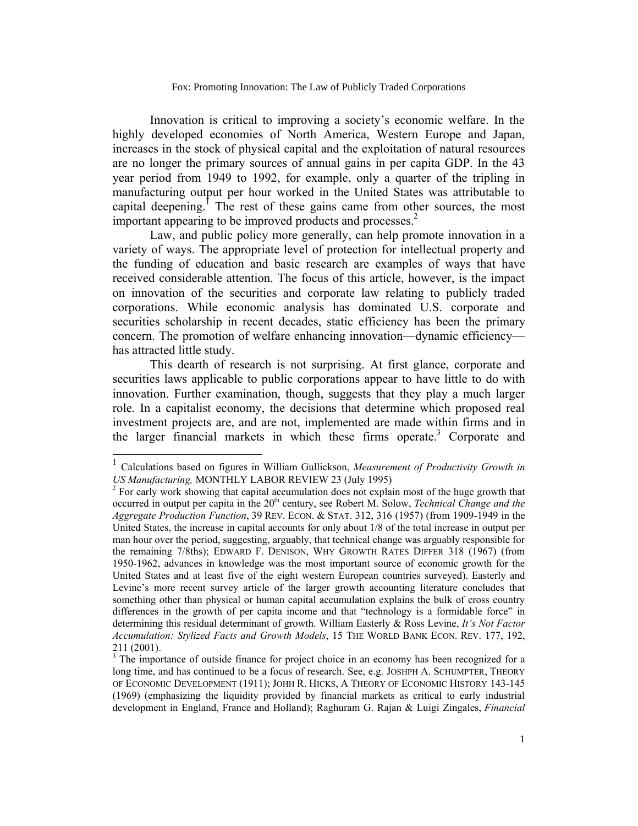Innovation is critical to improving a society's economic welfare. In the highly developed economies of North America, Western Europe and Japan, increases in the stock of physical capital and the exploitation of natural resources are no longer the primary sources of annual gains in per capita GDP. In the 43 year period from 1949 to 1992, for example, only a quarter of the tripling in manufacturing output per hour worked in the United States was attributable to capital deepening.<sup>1</sup> The rest of these gains came from other sources, the most important appearing to be improved products and processes.<sup>2</sup>

Law, and public policy more generally, can help promote innovation in a variety of ways. The appropriate level of protection for intellectual property and the funding of education and basic research are examples of ways that have received considerable attention. The focus of this article, however, is the impact on innovation of the securities and corporate law relating to publicly traded corporations. While economic analysis has dominated U.S. corporate and securities scholarship in recent decades, static efficiency has been the primary concern. The promotion of welfare enhancing innovation—dynamic efficiency has attracted little study.

This dearth of research is not surprising. At first glance, corporate and securities laws applicable to public corporations appear to have little to do with innovation. Further examination, though, suggests that they play a much larger role. In a capitalist economy, the decisions that determine which proposed real investment projects are, and are not, implemented are made within firms and in the larger financial markets in which these firms operate.<sup>3</sup> Corporate and

 $\overline{a}$ 

<sup>1</sup> Calculations based on figures in William Gullickson, *Measurement of Productivity Growth in US Manufacturing,* MONTHLY LABOR REVIEW 23 (July 1995) <sup>2</sup>

 $<sup>2</sup>$  For early work showing that capital accumulation does not explain most of the huge growth that</sup> occurred in output per capita in the 20<sup>th</sup> century, see Robert M. Solow, *Technical Change and the Aggregate Production Function*, 39 REV. ECON. & STAT. 312, 316 (1957) (from 1909-1949 in the United States, the increase in capital accounts for only about 1/8 of the total increase in output per man hour over the period, suggesting, arguably, that technical change was arguably responsible for the remaining 7/8ths); EDWARD F. DENISON, WHY GROWTH RATES DIFFER 318 (1967) (from 1950-1962, advances in knowledge was the most important source of economic growth for the United States and at least five of the eight western European countries surveyed). Easterly and Levine's more recent survey article of the larger growth accounting literature concludes that something other than physical or human capital accumulation explains the bulk of cross country differences in the growth of per capita income and that "technology is a formidable force" in determining this residual determinant of growth. William Easterly & Ross Levine, *It's Not Factor Accumulation: Stylized Facts and Growth Models*, 15 THE WORLD BANK ECON. REV. 177, 192, 211 (2001).

 $3$  The importance of outside finance for project choice in an economy has been recognized for a long time, and has continued to be a focus of research. See, e.g. JOSHPH A. SCHUMPTER, THEORY OF ECONOMIC DEVELOPMENT (1911); JOHH R. HICKS, A THEORY OF ECONOMIC HISTORY 143-145 (1969) (emphasizing the liquidity provided by financial markets as critical to early industrial development in England, France and Holland); Raghuram G. Rajan & Luigi Zingales, *Financial*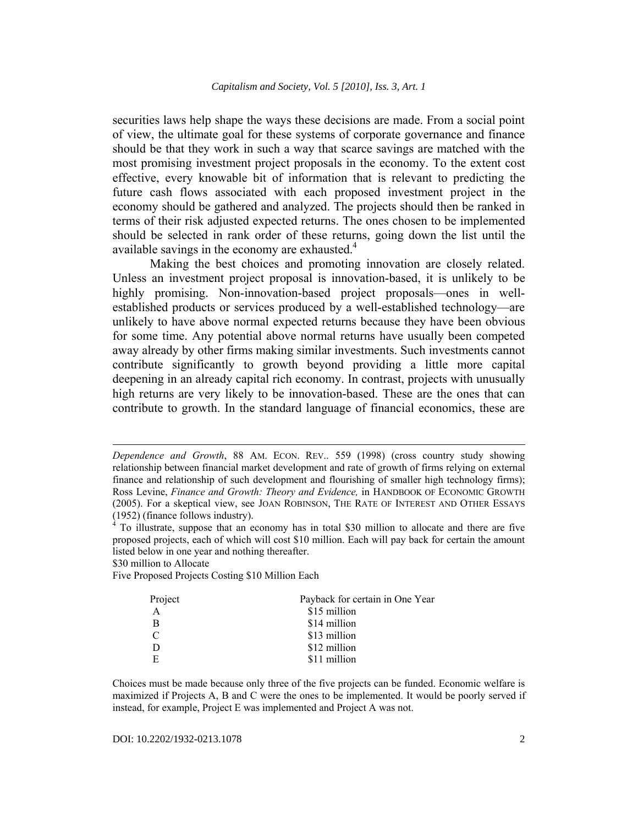securities laws help shape the ways these decisions are made. From a social point of view, the ultimate goal for these systems of corporate governance and finance should be that they work in such a way that scarce savings are matched with the most promising investment project proposals in the economy. To the extent cost effective, every knowable bit of information that is relevant to predicting the future cash flows associated with each proposed investment project in the economy should be gathered and analyzed. The projects should then be ranked in terms of their risk adjusted expected returns. The ones chosen to be implemented should be selected in rank order of these returns, going down the list until the available savings in the economy are exhausted. $4$ 

Making the best choices and promoting innovation are closely related. Unless an investment project proposal is innovation-based, it is unlikely to be highly promising. Non-innovation-based project proposals—ones in wellestablished products or services produced by a well-established technology—are unlikely to have above normal expected returns because they have been obvious for some time. Any potential above normal returns have usually been competed away already by other firms making similar investments. Such investments cannot contribute significantly to growth beyond providing a little more capital deepening in an already capital rich economy. In contrast, projects with unusually high returns are very likely to be innovation-based. These are the ones that can contribute to growth. In the standard language of financial economics, these are

\$30 million to Allocate

l

Five Proposed Projects Costing \$10 Million Each

| Payback for certain in One Year |  |
|---------------------------------|--|
| \$15 million                    |  |
| \$14 million                    |  |
| \$13 million                    |  |
| \$12 million                    |  |
| \$11 million                    |  |
|                                 |  |

Choices must be made because only three of the five projects can be funded. Economic welfare is maximized if Projects A, B and C were the ones to be implemented. It would be poorly served if instead, for example, Project E was implemented and Project A was not.

*Dependence and Growth*, 88 AM. ECON. REV.. 559 (1998) (cross country study showing relationship between financial market development and rate of growth of firms relying on external finance and relationship of such development and flourishing of smaller high technology firms); Ross Levine, *Finance and Growth: Theory and Evidence,* in HANDBOOK OF ECONOMIC GROWTH (2005). For a skeptical view, see JOAN ROBINSON, THE RATE OF INTEREST AND OTHER ESSAYS (1952) (finance follows industry).

<sup>&</sup>lt;sup>4</sup> To illustrate, suppose that an economy has in total \$30 million to allocate and there are five proposed projects, each of which will cost \$10 million. Each will pay back for certain the amount listed below in one year and nothing thereafter.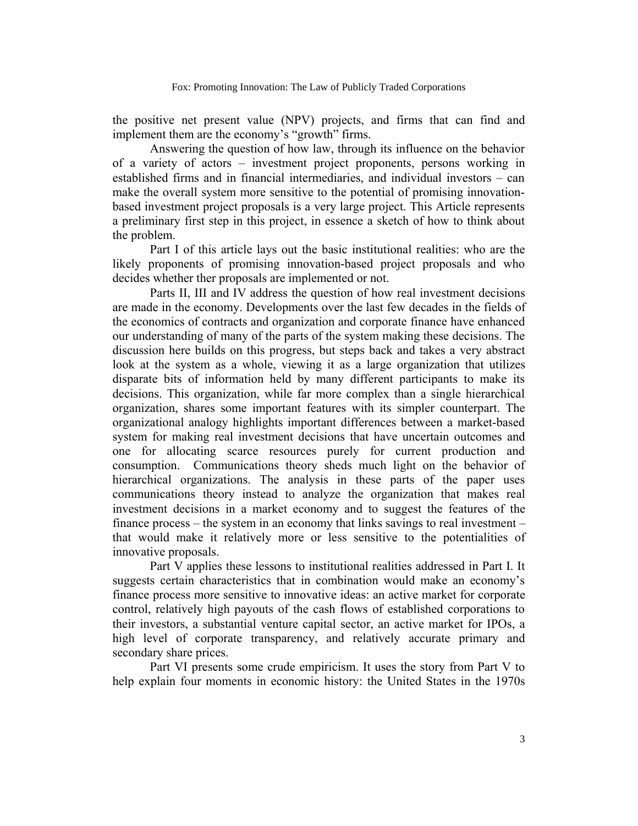the positive net present value (NPV) projects, and firms that can find and implement them are the economy's "growth" firms.

Answering the question of how law, through its influence on the behavior of a variety of actors – investment project proponents, persons working in established firms and in financial intermediaries, and individual investors – can make the overall system more sensitive to the potential of promising innovationbased investment project proposals is a very large project. This Article represents a preliminary first step in this project, in essence a sketch of how to think about the problem.

Part I of this article lays out the basic institutional realities: who are the likely proponents of promising innovation-based project proposals and who decides whether ther proposals are implemented or not.

Parts II, III and IV address the question of how real investment decisions are made in the economy. Developments over the last few decades in the fields of the economics of contracts and organization and corporate finance have enhanced our understanding of many of the parts of the system making these decisions. The discussion here builds on this progress, but steps back and takes a very abstract look at the system as a whole, viewing it as a large organization that utilizes disparate bits of information held by many different participants to make its decisions. This organization, while far more complex than a single hierarchical organization, shares some important features with its simpler counterpart. The organizational analogy highlights important differences between a market-based system for making real investment decisions that have uncertain outcomes and one for allocating scarce resources purely for current production and consumption. Communications theory sheds much light on the behavior of hierarchical organizations. The analysis in these parts of the paper uses communications theory instead to analyze the organization that makes real investment decisions in a market economy and to suggest the features of the finance process – the system in an economy that links savings to real investment – that would make it relatively more or less sensitive to the potentialities of innovative proposals.

Part V applies these lessons to institutional realities addressed in Part I. It suggests certain characteristics that in combination would make an economy's finance process more sensitive to innovative ideas: an active market for corporate control, relatively high payouts of the cash flows of established corporations to their investors, a substantial venture capital sector, an active market for IPOs, a high level of corporate transparency, and relatively accurate primary and secondary share prices.

Part VI presents some crude empiricism. It uses the story from Part V to help explain four moments in economic history: the United States in the 1970s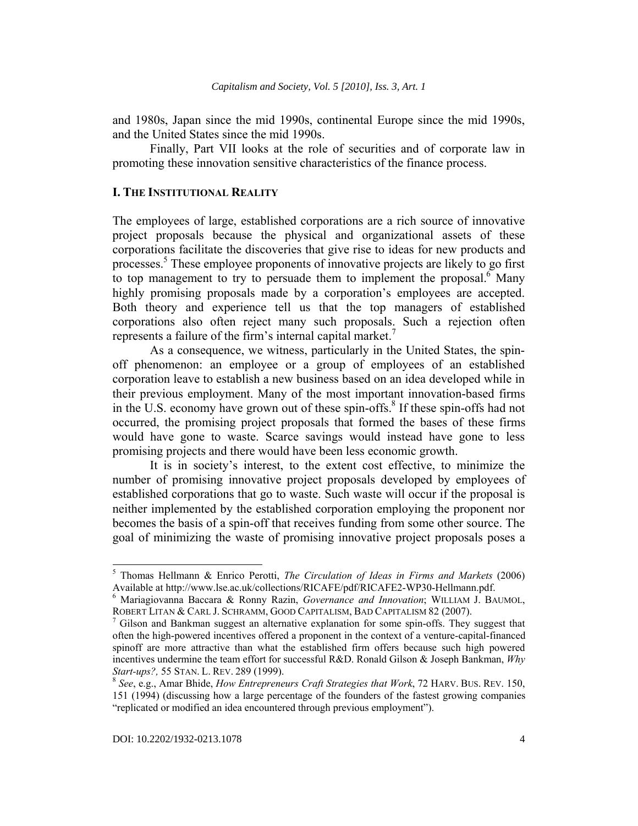and 1980s, Japan since the mid 1990s, continental Europe since the mid 1990s, and the United States since the mid 1990s.

Finally, Part VII looks at the role of securities and of corporate law in promoting these innovation sensitive characteristics of the finance process.

#### **I. THE INSTITUTIONAL REALITY**

The employees of large, established corporations are a rich source of innovative project proposals because the physical and organizational assets of these corporations facilitate the discoveries that give rise to ideas for new products and processes.5 These employee proponents of innovative projects are likely to go first to top management to try to persuade them to implement the proposal.<sup>6</sup> Many highly promising proposals made by a corporation's employees are accepted. Both theory and experience tell us that the top managers of established corporations also often reject many such proposals. Such a rejection often represents a failure of the firm's internal capital market.<sup>7</sup>

As a consequence, we witness, particularly in the United States, the spinoff phenomenon: an employee or a group of employees of an established corporation leave to establish a new business based on an idea developed while in their previous employment. Many of the most important innovation-based firms in the U.S. economy have grown out of these spin-offs.<sup>8</sup> If these spin-offs had not occurred, the promising project proposals that formed the bases of these firms would have gone to waste. Scarce savings would instead have gone to less promising projects and there would have been less economic growth.

It is in society's interest, to the extent cost effective, to minimize the number of promising innovative project proposals developed by employees of established corporations that go to waste. Such waste will occur if the proposal is neither implemented by the established corporation employing the proponent nor becomes the basis of a spin-off that receives funding from some other source. The goal of minimizing the waste of promising innovative project proposals poses a

 5 Thomas Hellmann & Enrico Perotti, *The Circulation of Ideas in Firms and Markets* (2006) Available at http://www.lse.ac.uk/collections/RICAFE/pdf/RICAFE2-WP30-Hellmann.pdf.

<sup>6</sup> Mariagiovanna Baccara & Ronny Razin, *Governance and Innovation*; WILLIAM J. BAUMOL, ROBERT LITAN & CARL J. SCHRAMM, GOOD CAPITALISM, BAD CAPITALISM 82 (2007).

 $\frac{7}{1}$  Gilson and Bankman suggest an alternative explanation for some spin-offs. They suggest that often the high-powered incentives offered a proponent in the context of a venture-capital-financed spinoff are more attractive than what the established firm offers because such high powered incentives undermine the team effort for successful R&D. Ronald Gilson & Joseph Bankman, *Why Start-ups?,* 55 STAN. L. REV. 289 (1999). 8 *See*, e.g., Amar Bhide, *How Entrepreneurs Craft Strategies that Work*, 72 HARV. BUS. REV. 150,

<sup>151 (1994) (</sup>discussing how a large percentage of the founders of the fastest growing companies "replicated or modified an idea encountered through previous employment").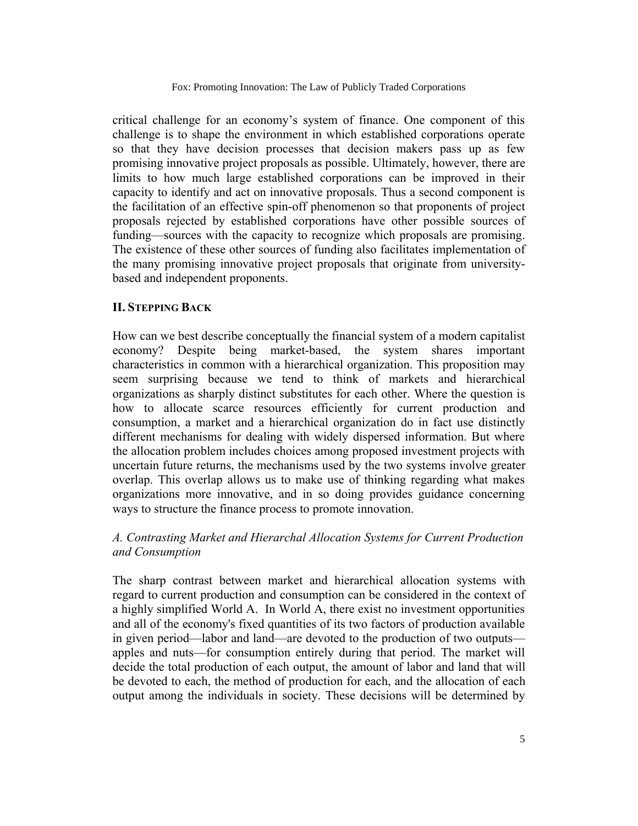critical challenge for an economy's system of finance. One component of this challenge is to shape the environment in which established corporations operate so that they have decision processes that decision makers pass up as few promising innovative project proposals as possible. Ultimately, however, there are limits to how much large established corporations can be improved in their capacity to identify and act on innovative proposals. Thus a second component is the facilitation of an effective spin-off phenomenon so that proponents of project proposals rejected by established corporations have other possible sources of funding—sources with the capacity to recognize which proposals are promising. The existence of these other sources of funding also facilitates implementation of the many promising innovative project proposals that originate from universitybased and independent proponents.

# **II. STEPPING BACK**

How can we best describe conceptually the financial system of a modern capitalist economy? Despite being market-based, the system shares important characteristics in common with a hierarchical organization. This proposition may seem surprising because we tend to think of markets and hierarchical organizations as sharply distinct substitutes for each other. Where the question is how to allocate scarce resources efficiently for current production and consumption, a market and a hierarchical organization do in fact use distinctly different mechanisms for dealing with widely dispersed information. But where the allocation problem includes choices among proposed investment projects with uncertain future returns, the mechanisms used by the two systems involve greater overlap. This overlap allows us to make use of thinking regarding what makes organizations more innovative, and in so doing provides guidance concerning ways to structure the finance process to promote innovation.

# *A. Contrasting Market and Hierarchal Allocation Systems for Current Production and Consumption*

The sharp contrast between market and hierarchical allocation systems with regard to current production and consumption can be considered in the context of a highly simplified World A. In World A, there exist no investment opportunities and all of the economy's fixed quantities of its two factors of production available in given period—labor and land—are devoted to the production of two outputs apples and nuts—for consumption entirely during that period. The market will decide the total production of each output, the amount of labor and land that will be devoted to each, the method of production for each, and the allocation of each output among the individuals in society. These decisions will be determined by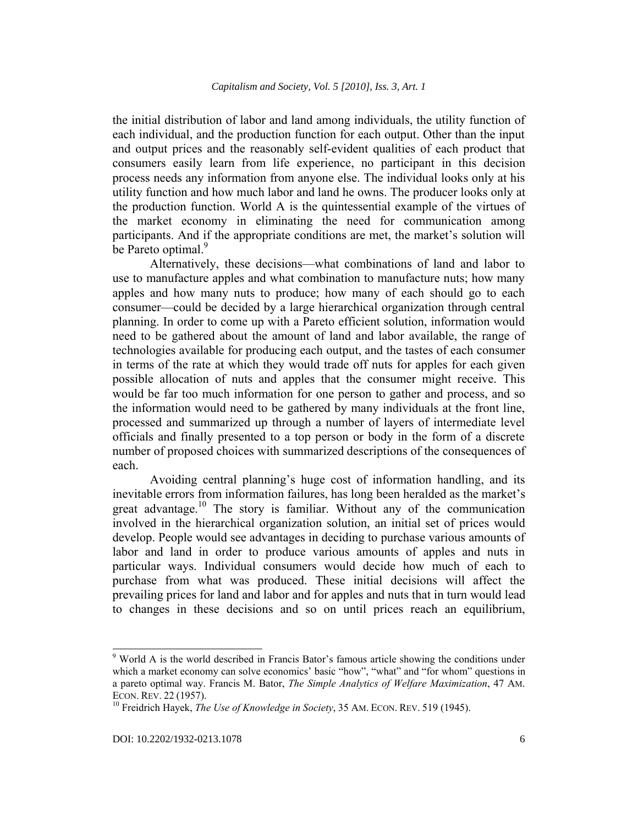the initial distribution of labor and land among individuals, the utility function of each individual, and the production function for each output. Other than the input and output prices and the reasonably self-evident qualities of each product that consumers easily learn from life experience, no participant in this decision process needs any information from anyone else. The individual looks only at his utility function and how much labor and land he owns. The producer looks only at the production function. World A is the quintessential example of the virtues of the market economy in eliminating the need for communication among participants. And if the appropriate conditions are met, the market's solution will be Pareto optimal.<sup>9</sup>

Alternatively, these decisions—what combinations of land and labor to use to manufacture apples and what combination to manufacture nuts; how many apples and how many nuts to produce; how many of each should go to each consumer—could be decided by a large hierarchical organization through central planning. In order to come up with a Pareto efficient solution, information would need to be gathered about the amount of land and labor available, the range of technologies available for producing each output, and the tastes of each consumer in terms of the rate at which they would trade off nuts for apples for each given possible allocation of nuts and apples that the consumer might receive. This would be far too much information for one person to gather and process, and so the information would need to be gathered by many individuals at the front line, processed and summarized up through a number of layers of intermediate level officials and finally presented to a top person or body in the form of a discrete number of proposed choices with summarized descriptions of the consequences of each.

Avoiding central planning's huge cost of information handling, and its inevitable errors from information failures, has long been heralded as the market's great advantage.<sup>10</sup> The story is familiar. Without any of the communication involved in the hierarchical organization solution, an initial set of prices would develop. People would see advantages in deciding to purchase various amounts of labor and land in order to produce various amounts of apples and nuts in particular ways. Individual consumers would decide how much of each to purchase from what was produced. These initial decisions will affect the prevailing prices for land and labor and for apples and nuts that in turn would lead to changes in these decisions and so on until prices reach an equilibrium,

 $\overline{a}$ 

<sup>&</sup>lt;sup>9</sup> World A is the world described in Francis Bator's famous article showing the conditions under which a market economy can solve economics' basic "how", "what" and "for whom" questions in a pareto optimal way. Francis M. Bator, *The Simple Analytics of Welfare Maximization*, 47 AM. ECON. REV. 22 (1957).

Freidrich Hayek, *The Use of Knowledge in Society*, 35 AM. ECON. REV. 519 (1945).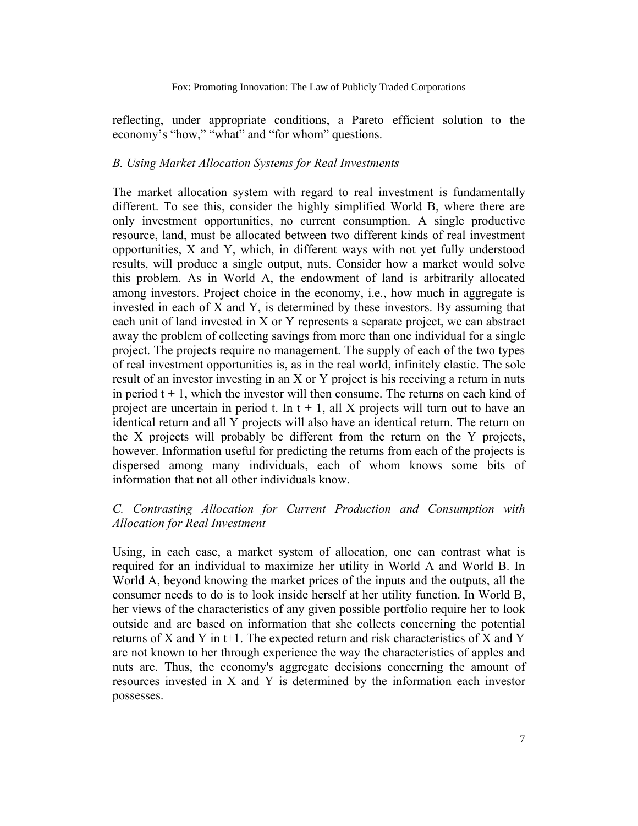reflecting, under appropriate conditions, a Pareto efficient solution to the economy's "how," "what" and "for whom" questions.

#### *B. Using Market Allocation Systems for Real Investments*

The market allocation system with regard to real investment is fundamentally different. To see this, consider the highly simplified World B, where there are only investment opportunities, no current consumption. A single productive resource, land, must be allocated between two different kinds of real investment opportunities, X and Y, which, in different ways with not yet fully understood results, will produce a single output, nuts. Consider how a market would solve this problem. As in World A, the endowment of land is arbitrarily allocated among investors. Project choice in the economy, i.e., how much in aggregate is invested in each of X and Y, is determined by these investors. By assuming that each unit of land invested in X or Y represents a separate project, we can abstract away the problem of collecting savings from more than one individual for a single project. The projects require no management. The supply of each of the two types of real investment opportunities is, as in the real world, infinitely elastic. The sole result of an investor investing in an X or Y project is his receiving a return in nuts in period  $t + 1$ , which the investor will then consume. The returns on each kind of project are uncertain in period t. In  $t + 1$ , all X projects will turn out to have an identical return and all Y projects will also have an identical return. The return on the X projects will probably be different from the return on the Y projects, however. Information useful for predicting the returns from each of the projects is dispersed among many individuals, each of whom knows some bits of information that not all other individuals know.

# *C. Contrasting Allocation for Current Production and Consumption with Allocation for Real Investment*

Using, in each case, a market system of allocation, one can contrast what is required for an individual to maximize her utility in World A and World B. In World A, beyond knowing the market prices of the inputs and the outputs, all the consumer needs to do is to look inside herself at her utility function. In World B, her views of the characteristics of any given possible portfolio require her to look outside and are based on information that she collects concerning the potential returns of X and Y in t+1. The expected return and risk characteristics of X and Y are not known to her through experience the way the characteristics of apples and nuts are. Thus, the economy's aggregate decisions concerning the amount of resources invested in X and Y is determined by the information each investor possesses.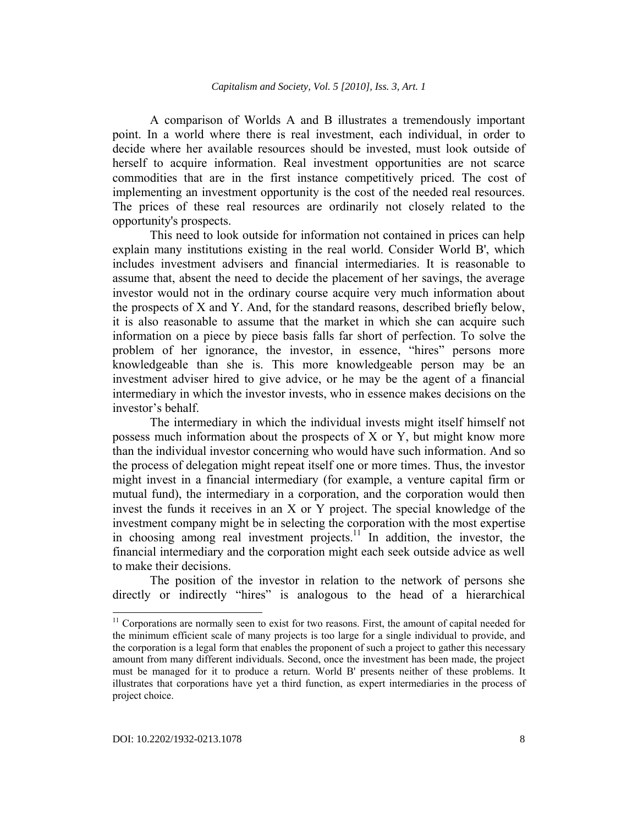A comparison of Worlds A and B illustrates a tremendously important point. In a world where there is real investment, each individual, in order to decide where her available resources should be invested, must look outside of herself to acquire information. Real investment opportunities are not scarce commodities that are in the first instance competitively priced. The cost of implementing an investment opportunity is the cost of the needed real resources. The prices of these real resources are ordinarily not closely related to the opportunity's prospects.

This need to look outside for information not contained in prices can help explain many institutions existing in the real world. Consider World B', which includes investment advisers and financial intermediaries. It is reasonable to assume that, absent the need to decide the placement of her savings, the average investor would not in the ordinary course acquire very much information about the prospects of X and Y. And, for the standard reasons, described briefly below, it is also reasonable to assume that the market in which she can acquire such information on a piece by piece basis falls far short of perfection. To solve the problem of her ignorance, the investor, in essence, "hires" persons more knowledgeable than she is. This more knowledgeable person may be an investment adviser hired to give advice, or he may be the agent of a financial intermediary in which the investor invests, who in essence makes decisions on the investor's behalf.

The intermediary in which the individual invests might itself himself not possess much information about the prospects of X or Y, but might know more than the individual investor concerning who would have such information. And so the process of delegation might repeat itself one or more times. Thus, the investor might invest in a financial intermediary (for example, a venture capital firm or mutual fund), the intermediary in a corporation, and the corporation would then invest the funds it receives in an X or Y project. The special knowledge of the investment company might be in selecting the corporation with the most expertise in choosing among real investment projects. $11$  In addition, the investor, the financial intermediary and the corporation might each seek outside advice as well to make their decisions.

The position of the investor in relation to the network of persons she directly or indirectly "hires" is analogous to the head of a hierarchical

 $\overline{a}$ 

<sup>&</sup>lt;sup>11</sup> Corporations are normally seen to exist for two reasons. First, the amount of capital needed for the minimum efficient scale of many projects is too large for a single individual to provide, and the corporation is a legal form that enables the proponent of such a project to gather this necessary amount from many different individuals. Second, once the investment has been made, the project must be managed for it to produce a return. World B' presents neither of these problems. It illustrates that corporations have yet a third function, as expert intermediaries in the process of project choice.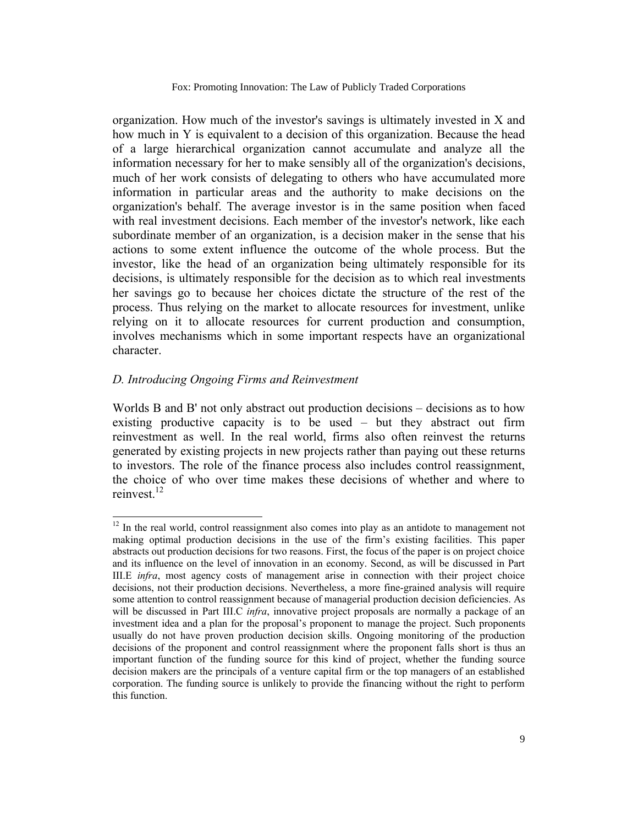organization. How much of the investor's savings is ultimately invested in X and how much in Y is equivalent to a decision of this organization. Because the head of a large hierarchical organization cannot accumulate and analyze all the information necessary for her to make sensibly all of the organization's decisions, much of her work consists of delegating to others who have accumulated more information in particular areas and the authority to make decisions on the organization's behalf. The average investor is in the same position when faced with real investment decisions. Each member of the investor's network, like each subordinate member of an organization, is a decision maker in the sense that his actions to some extent influence the outcome of the whole process. But the investor, like the head of an organization being ultimately responsible for its decisions, is ultimately responsible for the decision as to which real investments her savings go to because her choices dictate the structure of the rest of the process. Thus relying on the market to allocate resources for investment, unlike relying on it to allocate resources for current production and consumption, involves mechanisms which in some important respects have an organizational character.

# *D. Introducing Ongoing Firms and Reinvestment*

Worlds B and B' not only abstract out production decisions – decisions as to how existing productive capacity is to be used – but they abstract out firm reinvestment as well. In the real world, firms also often reinvest the returns generated by existing projects in new projects rather than paying out these returns to investors. The role of the finance process also includes control reassignment, the choice of who over time makes these decisions of whether and where to reinvest. $12$ 

l  $12$  In the real world, control reassignment also comes into play as an antidote to management not making optimal production decisions in the use of the firm's existing facilities. This paper abstracts out production decisions for two reasons. First, the focus of the paper is on project choice and its influence on the level of innovation in an economy. Second, as will be discussed in Part III.E *infra*, most agency costs of management arise in connection with their project choice decisions, not their production decisions. Nevertheless, a more fine-grained analysis will require some attention to control reassignment because of managerial production decision deficiencies. As will be discussed in Part III.C *infra*, innovative project proposals are normally a package of an investment idea and a plan for the proposal's proponent to manage the project. Such proponents usually do not have proven production decision skills. Ongoing monitoring of the production decisions of the proponent and control reassignment where the proponent falls short is thus an important function of the funding source for this kind of project, whether the funding source decision makers are the principals of a venture capital firm or the top managers of an established corporation. The funding source is unlikely to provide the financing without the right to perform this function.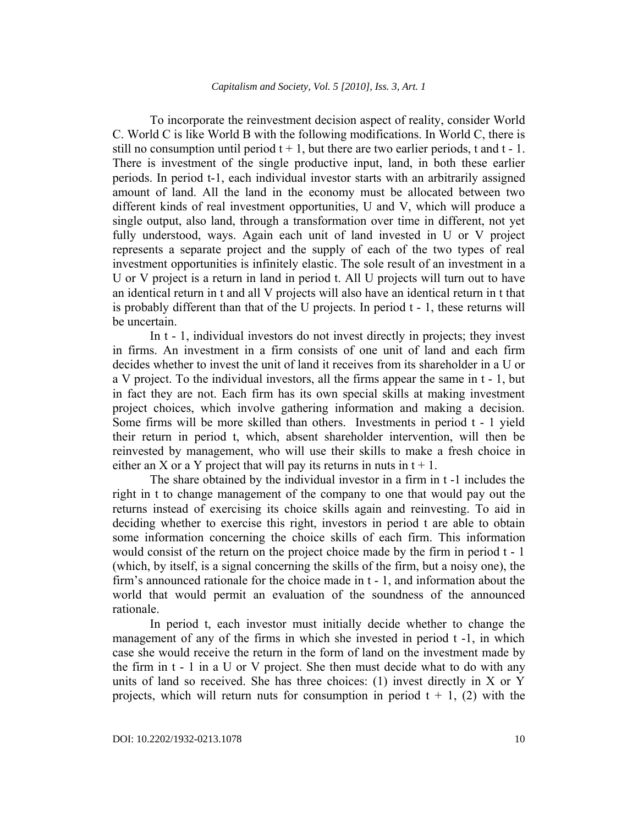To incorporate the reinvestment decision aspect of reality, consider World C. World C is like World B with the following modifications. In World C, there is still no consumption until period  $t + 1$ , but there are two earlier periods, t and  $t - 1$ . There is investment of the single productive input, land, in both these earlier periods. In period t-1, each individual investor starts with an arbitrarily assigned amount of land. All the land in the economy must be allocated between two different kinds of real investment opportunities, U and V, which will produce a single output, also land, through a transformation over time in different, not yet fully understood, ways. Again each unit of land invested in U or V project represents a separate project and the supply of each of the two types of real investment opportunities is infinitely elastic. The sole result of an investment in a U or V project is a return in land in period t. All U projects will turn out to have an identical return in t and all V projects will also have an identical return in t that is probably different than that of the U projects. In period t - 1, these returns will be uncertain.

In t - 1, individual investors do not invest directly in projects; they invest in firms. An investment in a firm consists of one unit of land and each firm decides whether to invest the unit of land it receives from its shareholder in a U or a V project. To the individual investors, all the firms appear the same in t - 1, but in fact they are not. Each firm has its own special skills at making investment project choices, which involve gathering information and making a decision. Some firms will be more skilled than others. Investments in period t - 1 yield their return in period t, which, absent shareholder intervention, will then be reinvested by management, who will use their skills to make a fresh choice in either an X or a Y project that will pay its returns in nuts in  $t + 1$ .

The share obtained by the individual investor in a firm in t -1 includes the right in t to change management of the company to one that would pay out the returns instead of exercising its choice skills again and reinvesting. To aid in deciding whether to exercise this right, investors in period t are able to obtain some information concerning the choice skills of each firm. This information would consist of the return on the project choice made by the firm in period t - 1 (which, by itself, is a signal concerning the skills of the firm, but a noisy one), the firm's announced rationale for the choice made in t - 1, and information about the world that would permit an evaluation of the soundness of the announced rationale.

In period t, each investor must initially decide whether to change the management of any of the firms in which she invested in period t -1, in which case she would receive the return in the form of land on the investment made by the firm in t - 1 in a U or V project. She then must decide what to do with any units of land so received. She has three choices:  $(1)$  invest directly in X or Y projects, which will return nuts for consumption in period  $t + 1$ , (2) with the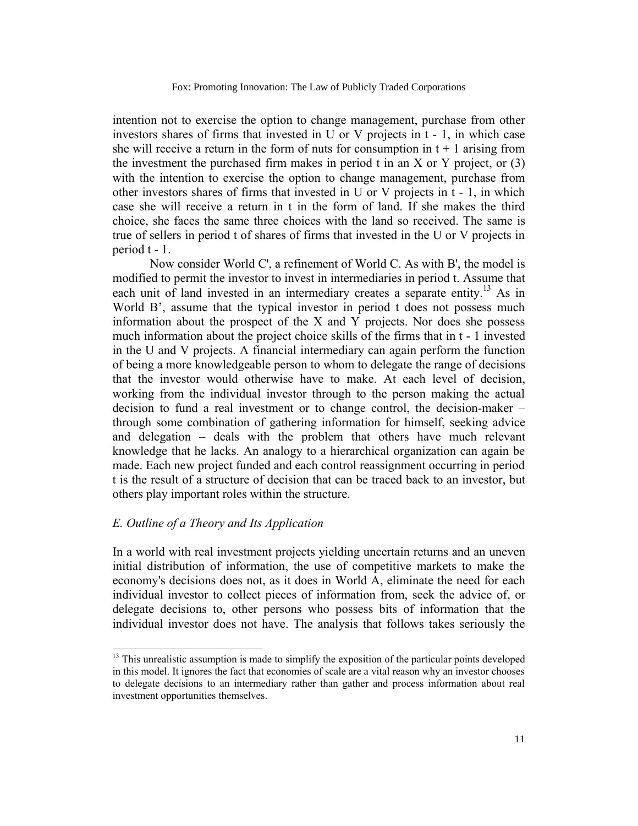intention not to exercise the option to change management, purchase from other investors shares of firms that invested in U or V projects in t - 1, in which case she will receive a return in the form of nuts for consumption in  $t + 1$  arising from the investment the purchased firm makes in period t in an X or Y project, or (3) with the intention to exercise the option to change management, purchase from other investors shares of firms that invested in U or V projects in t - 1, in which case she will receive a return in t in the form of land. If she makes the third choice, she faces the same three choices with the land so received. The same is true of sellers in period t of shares of firms that invested in the U or V projects in period t - 1.

Now consider World C', a refinement of World C. As with B', the model is modified to permit the investor to invest in intermediaries in period t. Assume that each unit of land invested in an intermediary creates a separate entity.<sup>13</sup> As in World B', assume that the typical investor in period t does not possess much information about the prospect of the X and Y projects. Nor does she possess much information about the project choice skills of the firms that in t - 1 invested in the U and V projects. A financial intermediary can again perform the function of being a more knowledgeable person to whom to delegate the range of decisions that the investor would otherwise have to make. At each level of decision, working from the individual investor through to the person making the actual decision to fund a real investment or to change control, the decision-maker – through some combination of gathering information for himself, seeking advice and delegation – deals with the problem that others have much relevant knowledge that he lacks. An analogy to a hierarchical organization can again be made. Each new project funded and each control reassignment occurring in period t is the result of a structure of decision that can be traced back to an investor, but others play important roles within the structure.

# *E. Outline of a Theory and Its Application*

 $\overline{a}$ 

In a world with real investment projects yielding uncertain returns and an uneven initial distribution of information, the use of competitive markets to make the economy's decisions does not, as it does in World A, eliminate the need for each individual investor to collect pieces of information from, seek the advice of, or delegate decisions to, other persons who possess bits of information that the individual investor does not have. The analysis that follows takes seriously the

<sup>&</sup>lt;sup>13</sup> This unrealistic assumption is made to simplify the exposition of the particular points developed in this model. It ignores the fact that economies of scale are a vital reason why an investor chooses to delegate decisions to an intermediary rather than gather and process information about real investment opportunities themselves.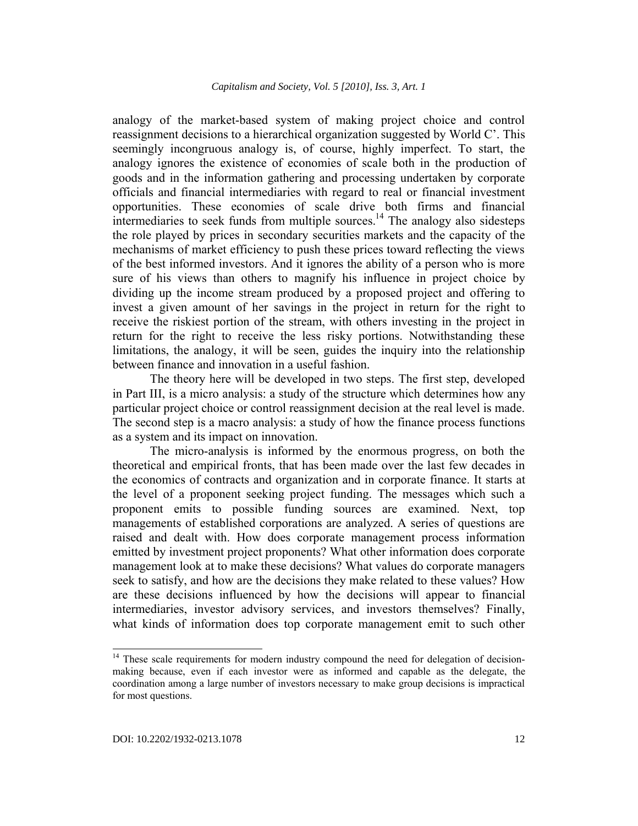analogy of the market-based system of making project choice and control reassignment decisions to a hierarchical organization suggested by World C'. This seemingly incongruous analogy is, of course, highly imperfect. To start, the analogy ignores the existence of economies of scale both in the production of goods and in the information gathering and processing undertaken by corporate officials and financial intermediaries with regard to real or financial investment opportunities. These economies of scale drive both firms and financial intermediaries to seek funds from multiple sources.<sup>14</sup> The analogy also sidesteps the role played by prices in secondary securities markets and the capacity of the mechanisms of market efficiency to push these prices toward reflecting the views of the best informed investors. And it ignores the ability of a person who is more sure of his views than others to magnify his influence in project choice by dividing up the income stream produced by a proposed project and offering to invest a given amount of her savings in the project in return for the right to receive the riskiest portion of the stream, with others investing in the project in return for the right to receive the less risky portions. Notwithstanding these limitations, the analogy, it will be seen, guides the inquiry into the relationship between finance and innovation in a useful fashion.

The theory here will be developed in two steps. The first step, developed in Part III, is a micro analysis: a study of the structure which determines how any particular project choice or control reassignment decision at the real level is made. The second step is a macro analysis: a study of how the finance process functions as a system and its impact on innovation.

The micro-analysis is informed by the enormous progress, on both the theoretical and empirical fronts, that has been made over the last few decades in the economics of contracts and organization and in corporate finance. It starts at the level of a proponent seeking project funding. The messages which such a proponent emits to possible funding sources are examined. Next, top managements of established corporations are analyzed. A series of questions are raised and dealt with. How does corporate management process information emitted by investment project proponents? What other information does corporate management look at to make these decisions? What values do corporate managers seek to satisfy, and how are the decisions they make related to these values? How are these decisions influenced by how the decisions will appear to financial intermediaries, investor advisory services, and investors themselves? Finally, what kinds of information does top corporate management emit to such other

 $\overline{a}$ 

<sup>&</sup>lt;sup>14</sup> These scale requirements for modern industry compound the need for delegation of decisionmaking because, even if each investor were as informed and capable as the delegate, the coordination among a large number of investors necessary to make group decisions is impractical for most questions.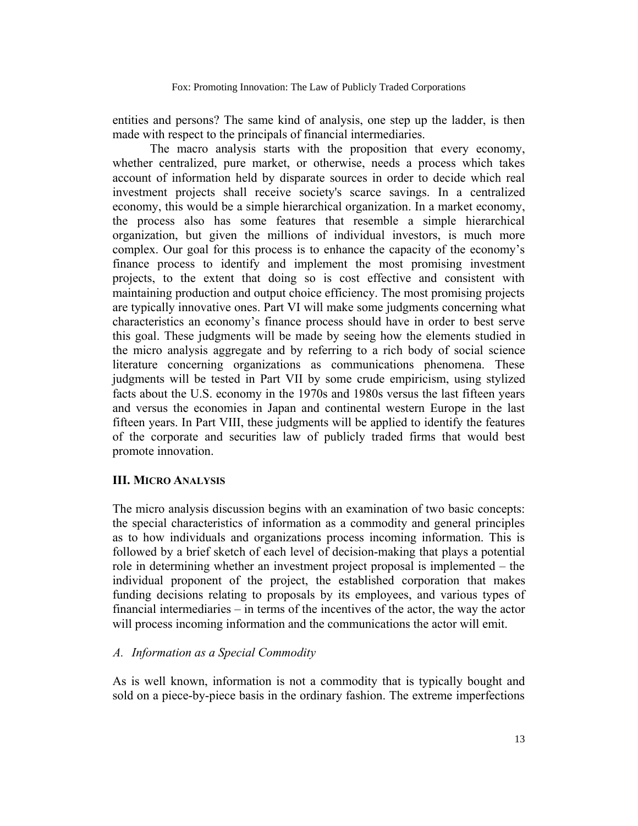entities and persons? The same kind of analysis, one step up the ladder, is then made with respect to the principals of financial intermediaries.

The macro analysis starts with the proposition that every economy, whether centralized, pure market, or otherwise, needs a process which takes account of information held by disparate sources in order to decide which real investment projects shall receive society's scarce savings. In a centralized economy, this would be a simple hierarchical organization. In a market economy, the process also has some features that resemble a simple hierarchical organization, but given the millions of individual investors, is much more complex. Our goal for this process is to enhance the capacity of the economy's finance process to identify and implement the most promising investment projects, to the extent that doing so is cost effective and consistent with maintaining production and output choice efficiency. The most promising projects are typically innovative ones. Part VI will make some judgments concerning what characteristics an economy's finance process should have in order to best serve this goal. These judgments will be made by seeing how the elements studied in the micro analysis aggregate and by referring to a rich body of social science literature concerning organizations as communications phenomena. These judgments will be tested in Part VII by some crude empiricism, using stylized facts about the U.S. economy in the 1970s and 1980s versus the last fifteen years and versus the economies in Japan and continental western Europe in the last fifteen years. In Part VIII, these judgments will be applied to identify the features of the corporate and securities law of publicly traded firms that would best promote innovation.

# **III. MICRO ANALYSIS**

The micro analysis discussion begins with an examination of two basic concepts: the special characteristics of information as a commodity and general principles as to how individuals and organizations process incoming information. This is followed by a brief sketch of each level of decision-making that plays a potential role in determining whether an investment project proposal is implemented – the individual proponent of the project, the established corporation that makes funding decisions relating to proposals by its employees, and various types of financial intermediaries – in terms of the incentives of the actor, the way the actor will process incoming information and the communications the actor will emit.

# *A. Information as a Special Commodity*

As is well known, information is not a commodity that is typically bought and sold on a piece-by-piece basis in the ordinary fashion. The extreme imperfections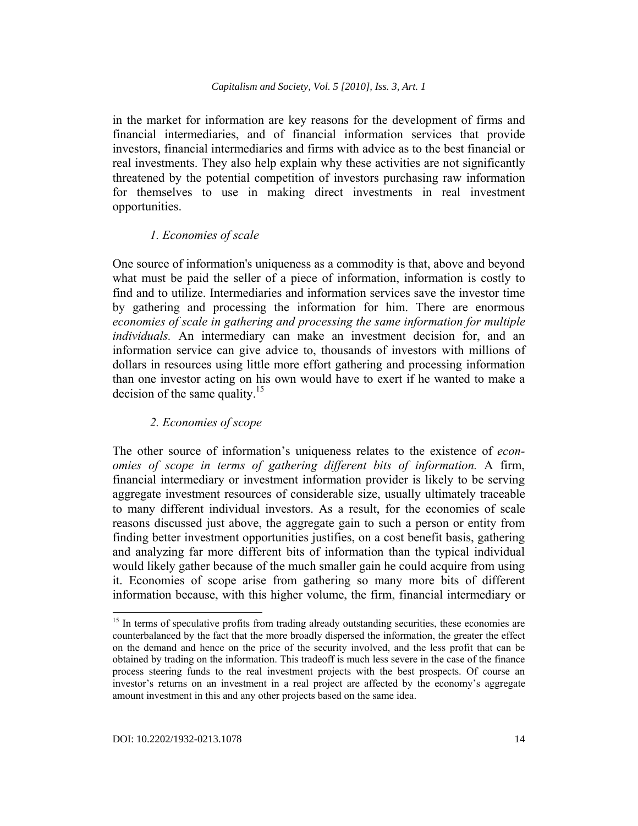in the market for information are key reasons for the development of firms and financial intermediaries, and of financial information services that provide investors, financial intermediaries and firms with advice as to the best financial or real investments. They also help explain why these activities are not significantly threatened by the potential competition of investors purchasing raw information for themselves to use in making direct investments in real investment opportunities.

# *1. Economies of scale*

One source of information's uniqueness as a commodity is that, above and beyond what must be paid the seller of a piece of information, information is costly to find and to utilize. Intermediaries and information services save the investor time by gathering and processing the information for him. There are enormous *economies of scale in gathering and processing the same information for multiple individuals.* An intermediary can make an investment decision for, and an information service can give advice to, thousands of investors with millions of dollars in resources using little more effort gathering and processing information than one investor acting on his own would have to exert if he wanted to make a decision of the same quality.<sup>15</sup>

# *2. Economies of scope*

The other source of information's uniqueness relates to the existence of *economies of scope in terms of gathering different bits of information.* A firm, financial intermediary or investment information provider is likely to be serving aggregate investment resources of considerable size, usually ultimately traceable to many different individual investors. As a result, for the economies of scale reasons discussed just above, the aggregate gain to such a person or entity from finding better investment opportunities justifies, on a cost benefit basis, gathering and analyzing far more different bits of information than the typical individual would likely gather because of the much smaller gain he could acquire from using it. Economies of scope arise from gathering so many more bits of different information because, with this higher volume, the firm, financial intermediary or

 $\overline{a}$ 

<sup>&</sup>lt;sup>15</sup> In terms of speculative profits from trading already outstanding securities, these economies are counterbalanced by the fact that the more broadly dispersed the information, the greater the effect on the demand and hence on the price of the security involved, and the less profit that can be obtained by trading on the information. This tradeoff is much less severe in the case of the finance process steering funds to the real investment projects with the best prospects. Of course an investor's returns on an investment in a real project are affected by the economy's aggregate amount investment in this and any other projects based on the same idea.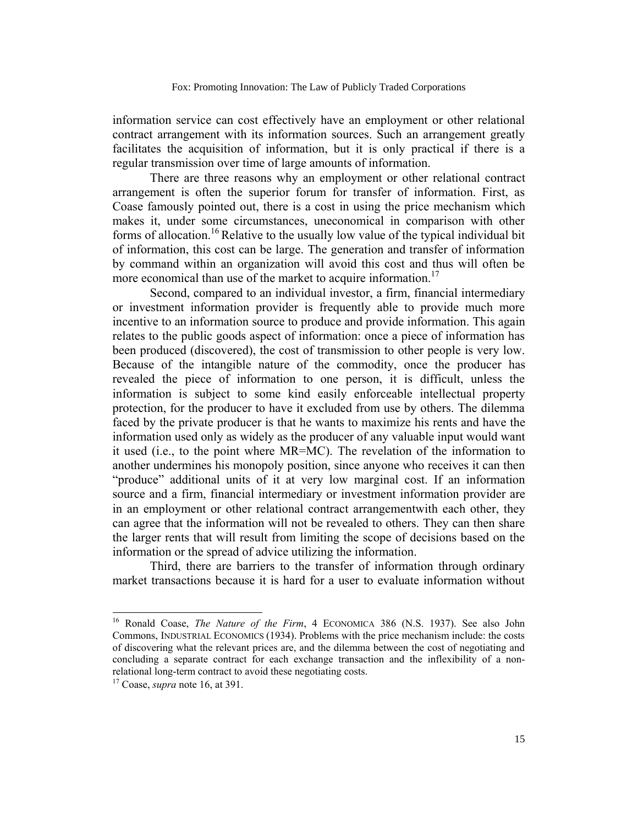information service can cost effectively have an employment or other relational contract arrangement with its information sources. Such an arrangement greatly facilitates the acquisition of information, but it is only practical if there is a regular transmission over time of large amounts of information.

There are three reasons why an employment or other relational contract arrangement is often the superior forum for transfer of information. First, as Coase famously pointed out, there is a cost in using the price mechanism which makes it, under some circumstances, uneconomical in comparison with other forms of allocation.16 Relative to the usually low value of the typical individual bit of information, this cost can be large. The generation and transfer of information by command within an organization will avoid this cost and thus will often be more economical than use of the market to acquire information.<sup>17</sup>

Second, compared to an individual investor, a firm, financial intermediary or investment information provider is frequently able to provide much more incentive to an information source to produce and provide information. This again relates to the public goods aspect of information: once a piece of information has been produced (discovered), the cost of transmission to other people is very low. Because of the intangible nature of the commodity, once the producer has revealed the piece of information to one person, it is difficult, unless the information is subject to some kind easily enforceable intellectual property protection, for the producer to have it excluded from use by others. The dilemma faced by the private producer is that he wants to maximize his rents and have the information used only as widely as the producer of any valuable input would want it used (i.e., to the point where MR=MC). The revelation of the information to another undermines his monopoly position, since anyone who receives it can then "produce" additional units of it at very low marginal cost. If an information source and a firm, financial intermediary or investment information provider are in an employment or other relational contract arrangementwith each other, they can agree that the information will not be revealed to others. They can then share the larger rents that will result from limiting the scope of decisions based on the information or the spread of advice utilizing the information.

Third, there are barriers to the transfer of information through ordinary market transactions because it is hard for a user to evaluate information without

 $\overline{a}$ 

<sup>&</sup>lt;sup>16</sup> Ronald Coase, *The Nature of the Firm*, 4 ECONOMICA 386 (N.S. 1937). See also John Commons, INDUSTRIAL ECONOMICS (1934). Problems with the price mechanism include: the costs of discovering what the relevant prices are, and the dilemma between the cost of negotiating and concluding a separate contract for each exchange transaction and the inflexibility of a nonrelational long-term contract to avoid these negotiating costs.

<sup>&</sup>lt;sup>17</sup> Coase, *supra* note 16, at 391.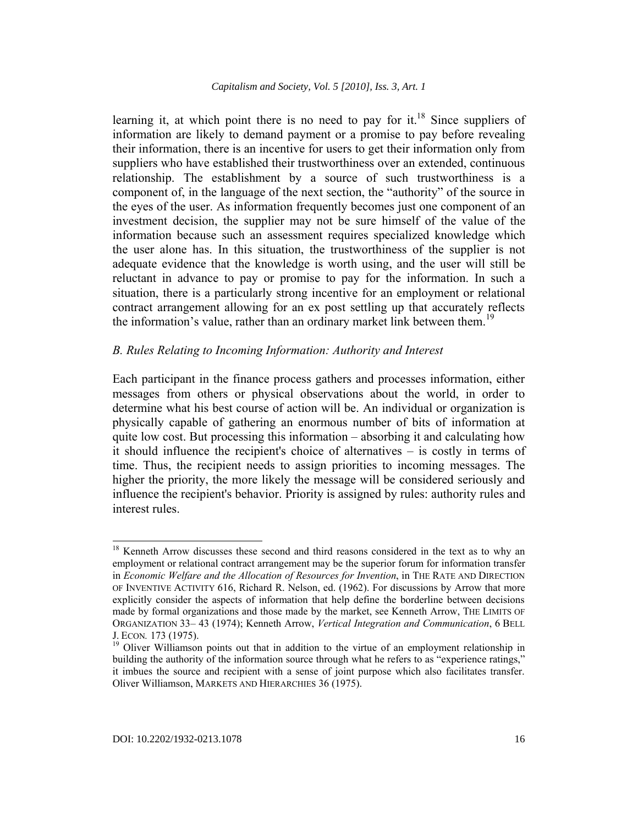learning it, at which point there is no need to pay for it.<sup>18</sup> Since suppliers of information are likely to demand payment or a promise to pay before revealing their information, there is an incentive for users to get their information only from suppliers who have established their trustworthiness over an extended, continuous relationship. The establishment by a source of such trustworthiness is a component of, in the language of the next section, the "authority" of the source in the eyes of the user. As information frequently becomes just one component of an investment decision, the supplier may not be sure himself of the value of the information because such an assessment requires specialized knowledge which the user alone has. In this situation, the trustworthiness of the supplier is not adequate evidence that the knowledge is worth using, and the user will still be reluctant in advance to pay or promise to pay for the information. In such a situation, there is a particularly strong incentive for an employment or relational contract arrangement allowing for an ex post settling up that accurately reflects the information's value, rather than an ordinary market link between them.<sup>19</sup>

# *B. Rules Relating to Incoming Information: Authority and Interest*

Each participant in the finance process gathers and processes information, either messages from others or physical observations about the world, in order to determine what his best course of action will be. An individual or organization is physically capable of gathering an enormous number of bits of information at quite low cost. But processing this information – absorbing it and calculating how it should influence the recipient's choice of alternatives – is costly in terms of time. Thus, the recipient needs to assign priorities to incoming messages. The higher the priority, the more likely the message will be considered seriously and influence the recipient's behavior. Priority is assigned by rules: authority rules and interest rules.

<sup>&</sup>lt;sup>18</sup> Kenneth Arrow discusses these second and third reasons considered in the text as to why an employment or relational contract arrangement may be the superior forum for information transfer in *Economic Welfare and the Allocation of Resources for Invention*, in THE RATE AND DIRECTION OF INVENTIVE ACTIVITY 616, Richard R. Nelson, ed. (1962). For discussions by Arrow that more explicitly consider the aspects of information that help define the borderline between decisions made by formal organizations and those made by the market, see Kenneth Arrow, THE LIMITS OF ORGANIZATION 33– 43 (1974); Kenneth Arrow, *Vertical Integration and Communication*, 6 BELL J. ECON. 173 (1975).

<sup>&</sup>lt;sup>19</sup> Oliver Williamson points out that in addition to the virtue of an employment relationship in building the authority of the information source through what he refers to as "experience ratings," it imbues the source and recipient with a sense of joint purpose which also facilitates transfer. Oliver Williamson, MARKETS AND HIERARCHIES 36 (1975).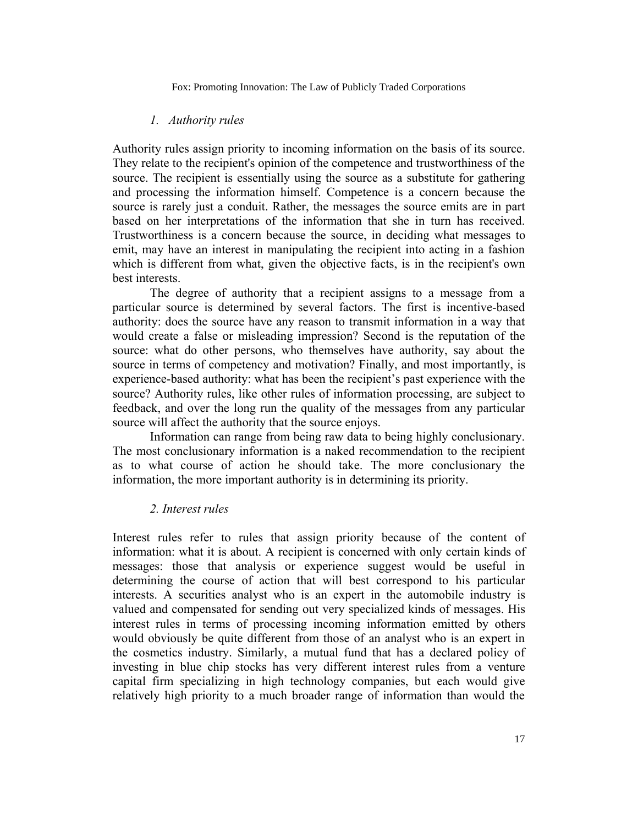# *1. Authority rules*

Authority rules assign priority to incoming information on the basis of its source. They relate to the recipient's opinion of the competence and trustworthiness of the source. The recipient is essentially using the source as a substitute for gathering and processing the information himself. Competence is a concern because the source is rarely just a conduit. Rather, the messages the source emits are in part based on her interpretations of the information that she in turn has received. Trustworthiness is a concern because the source, in deciding what messages to emit, may have an interest in manipulating the recipient into acting in a fashion which is different from what, given the objective facts, is in the recipient's own best interests.

The degree of authority that a recipient assigns to a message from a particular source is determined by several factors. The first is incentive-based authority: does the source have any reason to transmit information in a way that would create a false or misleading impression? Second is the reputation of the source: what do other persons, who themselves have authority, say about the source in terms of competency and motivation? Finally, and most importantly, is experience-based authority: what has been the recipient's past experience with the source? Authority rules, like other rules of information processing, are subject to feedback, and over the long run the quality of the messages from any particular source will affect the authority that the source enjoys.

Information can range from being raw data to being highly conclusionary. The most conclusionary information is a naked recommendation to the recipient as to what course of action he should take. The more conclusionary the information, the more important authority is in determining its priority.

# *2. Interest rules*

Interest rules refer to rules that assign priority because of the content of information: what it is about. A recipient is concerned with only certain kinds of messages: those that analysis or experience suggest would be useful in determining the course of action that will best correspond to his particular interests. A securities analyst who is an expert in the automobile industry is valued and compensated for sending out very specialized kinds of messages. His interest rules in terms of processing incoming information emitted by others would obviously be quite different from those of an analyst who is an expert in the cosmetics industry. Similarly, a mutual fund that has a declared policy of investing in blue chip stocks has very different interest rules from a venture capital firm specializing in high technology companies, but each would give relatively high priority to a much broader range of information than would the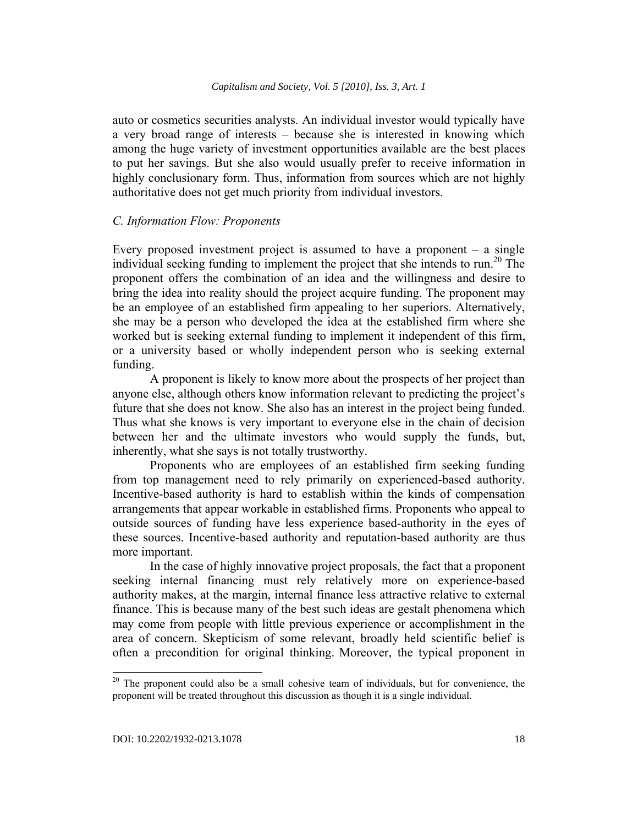#### *Capitalism and Society, Vol. 5 [2010], Iss. 3, Art. 1*

auto or cosmetics securities analysts. An individual investor would typically have a very broad range of interests – because she is interested in knowing which among the huge variety of investment opportunities available are the best places to put her savings. But she also would usually prefer to receive information in highly conclusionary form. Thus, information from sources which are not highly authoritative does not get much priority from individual investors.

# *C. Information Flow: Proponents*

Every proposed investment project is assumed to have a proponent  $-$  a single individual seeking funding to implement the project that she intends to run.<sup>20</sup> The proponent offers the combination of an idea and the willingness and desire to bring the idea into reality should the project acquire funding. The proponent may be an employee of an established firm appealing to her superiors. Alternatively, she may be a person who developed the idea at the established firm where she worked but is seeking external funding to implement it independent of this firm, or a university based or wholly independent person who is seeking external funding.

A proponent is likely to know more about the prospects of her project than anyone else, although others know information relevant to predicting the project's future that she does not know. She also has an interest in the project being funded. Thus what she knows is very important to everyone else in the chain of decision between her and the ultimate investors who would supply the funds, but, inherently, what she says is not totally trustworthy.

Proponents who are employees of an established firm seeking funding from top management need to rely primarily on experienced-based authority. Incentive-based authority is hard to establish within the kinds of compensation arrangements that appear workable in established firms. Proponents who appeal to outside sources of funding have less experience based-authority in the eyes of these sources. Incentive-based authority and reputation-based authority are thus more important.

In the case of highly innovative project proposals, the fact that a proponent seeking internal financing must rely relatively more on experience-based authority makes, at the margin, internal finance less attractive relative to external finance. This is because many of the best such ideas are gestalt phenomena which may come from people with little previous experience or accomplishment in the area of concern. Skepticism of some relevant, broadly held scientific belief is often a precondition for original thinking. Moreover, the typical proponent in

<sup>&</sup>lt;sup>20</sup> The proponent could also be a small cohesive team of individuals, but for convenience, the proponent will be treated throughout this discussion as though it is a single individual.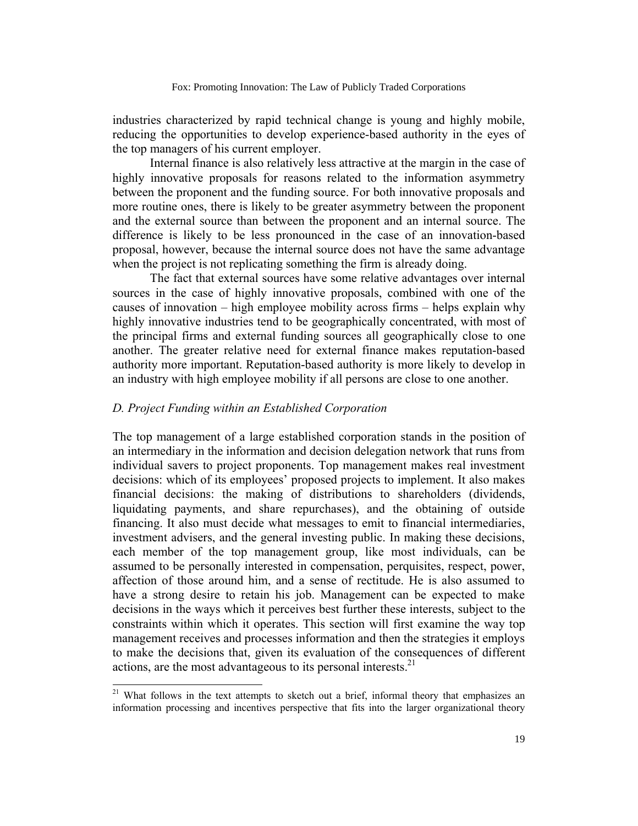industries characterized by rapid technical change is young and highly mobile, reducing the opportunities to develop experience-based authority in the eyes of the top managers of his current employer.

Internal finance is also relatively less attractive at the margin in the case of highly innovative proposals for reasons related to the information asymmetry between the proponent and the funding source. For both innovative proposals and more routine ones, there is likely to be greater asymmetry between the proponent and the external source than between the proponent and an internal source. The difference is likely to be less pronounced in the case of an innovation-based proposal, however, because the internal source does not have the same advantage when the project is not replicating something the firm is already doing.

The fact that external sources have some relative advantages over internal sources in the case of highly innovative proposals, combined with one of the causes of innovation – high employee mobility across firms – helps explain why highly innovative industries tend to be geographically concentrated, with most of the principal firms and external funding sources all geographically close to one another. The greater relative need for external finance makes reputation-based authority more important. Reputation-based authority is more likely to develop in an industry with high employee mobility if all persons are close to one another.

#### *D. Project Funding within an Established Corporation*

The top management of a large established corporation stands in the position of an intermediary in the information and decision delegation network that runs from individual savers to project proponents. Top management makes real investment decisions: which of its employees' proposed projects to implement. It also makes financial decisions: the making of distributions to shareholders (dividends, liquidating payments, and share repurchases), and the obtaining of outside financing. It also must decide what messages to emit to financial intermediaries, investment advisers, and the general investing public. In making these decisions, each member of the top management group, like most individuals, can be assumed to be personally interested in compensation, perquisites, respect, power, affection of those around him, and a sense of rectitude. He is also assumed to have a strong desire to retain his job. Management can be expected to make decisions in the ways which it perceives best further these interests, subject to the constraints within which it operates. This section will first examine the way top management receives and processes information and then the strategies it employs to make the decisions that, given its evaluation of the consequences of different actions, are the most advantageous to its personal interests.21

<sup>&</sup>lt;sup>21</sup> What follows in the text attempts to sketch out a brief, informal theory that emphasizes an information processing and incentives perspective that fits into the larger organizational theory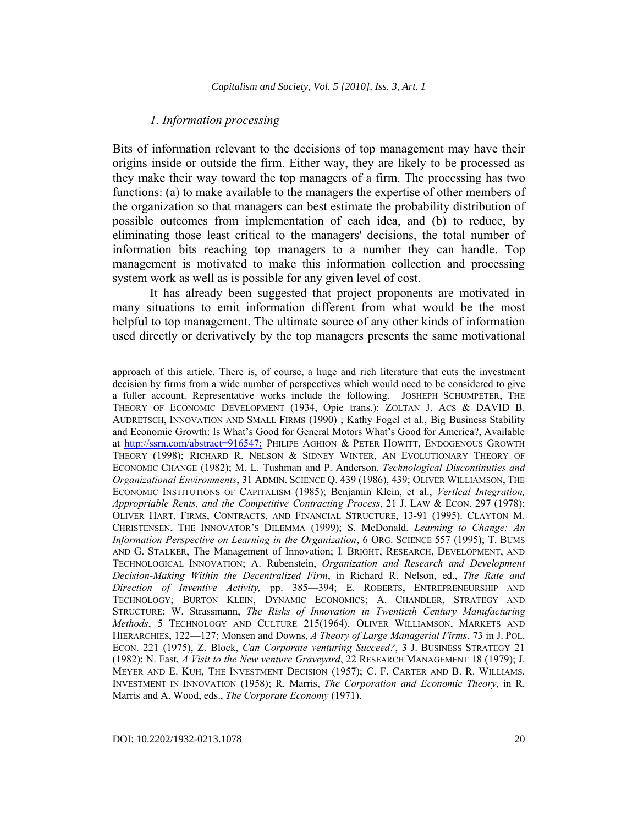# *1. Information processing*

Bits of information relevant to the decisions of top management may have their origins inside or outside the firm. Either way, they are likely to be processed as they make their way toward the top managers of a firm. The processing has two functions: (a) to make available to the managers the expertise of other members of the organization so that managers can best estimate the probability distribution of possible outcomes from implementation of each idea, and (b) to reduce, by eliminating those least critical to the managers' decisions, the total number of information bits reaching top managers to a number they can handle. Top management is motivated to make this information collection and processing system work as well as is possible for any given level of cost.

It has already been suggested that project proponents are motivated in many situations to emit information different from what would be the most helpful to top management. The ultimate source of any other kinds of information used directly or derivatively by the top managers presents the same motivational

 $\overline{a}$ 

approach of this article. There is, of course, a huge and rich literature that cuts the investment decision by firms from a wide number of perspectives which would need to be considered to give a fuller account. Representative works include the following. JOSHEPH SCHUMPETER, THE THEORY OF ECONOMIC DEVELOPMENT (1934, Opie trans.); ZOLTAN J. ACS & DAVID B. AUDRETSCH, INNOVATION AND SMALL FIRMS (1990) ; Kathy Fogel et al., Big Business Stability and Economic Growth: Is What's Good for General Motors What's Good for America?, Available at http://ssrn.com/abstract=916547; PHILIPE AGHION & PETER HOWITT, ENDOGENOUS GROWTH THEORY (1998); RICHARD R. NELSON & SIDNEY WINTER, AN EVOLUTIONARY THEORY OF ECONOMIC CHANGE (1982); M. L. Tushman and P. Anderson, *Technological Discontinuties and Organizational Environments*, 31 ADMIN. SCIENCE Q. 439 (1986), 439; OLIVER WILLIAMSON, THE ECONOMIC INSTITUTIONS OF CAPITALISM (1985); Benjamin Klein, et al., *Vertical Integration, Appropriable Rents, and the Competitive Contracting Process*, 21 J. LAW & ECON. 297 (1978); OLIVER HART, FIRMS, CONTRACTS, AND FINANCIAL STRUCTURE, 13-91 (1995). CLAYTON M. CHRISTENSEN, THE INNOVATOR'S DILEMMA (1999); S. McDonald, *Learning to Change: An Information Perspective on Learning in the Organization*, 6 ORG. SCIENCE 557 (1995); T. BUMS AND G. STALKER, The Management of Innovation; I*.* BRIGHT, RESEARCH, DEVELOPMENT, AND TECHNOLOGICAL INNOVATION; A. Rubenstein, *Organization and Research and Development Decision-Making Within the Decentralized Firm*, in Richard R. Nelson, ed., *The Rate and Direction of Inventive Activity,* pp. 385—394; E. ROBERTS, ENTREPRENEURSHIP AND TECHNOLOGY; BURTON KLEIN, DYNAMIC ECONOMICS; A. CHANDLER, STRATEGY AND STRUCTURE; W. Strassmann, *The Risks of Innovation in Twentieth Century Manufacturing Methods*, 5 TECHNOLOGY AND CULTURE 215(1964), OLIVER WILLIAMSON, MARKETS AND HIERARCHIES, 122—127; Monsen and Downs, *A Theory of Large Managerial Firms*, 73 in J. POL. ECON. 221 (1975), Z. Block, *Can Corporate venturing Succeed?*, 3 J. BUSINESS STRATEGY 21 (1982); N. Fast, *A Visit to the New venture Graveyard*, 22 RESEARCH MANAGEMENT 18 (1979); J. MEYER AND E. KUH, THE INVESTMENT DECISION (1957); C. F. CARTER AND B. R. WILLIAMS, INVESTMENT IN INNOVATION (1958); R. Marris, *The Corporation and Economic Theory*, in R. Marris and A. Wood, eds., *The Corporate Economy* (1971).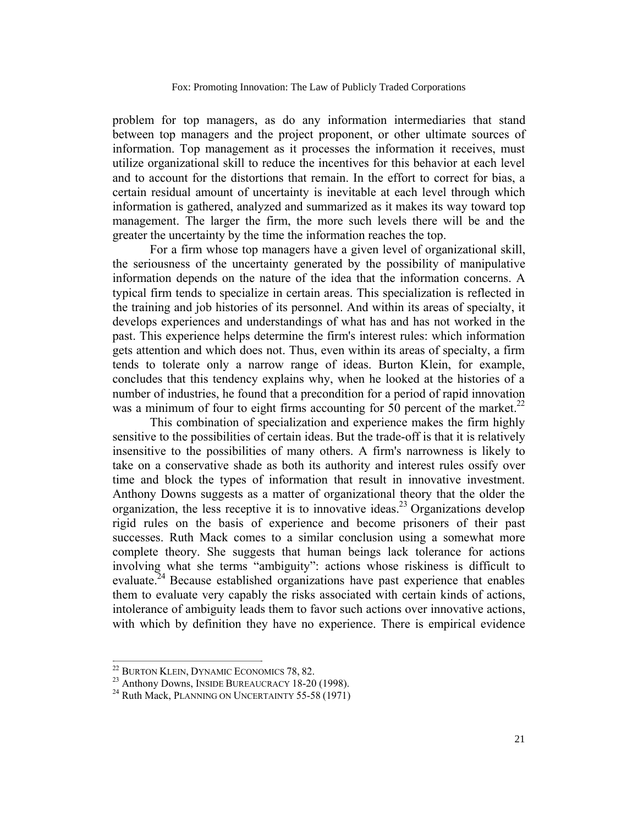problem for top managers, as do any information intermediaries that stand between top managers and the project proponent, or other ultimate sources of information. Top management as it processes the information it receives, must utilize organizational skill to reduce the incentives for this behavior at each level and to account for the distortions that remain. In the effort to correct for bias, a certain residual amount of uncertainty is inevitable at each level through which information is gathered, analyzed and summarized as it makes its way toward top management. The larger the firm, the more such levels there will be and the greater the uncertainty by the time the information reaches the top.

For a firm whose top managers have a given level of organizational skill, the seriousness of the uncertainty generated by the possibility of manipulative information depends on the nature of the idea that the information concerns. A typical firm tends to specialize in certain areas. This specialization is reflected in the training and job histories of its personnel. And within its areas of specialty, it develops experiences and understandings of what has and has not worked in the past. This experience helps determine the firm's interest rules: which information gets attention and which does not. Thus, even within its areas of specialty, a firm tends to tolerate only a narrow range of ideas. Burton Klein, for example, concludes that this tendency explains why, when he looked at the histories of a number of industries, he found that a precondition for a period of rapid innovation was a minimum of four to eight firms accounting for 50 percent of the market.<sup>22</sup>

This combination of specialization and experience makes the firm highly sensitive to the possibilities of certain ideas. But the trade-off is that it is relatively insensitive to the possibilities of many others. A firm's narrowness is likely to take on a conservative shade as both its authority and interest rules ossify over time and block the types of information that result in innovative investment. Anthony Downs suggests as a matter of organizational theory that the older the organization, the less receptive it is to innovative ideas.<sup>23</sup> Organizations develop rigid rules on the basis of experience and become prisoners of their past successes. Ruth Mack comes to a similar conclusion using a somewhat more complete theory. She suggests that human beings lack tolerance for actions involving what she terms "ambiguity": actions whose riskiness is difficult to evaluate.<sup>24</sup> Because established organizations have past experience that enables them to evaluate very capably the risks associated with certain kinds of actions, intolerance of ambiguity leads them to favor such actions over innovative actions, with which by definition they have no experience. There is empirical evidence

l

<sup>&</sup>lt;sup>22</sup> BURTON KLEIN, DYNAMIC ECONOMICS 78, 82.  $^{22}$  Burton Klein, Dynamic Economics 78, 82.<br> $^{23}$  Anthony Downs, Insure Bureaucracy 18, 20

 $\frac{23}{24}$  Anthony Downs, INSIDE BUREAUCRACY 18-20 (1998).<br> $\frac{24}{24}$  Buth Mook, BLANDING ON UNGERTA BUYS 55-58 (1971).

<sup>&</sup>lt;sup>24</sup> Ruth Mack, PLANNING ON UNCERTAINTY 55-58 (1971)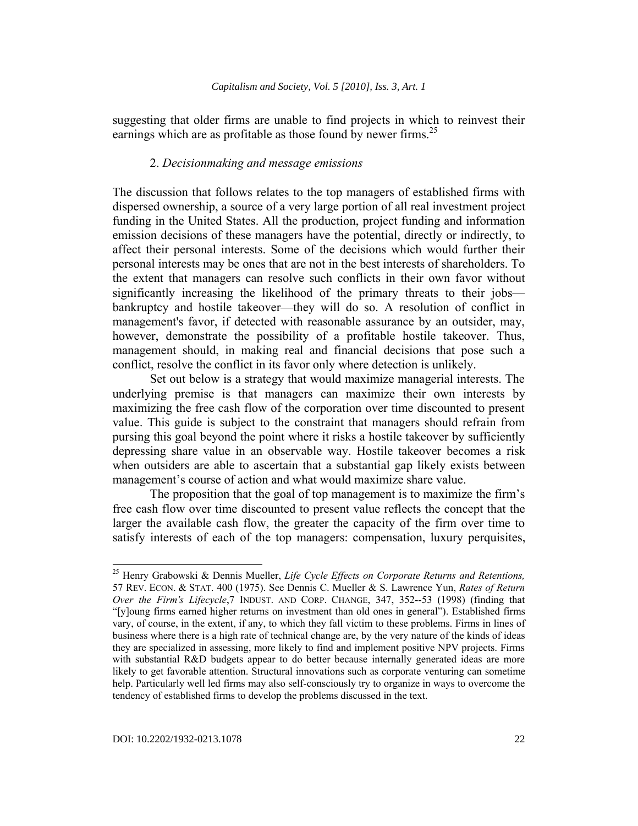suggesting that older firms are unable to find projects in which to reinvest their earnings which are as profitable as those found by newer firms.<sup>25</sup>

#### 2. *Decisionmaking and message emissions*

The discussion that follows relates to the top managers of established firms with dispersed ownership, a source of a very large portion of all real investment project funding in the United States. All the production, project funding and information emission decisions of these managers have the potential, directly or indirectly, to affect their personal interests. Some of the decisions which would further their personal interests may be ones that are not in the best interests of shareholders. To the extent that managers can resolve such conflicts in their own favor without significantly increasing the likelihood of the primary threats to their jobs bankruptcy and hostile takeover—they will do so. A resolution of conflict in management's favor, if detected with reasonable assurance by an outsider, may, however, demonstrate the possibility of a profitable hostile takeover. Thus, management should, in making real and financial decisions that pose such a conflict, resolve the conflict in its favor only where detection is unlikely.

Set out below is a strategy that would maximize managerial interests. The underlying premise is that managers can maximize their own interests by maximizing the free cash flow of the corporation over time discounted to present value. This guide is subject to the constraint that managers should refrain from pursing this goal beyond the point where it risks a hostile takeover by sufficiently depressing share value in an observable way. Hostile takeover becomes a risk when outsiders are able to ascertain that a substantial gap likely exists between management's course of action and what would maximize share value.

The proposition that the goal of top management is to maximize the firm's free cash flow over time discounted to present value reflects the concept that the larger the available cash flow, the greater the capacity of the firm over time to satisfy interests of each of the top managers: compensation, luxury perquisites,

 25 Henry Grabowski & Dennis Mueller, *Life Cycle Effects on Corporate Returns and Retentions,*  57 REV. ECON. & STAT. 400 (1975). See Dennis C. Mueller & S. Lawrence Yun, *Rates of Return Over the Firm's Lifecycle*,7 INDUST. AND CORP. CHANGE, 347, 352--53 (1998) (finding that "[y]oung firms earned higher returns on investment than old ones in general"). Established firms vary, of course, in the extent, if any, to which they fall victim to these problems. Firms in lines of business where there is a high rate of technical change are, by the very nature of the kinds of ideas they are specialized in assessing, more likely to find and implement positive NPV projects. Firms with substantial R&D budgets appear to do better because internally generated ideas are more likely to get favorable attention. Structural innovations such as corporate venturing can sometime help. Particularly well led firms may also self-consciously try to organize in ways to overcome the tendency of established firms to develop the problems discussed in the text.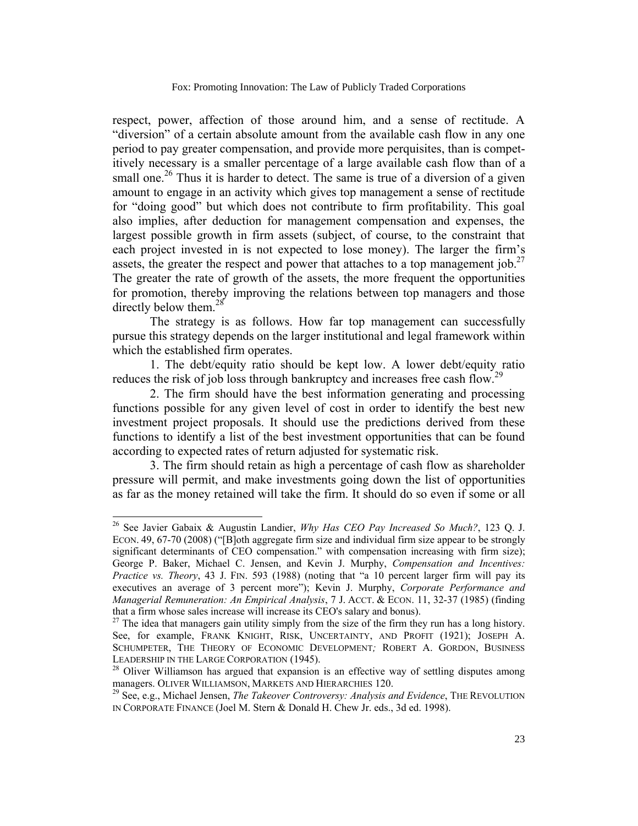respect, power, affection of those around him, and a sense of rectitude. A "diversion" of a certain absolute amount from the available cash flow in any one period to pay greater compensation, and provide more perquisites, than is competitively necessary is a smaller percentage of a large available cash flow than of a small one.<sup>26</sup> Thus it is harder to detect. The same is true of a diversion of a given amount to engage in an activity which gives top management a sense of rectitude for "doing good" but which does not contribute to firm profitability. This goal also implies, after deduction for management compensation and expenses, the largest possible growth in firm assets (subject, of course, to the constraint that each project invested in is not expected to lose money). The larger the firm's assets, the greater the respect and power that attaches to a top management job.<sup>27</sup> The greater the rate of growth of the assets, the more frequent the opportunities for promotion, thereby improving the relations between top managers and those directly below them. $^{28}$ 

The strategy is as follows. How far top management can successfully pursue this strategy depends on the larger institutional and legal framework within which the established firm operates.

1. The debt/equity ratio should be kept low. A lower debt/equity ratio reduces the risk of job loss through bankruptcy and increases free cash flow.<sup>29</sup>

2. The firm should have the best information generating and processing functions possible for any given level of cost in order to identify the best new investment project proposals. It should use the predictions derived from these functions to identify a list of the best investment opportunities that can be found according to expected rates of return adjusted for systematic risk.

3. The firm should retain as high a percentage of cash flow as shareholder pressure will permit, and make investments going down the list of opportunities as far as the money retained will take the firm. It should do so even if some or all

l

<sup>26</sup> See Javier Gabaix & Augustin Landier, *Why Has CEO Pay Increased So Much?*, 123 Q. J. ECON. 49, 67-70 (2008) ("[B]oth aggregate firm size and individual firm size appear to be strongly significant determinants of CEO compensation." with compensation increasing with firm size); George P. Baker, Michael C. Jensen, and Kevin J. Murphy, *Compensation and Incentives: Practice vs. Theory*, 43 J. FIN. 593 (1988) (noting that "a 10 percent larger firm will pay its executives an average of 3 percent more"); Kevin J. Murphy, *Corporate Performance and Managerial Remuneration: An Empirical Analysis*, 7 J. ACCT. & ECON. 11, 32-37 (1985) (finding that a firm whose sales increase will increase its CEO's salary and bonus).

 $27$  The idea that managers gain utility simply from the size of the firm they run has a long history. See, for example, FRANK KNIGHT, RISK, UNCERTAINTY, AND PROFIT (1921); JOSEPH A. SCHUMPETER, THE THEORY OF ECONOMIC DEVELOPMENT*;* ROBERT A. GORDON, BUSINESS LEADERSHIP IN THE LARGE CORPORATION (1945).

 $28$  Oliver Williamson has argued that expansion is an effective way of settling disputes among managers. OLIVER WILLIAMSON, MARKETS AND HIERARCHIES 120.

See, e.g., Michael Jensen, *The Takeover Controversy: Analysis and Evidence*, THE REVOLUTION IN CORPORATE FINANCE (Joel M. Stern & Donald H. Chew Jr. eds., 3d ed. 1998).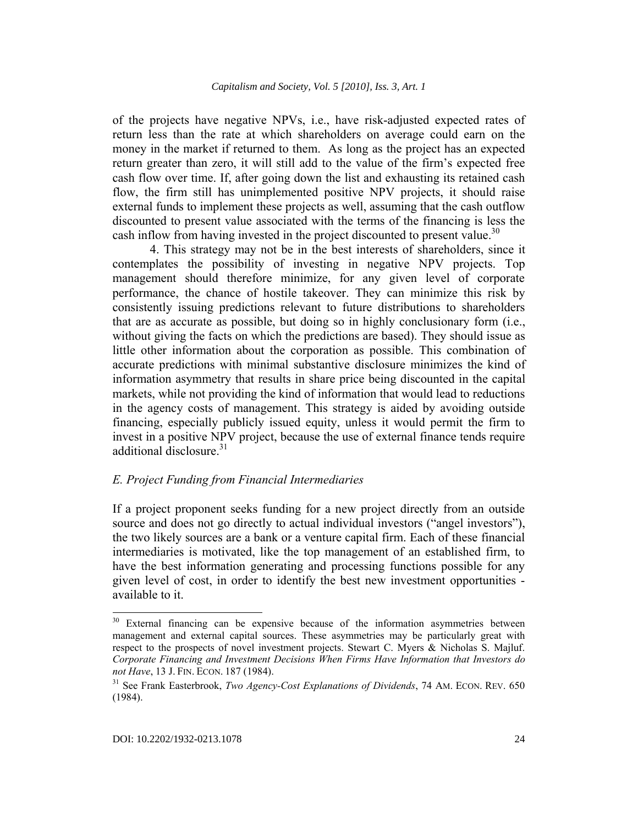of the projects have negative NPVs, i.e., have risk-adjusted expected rates of return less than the rate at which shareholders on average could earn on the money in the market if returned to them. As long as the project has an expected return greater than zero, it will still add to the value of the firm's expected free cash flow over time. If, after going down the list and exhausting its retained cash flow, the firm still has unimplemented positive NPV projects, it should raise external funds to implement these projects as well, assuming that the cash outflow discounted to present value associated with the terms of the financing is less the cash inflow from having invested in the project discounted to present value.<sup>30</sup>

4. This strategy may not be in the best interests of shareholders, since it contemplates the possibility of investing in negative NPV projects. Top management should therefore minimize, for any given level of corporate performance, the chance of hostile takeover. They can minimize this risk by consistently issuing predictions relevant to future distributions to shareholders that are as accurate as possible, but doing so in highly conclusionary form (i.e., without giving the facts on which the predictions are based). They should issue as little other information about the corporation as possible. This combination of accurate predictions with minimal substantive disclosure minimizes the kind of information asymmetry that results in share price being discounted in the capital markets, while not providing the kind of information that would lead to reductions in the agency costs of management. This strategy is aided by avoiding outside financing, especially publicly issued equity, unless it would permit the firm to invest in a positive NPV project, because the use of external finance tends require additional disclosure. $31$ 

#### *E. Project Funding from Financial Intermediaries*

If a project proponent seeks funding for a new project directly from an outside source and does not go directly to actual individual investors ("angel investors"), the two likely sources are a bank or a venture capital firm. Each of these financial intermediaries is motivated, like the top management of an established firm, to have the best information generating and processing functions possible for any given level of cost, in order to identify the best new investment opportunities available to it.

 $\overline{a}$ 

<sup>30</sup> External financing can be expensive because of the information asymmetries between management and external capital sources. These asymmetries may be particularly great with respect to the prospects of novel investment projects. Stewart C. Myers & Nicholas S. Majluf. *Corporate Financing and Investment Decisions When Firms Have Information that Investors do not Have*, 13 J. FIN. ECON. 187 (1984).

<sup>&</sup>lt;sup>31</sup> See Frank Easterbrook, *Two Agency-Cost Explanations of Dividends*, 74 AM. ECON. REV. 650 (1984).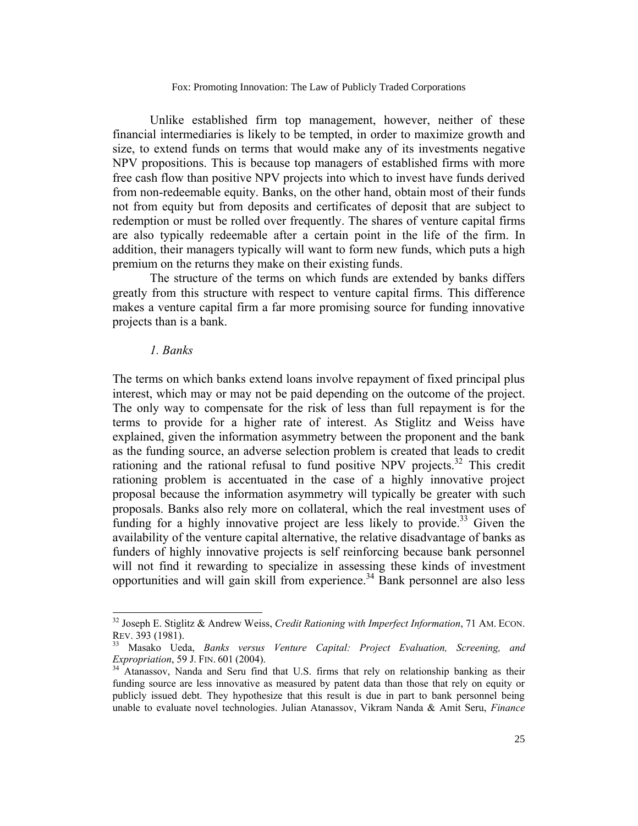Unlike established firm top management, however, neither of these financial intermediaries is likely to be tempted, in order to maximize growth and size, to extend funds on terms that would make any of its investments negative NPV propositions. This is because top managers of established firms with more free cash flow than positive NPV projects into which to invest have funds derived from non-redeemable equity. Banks, on the other hand, obtain most of their funds not from equity but from deposits and certificates of deposit that are subject to redemption or must be rolled over frequently. The shares of venture capital firms are also typically redeemable after a certain point in the life of the firm. In addition, their managers typically will want to form new funds, which puts a high premium on the returns they make on their existing funds.

The structure of the terms on which funds are extended by banks differs greatly from this structure with respect to venture capital firms. This difference makes a venture capital firm a far more promising source for funding innovative projects than is a bank.

#### *1. Banks*

 $\overline{a}$ 

The terms on which banks extend loans involve repayment of fixed principal plus interest, which may or may not be paid depending on the outcome of the project. The only way to compensate for the risk of less than full repayment is for the terms to provide for a higher rate of interest. As Stiglitz and Weiss have explained, given the information asymmetry between the proponent and the bank as the funding source, an adverse selection problem is created that leads to credit rationing and the rational refusal to fund positive NPV projects.<sup>32</sup> This credit rationing problem is accentuated in the case of a highly innovative project proposal because the information asymmetry will typically be greater with such proposals. Banks also rely more on collateral, which the real investment uses of funding for a highly innovative project are less likely to provide.<sup>33</sup> Given the availability of the venture capital alternative, the relative disadvantage of banks as funders of highly innovative projects is self reinforcing because bank personnel will not find it rewarding to specialize in assessing these kinds of investment opportunities and will gain skill from experience.<sup>34</sup> Bank personnel are also less

<sup>32</sup> Joseph E. Stiglitz & Andrew Weiss, *Credit Rationing with Imperfect Information*, 71 AM. ECON. REV. 393 (1981).

Masako Ueda, *Banks versus Venture Capital: Project Evaluation, Screening, and Expropriation*, 59 J. FIN. 601 (2004).

 $34$  Atanassov, Nanda and Seru find that U.S. firms that rely on relationship banking as their funding source are less innovative as measured by patent data than those that rely on equity or publicly issued debt. They hypothesize that this result is due in part to bank personnel being unable to evaluate novel technologies. Julian Atanassov, Vikram Nanda & Amit Seru, *Finance*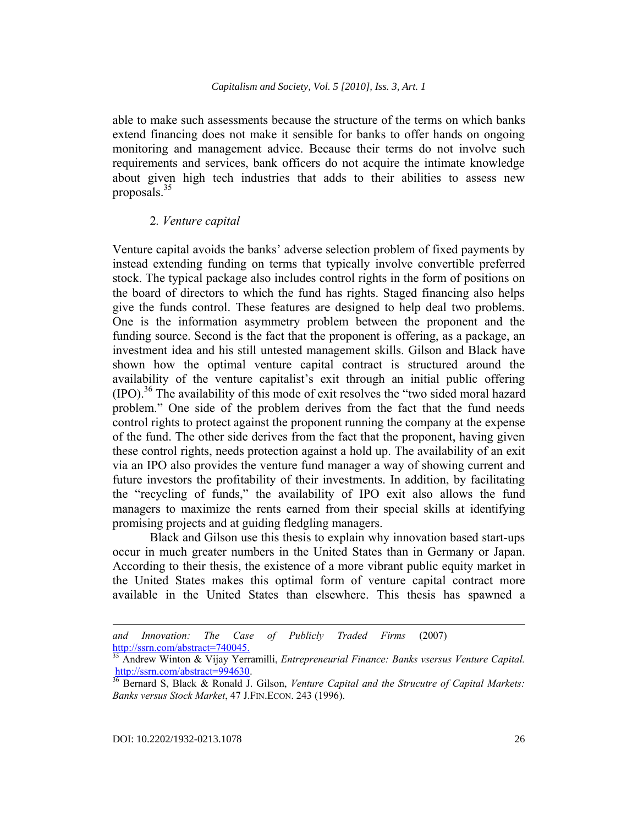able to make such assessments because the structure of the terms on which banks extend financing does not make it sensible for banks to offer hands on ongoing monitoring and management advice. Because their terms do not involve such requirements and services, bank officers do not acquire the intimate knowledge about given high tech industries that adds to their abilities to assess new proposals. $35$ 

#### 2*. Venture capital*

Venture capital avoids the banks' adverse selection problem of fixed payments by instead extending funding on terms that typically involve convertible preferred stock. The typical package also includes control rights in the form of positions on the board of directors to which the fund has rights. Staged financing also helps give the funds control. These features are designed to help deal two problems. One is the information asymmetry problem between the proponent and the funding source. Second is the fact that the proponent is offering, as a package, an investment idea and his still untested management skills. Gilson and Black have shown how the optimal venture capital contract is structured around the availability of the venture capitalist's exit through an initial public offering  $(1PO)$ <sup>36</sup>. The availability of this mode of exit resolves the "two sided moral hazard" problem." One side of the problem derives from the fact that the fund needs control rights to protect against the proponent running the company at the expense of the fund. The other side derives from the fact that the proponent, having given these control rights, needs protection against a hold up. The availability of an exit via an IPO also provides the venture fund manager a way of showing current and future investors the profitability of their investments. In addition, by facilitating the "recycling of funds," the availability of IPO exit also allows the fund managers to maximize the rents earned from their special skills at identifying promising projects and at guiding fledgling managers.

Black and Gilson use this thesis to explain why innovation based start-ups occur in much greater numbers in the United States than in Germany or Japan. According to their thesis, the existence of a more vibrant public equity market in the United States makes this optimal form of venture capital contract more available in the United States than elsewhere. This thesis has spawned a

l

*and Innovation: The Case of Publicly Traded Firms* (2007) http://ssrn.com/abstract=740045.

<sup>35</sup> Andrew Winton & Vijay Yerramilli, *Entrepreneurial Finance: Banks vsersus Venture Capital.*  http://ssrn.com/abstract=994630. 36 Bernard S, Black & Ronald J. Gilson, *Venture Capital and the Strucutre of Capital Markets:* 

*Banks versus Stock Market*, 47 J.FIN.ECON. 243 (1996).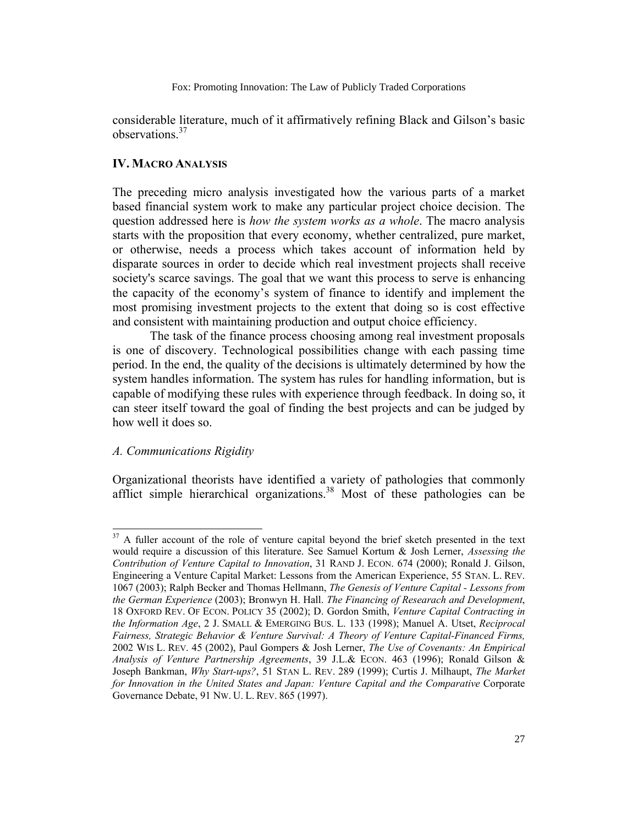considerable literature, much of it affirmatively refining Black and Gilson's basic observations<sup>37</sup>

# **IV. MACRO ANALYSIS**

The preceding micro analysis investigated how the various parts of a market based financial system work to make any particular project choice decision. The question addressed here is *how the system works as a whole*. The macro analysis starts with the proposition that every economy, whether centralized, pure market, or otherwise, needs a process which takes account of information held by disparate sources in order to decide which real investment projects shall receive society's scarce savings. The goal that we want this process to serve is enhancing the capacity of the economy's system of finance to identify and implement the most promising investment projects to the extent that doing so is cost effective and consistent with maintaining production and output choice efficiency.

The task of the finance process choosing among real investment proposals is one of discovery. Technological possibilities change with each passing time period. In the end, the quality of the decisions is ultimately determined by how the system handles information. The system has rules for handling information, but is capable of modifying these rules with experience through feedback. In doing so, it can steer itself toward the goal of finding the best projects and can be judged by how well it does so.

# *A. Communications Rigidity*

Organizational theorists have identified a variety of pathologies that commonly afflict simple hierarchical organizations.<sup>38</sup> Most of these pathologies can be

<sup>&</sup>lt;sup>37</sup> A fuller account of the role of venture capital beyond the brief sketch presented in the text would require a discussion of this literature. See Samuel Kortum & Josh Lerner, *Assessing the Contribution of Venture Capital to Innovation*, 31 RAND J. ECON. 674 (2000); Ronald J. Gilson, Engineering a Venture Capital Market: Lessons from the American Experience, 55 STAN. L. REV. 1067 (2003); Ralph Becker and Thomas Hellmann, *The Genesis of Venture Capital - Lessons from the German Experience* (2003); Bronwyn H. Hall. *The Financing of Researach and Development*, 18 OXFORD REV. OF ECON. POLICY 35 (2002); D. Gordon Smith, *Venture Capital Contracting in the Information Age*, 2 J. SMALL & EMERGING BUS. L. 133 (1998); Manuel A. Utset, *Reciprocal Fairness, Strategic Behavior & Venture Survival: A Theory of Venture Capital-Financed Firms,* 2002 WIS L. REV. 45 (2002), Paul Gompers & Josh Lerner, *The Use of Covenants: An Empirical Analysis of Venture Partnership Agreements*, 39 J.L.& ECON. 463 (1996); Ronald Gilson & Joseph Bankman, *Why Start-ups?*, 51 STAN L. REV. 289 (1999); Curtis J. Milhaupt, *The Market for Innovation in the United States and Japan: Venture Capital and the Comparative* Corporate Governance Debate, 91 NW. U. L. REV. 865 (1997).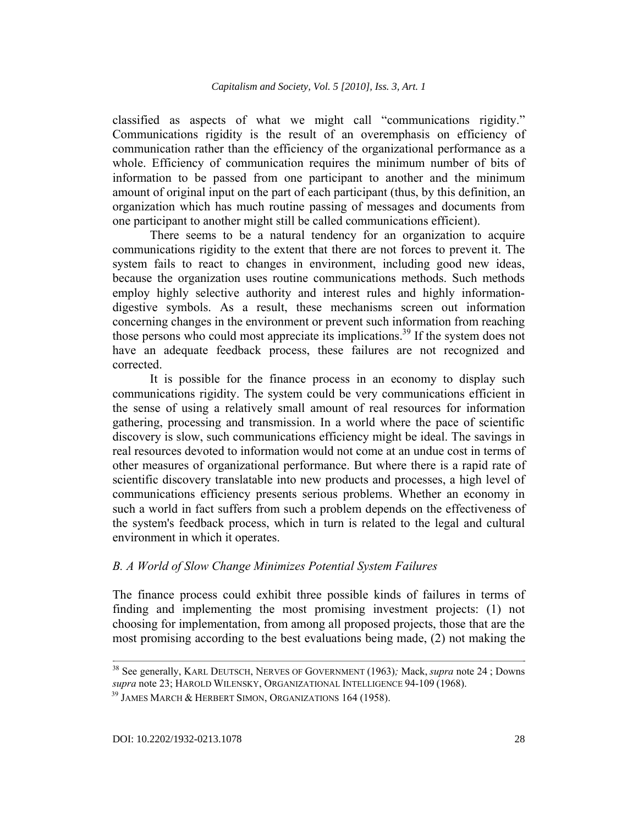classified as aspects of what we might call "communications rigidity." Communications rigidity is the result of an overemphasis on efficiency of communication rather than the efficiency of the organizational performance as a whole. Efficiency of communication requires the minimum number of bits of information to be passed from one participant to another and the minimum amount of original input on the part of each participant (thus, by this definition, an organization which has much routine passing of messages and documents from one participant to another might still be called communications efficient).

There seems to be a natural tendency for an organization to acquire communications rigidity to the extent that there are not forces to prevent it. The system fails to react to changes in environment, including good new ideas, because the organization uses routine communications methods. Such methods employ highly selective authority and interest rules and highly informationdigestive symbols. As a result, these mechanisms screen out information concerning changes in the environment or prevent such information from reaching those persons who could most appreciate its implications.<sup>39</sup> If the system does not have an adequate feedback process, these failures are not recognized and corrected.

It is possible for the finance process in an economy to display such communications rigidity. The system could be very communications efficient in the sense of using a relatively small amount of real resources for information gathering, processing and transmission. In a world where the pace of scientific discovery is slow, such communications efficiency might be ideal. The savings in real resources devoted to information would not come at an undue cost in terms of other measures of organizational performance. But where there is a rapid rate of scientific discovery translatable into new products and processes, a high level of communications efficiency presents serious problems. Whether an economy in such a world in fact suffers from such a problem depends on the effectiveness of the system's feedback process, which in turn is related to the legal and cultural environment in which it operates.

# *B. A World of Slow Change Minimizes Potential System Failures*

The finance process could exhibit three possible kinds of failures in terms of finding and implementing the most promising investment projects: (1) not choosing for implementation, from among all proposed projects, those that are the most promising according to the best evaluations being made, (2) not making the

l

<sup>38</sup> See generally, KARL DEUTSCH, NERVES OF GOVERNMENT (1963)*;* Mack, *supra* note 24 ; Downs *supra* note 23; HAROLD WILENSKY, ORGANIZATIONAL INTELLIGENCE 94-109 (1968).

<sup>&</sup>lt;sup>39</sup> JAMES MARCH & HERBERT SIMON, ORGANIZATIONS 164 (1958).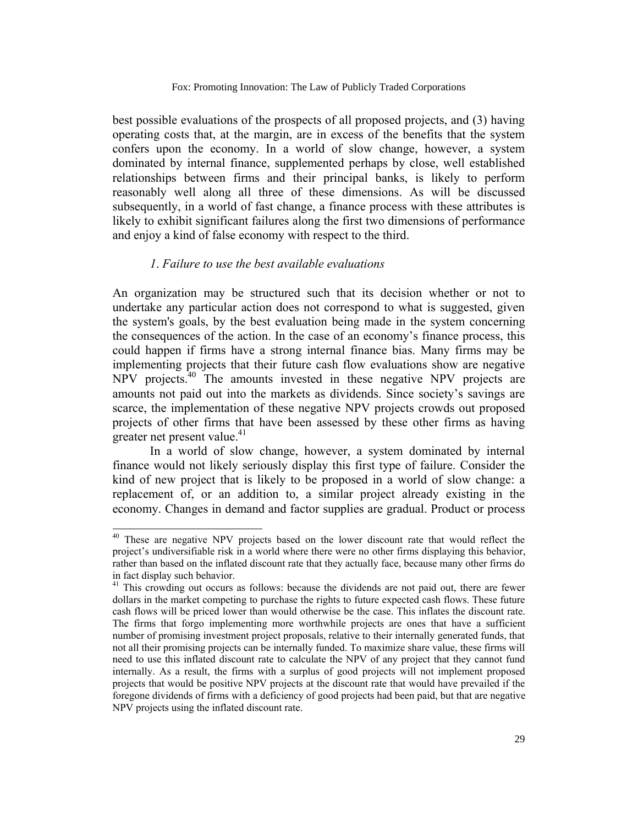best possible evaluations of the prospects of all proposed projects, and (3) having operating costs that, at the margin, are in excess of the benefits that the system confers upon the economy. In a world of slow change, however, a system dominated by internal finance, supplemented perhaps by close, well established relationships between firms and their principal banks, is likely to perform reasonably well along all three of these dimensions. As will be discussed subsequently, in a world of fast change, a finance process with these attributes is likely to exhibit significant failures along the first two dimensions of performance and enjoy a kind of false economy with respect to the third.

# *1*. *Failure to use the best available evaluations*

An organization may be structured such that its decision whether or not to undertake any particular action does not correspond to what is suggested, given the system's goals, by the best evaluation being made in the system concerning the consequences of the action. In the case of an economy's finance process, this could happen if firms have a strong internal finance bias. Many firms may be implementing projects that their future cash flow evaluations show are negative NPV projects.<sup>40</sup> The amounts invested in these negative NPV projects are amounts not paid out into the markets as dividends. Since society's savings are scarce, the implementation of these negative NPV projects crowds out proposed projects of other firms that have been assessed by these other firms as having greater net present value.<sup>41</sup>

In a world of slow change, however, a system dominated by internal finance would not likely seriously display this first type of failure. Consider the kind of new project that is likely to be proposed in a world of slow change: a replacement of, or an addition to, a similar project already existing in the economy. Changes in demand and factor supplies are gradual. Product or process

These are negative NPV projects based on the lower discount rate that would reflect the project's undiversifiable risk in a world where there were no other firms displaying this behavior, rather than based on the inflated discount rate that they actually face, because many other firms do in fact display such behavior.

<sup>&</sup>lt;sup>41</sup> This crowding out occurs as follows: because the dividends are not paid out, there are fewer dollars in the market competing to purchase the rights to future expected cash flows. These future cash flows will be priced lower than would otherwise be the case. This inflates the discount rate. The firms that forgo implementing more worthwhile projects are ones that have a sufficient number of promising investment project proposals, relative to their internally generated funds, that not all their promising projects can be internally funded. To maximize share value, these firms will need to use this inflated discount rate to calculate the NPV of any project that they cannot fund internally. As a result, the firms with a surplus of good projects will not implement proposed projects that would be positive NPV projects at the discount rate that would have prevailed if the foregone dividends of firms with a deficiency of good projects had been paid, but that are negative NPV projects using the inflated discount rate.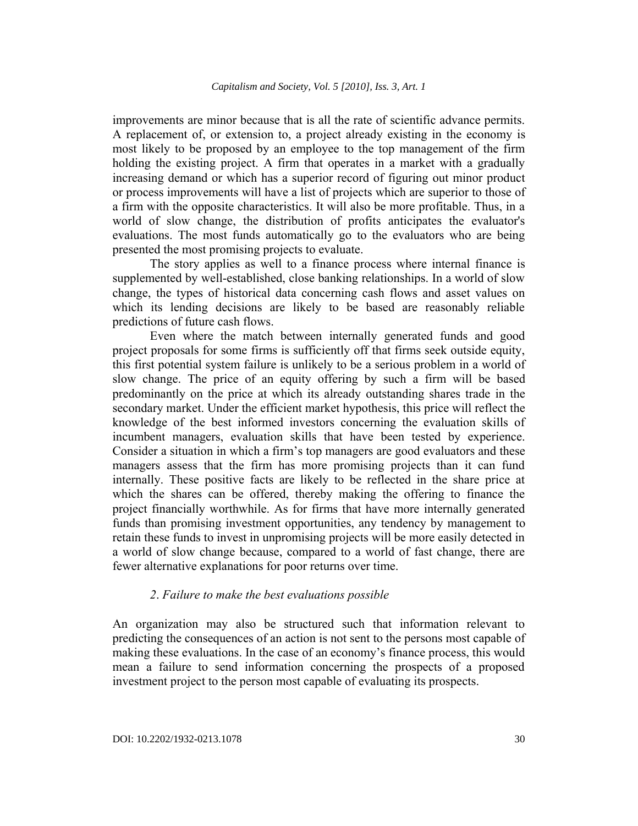improvements are minor because that is all the rate of scientific advance permits. A replacement of, or extension to, a project already existing in the economy is most likely to be proposed by an employee to the top management of the firm holding the existing project. A firm that operates in a market with a gradually increasing demand or which has a superior record of figuring out minor product or process improvements will have a list of projects which are superior to those of a firm with the opposite characteristics. It will also be more profitable. Thus, in a world of slow change, the distribution of profits anticipates the evaluator's evaluations. The most funds automatically go to the evaluators who are being presented the most promising projects to evaluate.

The story applies as well to a finance process where internal finance is supplemented by well-established, close banking relationships. In a world of slow change, the types of historical data concerning cash flows and asset values on which its lending decisions are likely to be based are reasonably reliable predictions of future cash flows.

Even where the match between internally generated funds and good project proposals for some firms is sufficiently off that firms seek outside equity, this first potential system failure is unlikely to be a serious problem in a world of slow change. The price of an equity offering by such a firm will be based predominantly on the price at which its already outstanding shares trade in the secondary market. Under the efficient market hypothesis, this price will reflect the knowledge of the best informed investors concerning the evaluation skills of incumbent managers, evaluation skills that have been tested by experience. Consider a situation in which a firm's top managers are good evaluators and these managers assess that the firm has more promising projects than it can fund internally. These positive facts are likely to be reflected in the share price at which the shares can be offered, thereby making the offering to finance the project financially worthwhile. As for firms that have more internally generated funds than promising investment opportunities, any tendency by management to retain these funds to invest in unpromising projects will be more easily detected in a world of slow change because, compared to a world of fast change, there are fewer alternative explanations for poor returns over time.

#### *2*. *Failure to make the best evaluations possible*

An organization may also be structured such that information relevant to predicting the consequences of an action is not sent to the persons most capable of making these evaluations. In the case of an economy's finance process, this would mean a failure to send information concerning the prospects of a proposed investment project to the person most capable of evaluating its prospects.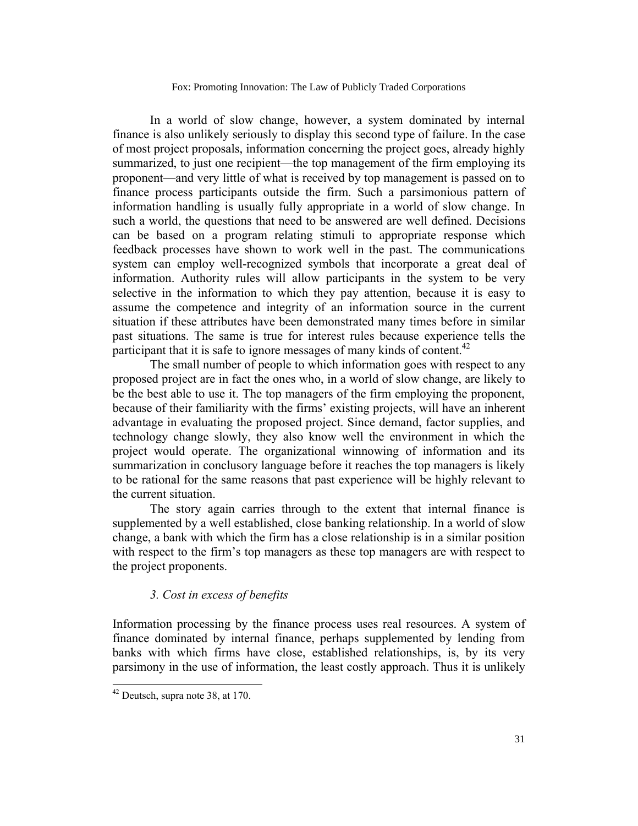In a world of slow change, however, a system dominated by internal finance is also unlikely seriously to display this second type of failure. In the case of most project proposals, information concerning the project goes, already highly summarized, to just one recipient—the top management of the firm employing its proponent—and very little of what is received by top management is passed on to finance process participants outside the firm. Such a parsimonious pattern of information handling is usually fully appropriate in a world of slow change. In such a world, the questions that need to be answered are well defined. Decisions can be based on a program relating stimuli to appropriate response which feedback processes have shown to work well in the past. The communications system can employ well-recognized symbols that incorporate a great deal of information. Authority rules will allow participants in the system to be very selective in the information to which they pay attention, because it is easy to assume the competence and integrity of an information source in the current situation if these attributes have been demonstrated many times before in similar past situations. The same is true for interest rules because experience tells the participant that it is safe to ignore messages of many kinds of content.<sup>42</sup>

The small number of people to which information goes with respect to any proposed project are in fact the ones who, in a world of slow change, are likely to be the best able to use it. The top managers of the firm employing the proponent, because of their familiarity with the firms' existing projects, will have an inherent advantage in evaluating the proposed project. Since demand, factor supplies, and technology change slowly, they also know well the environment in which the project would operate. The organizational winnowing of information and its summarization in conclusory language before it reaches the top managers is likely to be rational for the same reasons that past experience will be highly relevant to the current situation.

The story again carries through to the extent that internal finance is supplemented by a well established, close banking relationship. In a world of slow change, a bank with which the firm has a close relationship is in a similar position with respect to the firm's top managers as these top managers are with respect to the project proponents.

# *3. Cost in excess of benefits*

Information processing by the finance process uses real resources. A system of finance dominated by internal finance, perhaps supplemented by lending from banks with which firms have close, established relationships, is, by its very parsimony in the use of information, the least costly approach. Thus it is unlikely

 42 Deutsch, supra note 38, at 170.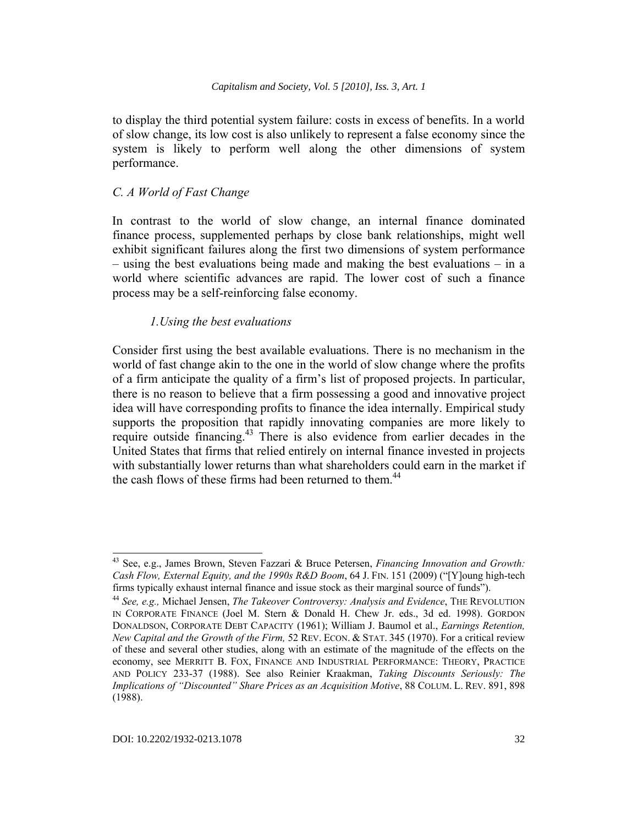to display the third potential system failure: costs in excess of benefits. In a world of slow change, its low cost is also unlikely to represent a false economy since the system is likely to perform well along the other dimensions of system performance.

# *C. A World of Fast Change*

In contrast to the world of slow change, an internal finance dominated finance process, supplemented perhaps by close bank relationships, might well exhibit significant failures along the first two dimensions of system performance – using the best evaluations being made and making the best evaluations – in a world where scientific advances are rapid. The lower cost of such a finance process may be a self-reinforcing false economy.

# *1.Using the best evaluations*

Consider first using the best available evaluations. There is no mechanism in the world of fast change akin to the one in the world of slow change where the profits of a firm anticipate the quality of a firm's list of proposed projects. In particular, there is no reason to believe that a firm possessing a good and innovative project idea will have corresponding profits to finance the idea internally. Empirical study supports the proposition that rapidly innovating companies are more likely to require outside financing.<sup>43</sup> There is also evidence from earlier decades in the United States that firms that relied entirely on internal finance invested in projects with substantially lower returns than what shareholders could earn in the market if the cash flows of these firms had been returned to them.<sup>44</sup>

l

<sup>43</sup> See, e.g., James Brown, Steven Fazzari & Bruce Petersen, *Financing Innovation and Growth: Cash Flow, External Equity, and the 1990s R&D Boom*, 64 J. FIN. 151 (2009) ("[Y]oung high-tech firms typically exhaust internal finance and issue stock as their marginal source of funds").

<sup>44</sup> *See, e.g.,* Michael Jensen, *The Takeover Controversy: Analysis and Evidence*, THE REVOLUTION IN CORPORATE FINANCE (Joel M. Stern & Donald H. Chew Jr. eds., 3d ed. 1998). GORDON DONALDSON, CORPORATE DEBT CAPACITY (1961); William J. Baumol et al., *Earnings Retention, New Capital and the Growth of the Firm,* 52 REV. ECON. & STAT. 345 (1970). For a critical review of these and several other studies, along with an estimate of the magnitude of the effects on the economy, see MERRITT B. FOX, FINANCE AND INDUSTRIAL PERFORMANCE: THEORY, PRACTICE AND POLICY 233-37 (1988). See also Reinier Kraakman, *Taking Discounts Seriously: The Implications of "Discounted" Share Prices as an Acquisition Motive*, 88 COLUM. L. REV. 891, 898 (1988).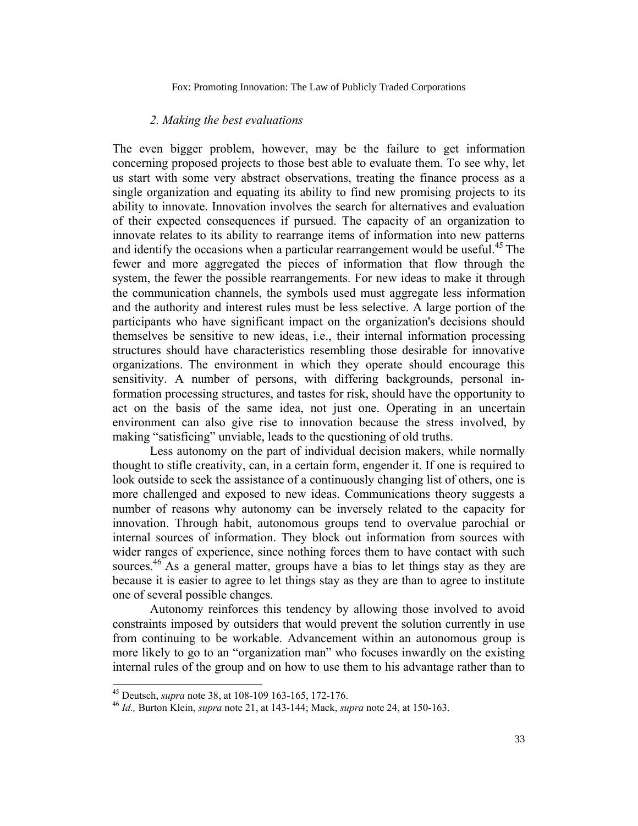#### *2. Making the best evaluations*

The even bigger problem, however, may be the failure to get information concerning proposed projects to those best able to evaluate them. To see why, let us start with some very abstract observations, treating the finance process as a single organization and equating its ability to find new promising projects to its ability to innovate. Innovation involves the search for alternatives and evaluation of their expected consequences if pursued. The capacity of an organization to innovate relates to its ability to rearrange items of information into new patterns and identify the occasions when a particular rearrangement would be useful.<sup>45</sup> The fewer and more aggregated the pieces of information that flow through the system, the fewer the possible rearrangements. For new ideas to make it through the communication channels, the symbols used must aggregate less information and the authority and interest rules must be less selective. A large portion of the participants who have significant impact on the organization's decisions should themselves be sensitive to new ideas, i.e., their internal information processing structures should have characteristics resembling those desirable for innovative organizations. The environment in which they operate should encourage this sensitivity. A number of persons, with differing backgrounds, personal information processing structures, and tastes for risk, should have the opportunity to act on the basis of the same idea, not just one. Operating in an uncertain environment can also give rise to innovation because the stress involved, by making "satisficing" unviable, leads to the questioning of old truths.

Less autonomy on the part of individual decision makers, while normally thought to stifle creativity, can, in a certain form, engender it. If one is required to look outside to seek the assistance of a continuously changing list of others, one is more challenged and exposed to new ideas. Communications theory suggests a number of reasons why autonomy can be inversely related to the capacity for innovation. Through habit, autonomous groups tend to overvalue parochial or internal sources of information. They block out information from sources with wider ranges of experience, since nothing forces them to have contact with such sources.<sup>46</sup> As a general matter, groups have a bias to let things stay as they are because it is easier to agree to let things stay as they are than to agree to institute one of several possible changes.

Autonomy reinforces this tendency by allowing those involved to avoid constraints imposed by outsiders that would prevent the solution currently in use from continuing to be workable. Advancement within an autonomous group is more likely to go to an "organization man" who focuses inwardly on the existing internal rules of the group and on how to use them to his advantage rather than to

 $-$ 

<sup>&</sup>lt;sup>46</sup> *Id.*, Burton Klein, *supra* note 21, at 143-144; Mack, *supra* note 24, at 150-163.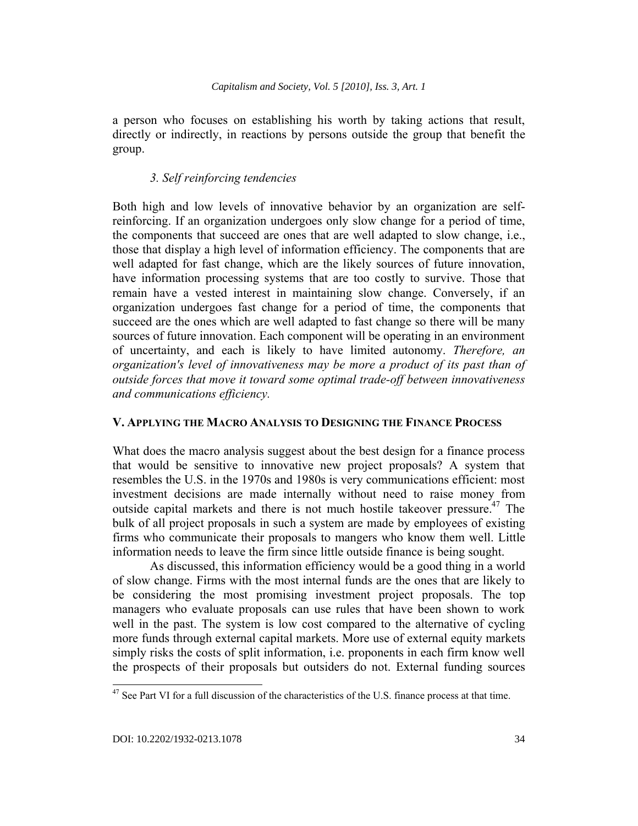a person who focuses on establishing his worth by taking actions that result, directly or indirectly, in reactions by persons outside the group that benefit the group.

# *3. Self reinforcing tendencies*

Both high and low levels of innovative behavior by an organization are selfreinforcing. If an organization undergoes only slow change for a period of time, the components that succeed are ones that are well adapted to slow change, i.e., those that display a high level of information efficiency. The components that are well adapted for fast change, which are the likely sources of future innovation, have information processing systems that are too costly to survive. Those that remain have a vested interest in maintaining slow change. Conversely, if an organization undergoes fast change for a period of time, the components that succeed are the ones which are well adapted to fast change so there will be many sources of future innovation. Each component will be operating in an environment of uncertainty, and each is likely to have limited autonomy. *Therefore, an organization's level of innovativeness may be more a product of its past than of outside forces that move it toward some optimal trade-off between innovativeness and communications efficiency.*

# **V. APPLYING THE MACRO ANALYSIS TO DESIGNING THE FINANCE PROCESS**

What does the macro analysis suggest about the best design for a finance process that would be sensitive to innovative new project proposals? A system that resembles the U.S. in the 1970s and 1980s is very communications efficient: most investment decisions are made internally without need to raise money from outside capital markets and there is not much hostile takeover pressure.<sup>47</sup> The bulk of all project proposals in such a system are made by employees of existing firms who communicate their proposals to mangers who know them well. Little information needs to leave the firm since little outside finance is being sought.

As discussed, this information efficiency would be a good thing in a world of slow change. Firms with the most internal funds are the ones that are likely to be considering the most promising investment project proposals. The top managers who evaluate proposals can use rules that have been shown to work well in the past. The system is low cost compared to the alternative of cycling more funds through external capital markets. More use of external equity markets simply risks the costs of split information, i.e. proponents in each firm know well the prospects of their proposals but outsiders do not. External funding sources

<sup>&</sup>lt;sup>47</sup> See Part VI for a full discussion of the characteristics of the U.S. finance process at that time.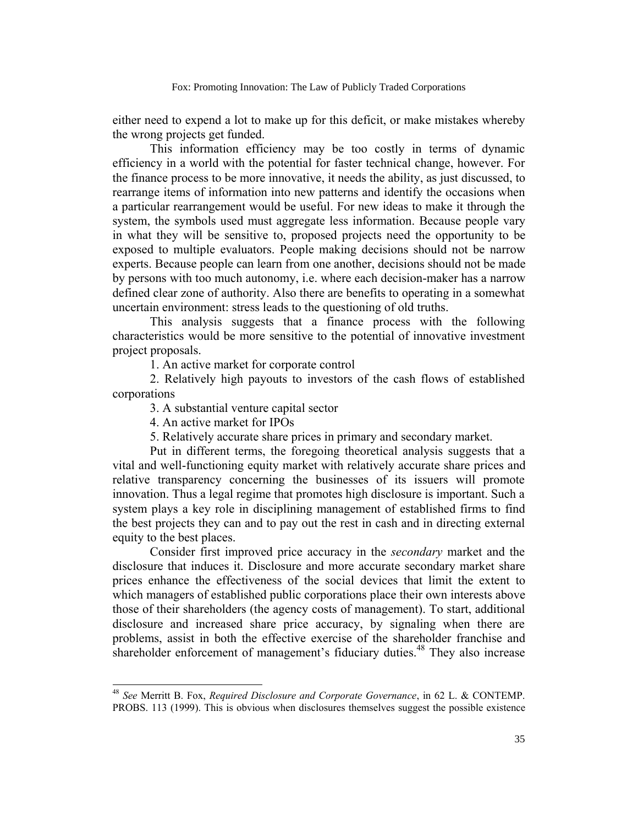either need to expend a lot to make up for this deficit, or make mistakes whereby the wrong projects get funded.

This information efficiency may be too costly in terms of dynamic efficiency in a world with the potential for faster technical change, however. For the finance process to be more innovative, it needs the ability, as just discussed, to rearrange items of information into new patterns and identify the occasions when a particular rearrangement would be useful. For new ideas to make it through the system, the symbols used must aggregate less information. Because people vary in what they will be sensitive to, proposed projects need the opportunity to be exposed to multiple evaluators. People making decisions should not be narrow experts. Because people can learn from one another, decisions should not be made by persons with too much autonomy, i.e. where each decision-maker has a narrow defined clear zone of authority. Also there are benefits to operating in a somewhat uncertain environment: stress leads to the questioning of old truths.

This analysis suggests that a finance process with the following characteristics would be more sensitive to the potential of innovative investment project proposals.

1. An active market for corporate control

2. Relatively high payouts to investors of the cash flows of established corporations

3. A substantial venture capital sector

4. An active market for IPOs

 $\overline{a}$ 

5. Relatively accurate share prices in primary and secondary market.

Put in different terms, the foregoing theoretical analysis suggests that a vital and well-functioning equity market with relatively accurate share prices and relative transparency concerning the businesses of its issuers will promote innovation. Thus a legal regime that promotes high disclosure is important. Such a system plays a key role in disciplining management of established firms to find the best projects they can and to pay out the rest in cash and in directing external equity to the best places.

Consider first improved price accuracy in the *secondary* market and the disclosure that induces it. Disclosure and more accurate secondary market share prices enhance the effectiveness of the social devices that limit the extent to which managers of established public corporations place their own interests above those of their shareholders (the agency costs of management). To start, additional disclosure and increased share price accuracy, by signaling when there are problems, assist in both the effective exercise of the shareholder franchise and shareholder enforcement of management's fiduciary duties.<sup>48</sup> They also increase

<sup>48</sup> *See* Merritt B. Fox, *Required Disclosure and Corporate Governance*, in 62 L. & CONTEMP. PROBS. 113 (1999). This is obvious when disclosures themselves suggest the possible existence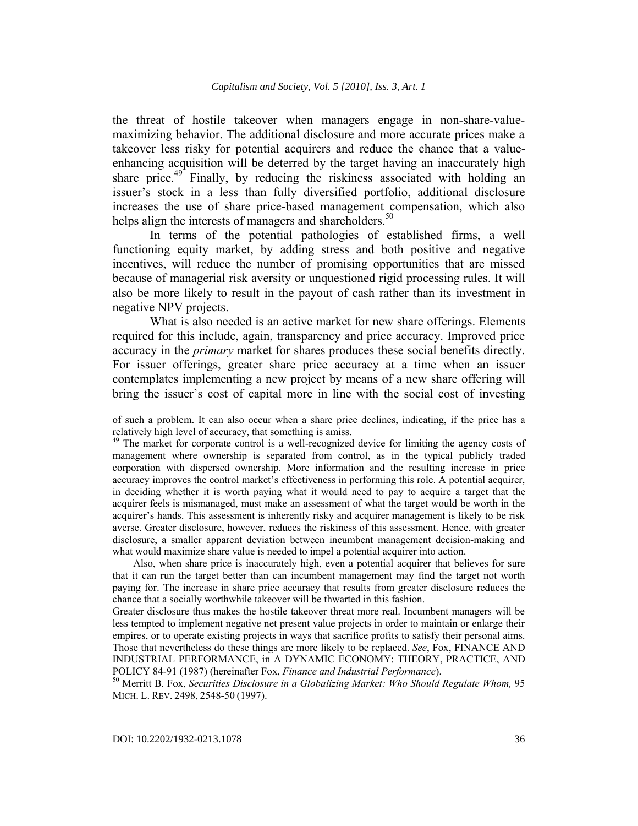the threat of hostile takeover when managers engage in non-share-valuemaximizing behavior. The additional disclosure and more accurate prices make a takeover less risky for potential acquirers and reduce the chance that a valueenhancing acquisition will be deterred by the target having an inaccurately high share price.<sup>49</sup> Finally, by reducing the riskiness associated with holding an issuer's stock in a less than fully diversified portfolio, additional disclosure increases the use of share price-based management compensation, which also helps align the interests of managers and shareholders.<sup>50</sup>

In terms of the potential pathologies of established firms, a well functioning equity market, by adding stress and both positive and negative incentives, will reduce the number of promising opportunities that are missed because of managerial risk aversity or unquestioned rigid processing rules. It will also be more likely to result in the payout of cash rather than its investment in negative NPV projects.

What is also needed is an active market for new share offerings. Elements required for this include, again, transparency and price accuracy. Improved price accuracy in the *primary* market for shares produces these social benefits directly. For issuer offerings, greater share price accuracy at a time when an issuer contemplates implementing a new project by means of a new share offering will bring the issuer's cost of capital more in line with the social cost of investing

Also, when share price is inaccurately high, even a potential acquirer that believes for sure that it can run the target better than can incumbent management may find the target not worth paying for. The increase in share price accuracy that results from greater disclosure reduces the chance that a socially worthwhile takeover will be thwarted in this fashion.

Greater disclosure thus makes the hostile takeover threat more real. Incumbent managers will be less tempted to implement negative net present value projects in order to maintain or enlarge their empires, or to operate existing projects in ways that sacrifice profits to satisfy their personal aims. Those that nevertheless do these things are more likely to be replaced. *See*, Fox, FINANCE AND INDUSTRIAL PERFORMANCE, in A DYNAMIC ECONOMY: THEORY, PRACTICE, AND POLICY 84-91 (1987) (hereinafter Fox, *Finance and Industrial Performance*).

l

of such a problem. It can also occur when a share price declines, indicating, if the price has a relatively high level of accuracy, that something is amiss.

<sup>&</sup>lt;sup>49</sup> The market for corporate control is a well-recognized device for limiting the agency costs of management where ownership is separated from control, as in the typical publicly traded corporation with dispersed ownership. More information and the resulting increase in price accuracy improves the control market's effectiveness in performing this role. A potential acquirer, in deciding whether it is worth paying what it would need to pay to acquire a target that the acquirer feels is mismanaged, must make an assessment of what the target would be worth in the acquirer's hands. This assessment is inherently risky and acquirer management is likely to be risk averse. Greater disclosure, however, reduces the riskiness of this assessment. Hence, with greater disclosure, a smaller apparent deviation between incumbent management decision-making and what would maximize share value is needed to impel a potential acquirer into action.

Merritt B. Fox, *Securities Disclosure in a Globalizing Market: Who Should Regulate Whom,* 95 MICH. L. REV. 2498, 2548-50 (1997).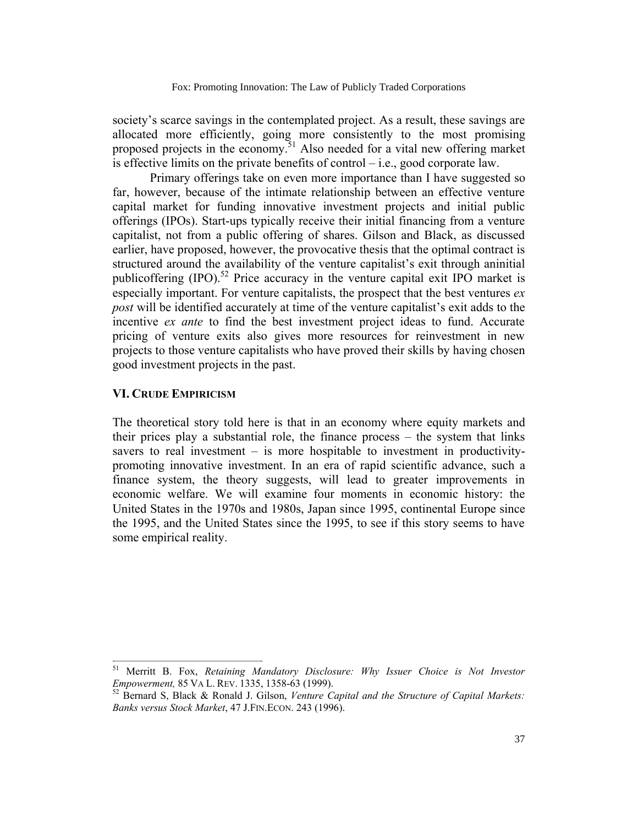society's scarce savings in the contemplated project. As a result, these savings are allocated more efficiently, going more consistently to the most promising proposed projects in the economy.51 Also needed for a vital new offering market is effective limits on the private benefits of control  $-$  i.e., good corporate law.

Primary offerings take on even more importance than I have suggested so far, however, because of the intimate relationship between an effective venture capital market for funding innovative investment projects and initial public offerings (IPOs). Start-ups typically receive their initial financing from a venture capitalist, not from a public offering of shares. Gilson and Black, as discussed earlier, have proposed, however, the provocative thesis that the optimal contract is structured around the availability of the venture capitalist's exit through aninitial publicoffering (IPO).<sup>52</sup> Price accuracy in the venture capital exit IPO market is especially important. For venture capitalists, the prospect that the best ventures *ex post* will be identified accurately at time of the venture capitalist's exit adds to the incentive *ex ante* to find the best investment project ideas to fund. Accurate pricing of venture exits also gives more resources for reinvestment in new projects to those venture capitalists who have proved their skills by having chosen good investment projects in the past.

#### **VI. CRUDE EMPIRICISM**

l

The theoretical story told here is that in an economy where equity markets and their prices play a substantial role, the finance process – the system that links savers to real investment  $-$  is more hospitable to investment in productivitypromoting innovative investment. In an era of rapid scientific advance, such a finance system, the theory suggests, will lead to greater improvements in economic welfare. We will examine four moments in economic history: the United States in the 1970s and 1980s, Japan since 1995, continental Europe since the 1995, and the United States since the 1995, to see if this story seems to have some empirical reality.

<sup>51</sup> Merritt B. Fox, *Retaining Mandatory Disclosure: Why Issuer Choice is Not Investor Empowerment, 85 VA L. REV.* 1335, 1358-63 (1999).

Bernard S, Black & Ronald J. Gilson, *Venture Capital and the Structure of Capital Markets: Banks versus Stock Market*, 47 J.FIN.ECON. 243 (1996).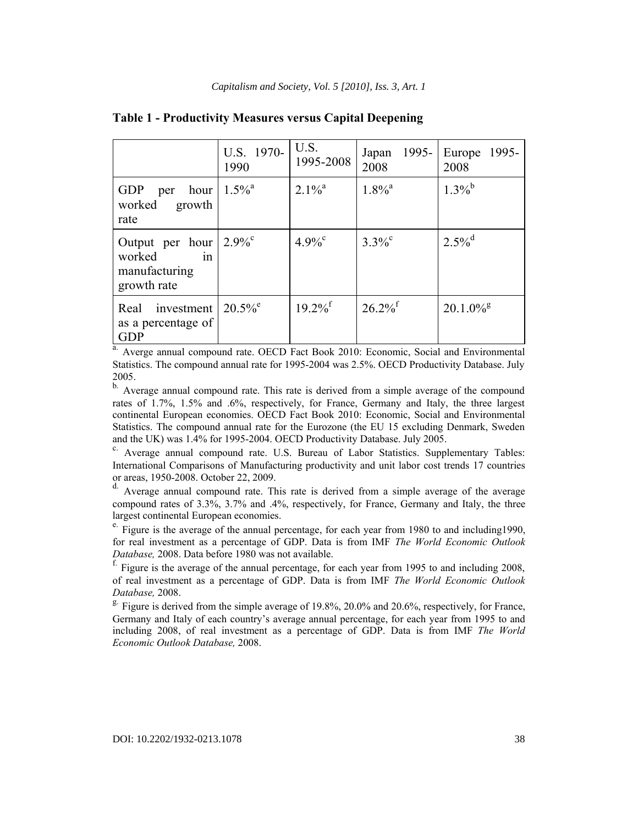|                                                                                      | U.S. 1970-<br>1990   | U.S.<br>1995-2008     | Japan<br>2008         | 1995- Europe 1995-<br>2008 |
|--------------------------------------------------------------------------------------|----------------------|-----------------------|-----------------------|----------------------------|
| GDP per<br>hour<br>worked growth<br>rate                                             | $1.5\%$ <sup>a</sup> | $2.1\%$ <sup>a</sup>  | $1.8\%$ <sup>a</sup>  | $1.3\%$ <sup>b</sup>       |
| Output per hour $2.9\%$ <sup>c</sup><br>worked<br>in<br>manufacturing<br>growth rate |                      | $4.9\%$ <sup>c</sup>  | $3.3\%^{\circ}$       | $2.5\%$ <sup>d</sup>       |
| Real investment $\vert 20.5\%$ <sup>e</sup><br>as a percentage of<br><b>GDP</b>      |                      | $19.2\%$ <sup>f</sup> | $26.2\%$ <sup>f</sup> | $20.1.0\%$ <sup>g</sup>    |

# **Table 1 - Productivity Measures versus Capital Deepening**

<sup>a.</sup> Averge annual compound rate. OECD Fact Book 2010: Economic, Social and Environmental Statistics. The compound annual rate for 1995-2004 was 2.5%. OECD Productivity Database. July 2005.

b. Average annual compound rate. This rate is derived from a simple average of the compound rates of 1.7%, 1.5% and .6%, respectively, for France, Germany and Italy, the three largest continental European economies. OECD Fact Book 2010: Economic, Social and Environmental Statistics. The compound annual rate for the Eurozone (the EU 15 excluding Denmark, Sweden and the UK) was 1.4% for 1995-2004. OECD Productivity Database. July 2005.

 Average annual compound rate. U.S. Bureau of Labor Statistics. Supplementary Tables: International Comparisons of Manufacturing productivity and unit labor cost trends 17 countries or areas, 1950-2008. October 22, 2009.<br>d. Average annual compound rate. This rate is derived from a simple average of the average

compound rates of 3.3%, 3.7% and .4%, respectively, for France, Germany and Italy, the three largest continental European economies.

e. Figure is the average of the annual percentage, for each year from 1980 to and including1990, for real investment as a percentage of GDP. Data is from IMF *The World Economic Outlook Database,* 2008. Data before 1980 was not available.

Figure is the average of the annual percentage, for each year from 1995 to and including 2008, of real investment as a percentage of GDP. Data is from IMF *The World Economic Outlook Database,* 2008.

 $\mu$ <sup>g.</sup> Figure is derived from the simple average of 19.8%, 20.0% and 20.6%, respectively, for France, Germany and Italy of each country's average annual percentage, for each year from 1995 to and including 2008, of real investment as a percentage of GDP. Data is from IMF *The World Economic Outlook Database,* 2008.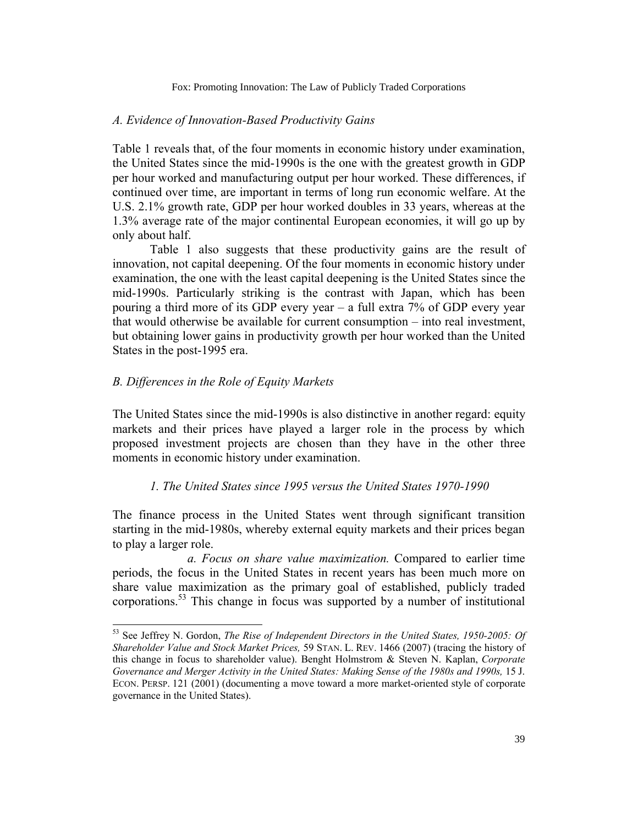# *A. Evidence of Innovation-Based Productivity Gains*

Table 1 reveals that, of the four moments in economic history under examination, the United States since the mid-1990s is the one with the greatest growth in GDP per hour worked and manufacturing output per hour worked. These differences, if continued over time, are important in terms of long run economic welfare. At the U.S. 2.1% growth rate, GDP per hour worked doubles in 33 years, whereas at the 1.3% average rate of the major continental European economies, it will go up by only about half.

Table 1 also suggests that these productivity gains are the result of innovation, not capital deepening. Of the four moments in economic history under examination, the one with the least capital deepening is the United States since the mid-1990s. Particularly striking is the contrast with Japan, which has been pouring a third more of its GDP every year – a full extra 7% of GDP every year that would otherwise be available for current consumption – into real investment, but obtaining lower gains in productivity growth per hour worked than the United States in the post-1995 era.

# *B. Differences in the Role of Equity Markets*

l

The United States since the mid-1990s is also distinctive in another regard: equity markets and their prices have played a larger role in the process by which proposed investment projects are chosen than they have in the other three moments in economic history under examination.

# *1. The United States since 1995 versus the United States 1970-1990*

The finance process in the United States went through significant transition starting in the mid-1980s, whereby external equity markets and their prices began to play a larger role.

 *a. Focus on share value maximization.* Compared to earlier time periods, the focus in the United States in recent years has been much more on share value maximization as the primary goal of established, publicly traded corporations.53 This change in focus was supported by a number of institutional

<sup>53</sup> See Jeffrey N. Gordon, *The Rise of Independent Directors in the United States, 1950-2005: Of Shareholder Value and Stock Market Prices,* 59 STAN. L. REV. 1466 (2007) (tracing the history of this change in focus to shareholder value). Benght Holmstrom & Steven N. Kaplan, *Corporate*  Governance and Merger Activity in the United States: Making Sense of the 1980s and 1990s, 15 J. ECON. PERSP. 121 (2001) (documenting a move toward a more market-oriented style of corporate governance in the United States).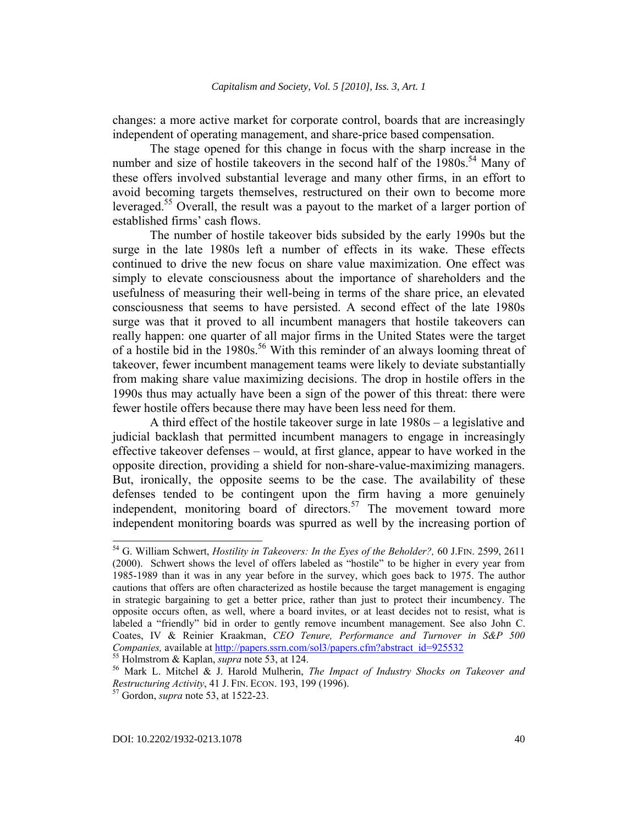changes: a more active market for corporate control, boards that are increasingly independent of operating management, and share-price based compensation.

The stage opened for this change in focus with the sharp increase in the number and size of hostile takeovers in the second half of the  $1980s$ .<sup>54</sup> Many of these offers involved substantial leverage and many other firms, in an effort to avoid becoming targets themselves, restructured on their own to become more leveraged.55 Overall, the result was a payout to the market of a larger portion of established firms' cash flows.

The number of hostile takeover bids subsided by the early 1990s but the surge in the late 1980s left a number of effects in its wake. These effects continued to drive the new focus on share value maximization. One effect was simply to elevate consciousness about the importance of shareholders and the usefulness of measuring their well-being in terms of the share price, an elevated consciousness that seems to have persisted. A second effect of the late 1980s surge was that it proved to all incumbent managers that hostile takeovers can really happen: one quarter of all major firms in the United States were the target of a hostile bid in the 1980s.<sup>56</sup> With this reminder of an always looming threat of takeover, fewer incumbent management teams were likely to deviate substantially from making share value maximizing decisions. The drop in hostile offers in the 1990s thus may actually have been a sign of the power of this threat: there were fewer hostile offers because there may have been less need for them.

A third effect of the hostile takeover surge in late 1980s – a legislative and judicial backlash that permitted incumbent managers to engage in increasingly effective takeover defenses – would, at first glance, appear to have worked in the opposite direction, providing a shield for non-share-value-maximizing managers. But, ironically, the opposite seems to be the case. The availability of these defenses tended to be contingent upon the firm having a more genuinely independent, monitoring board of directors.<sup>57</sup> The movement toward more independent monitoring boards was spurred as well by the increasing portion of

<sup>55</sup> Holmstrom & Kaplan, *supra* note 53, at 124.

 $\overline{a}$ 

<sup>&</sup>lt;sup>54</sup> G. William Schwert, *Hostility in Takeovers: In the Eyes of the Beholder?*, 60 J.FIN. 2599, 2611 (2000). Schwert shows the level of offers labeled as "hostile" to be higher in every year from 1985-1989 than it was in any year before in the survey, which goes back to 1975. The author cautions that offers are often characterized as hostile because the target management is engaging in strategic bargaining to get a better price, rather than just to protect their incumbency. The opposite occurs often, as well, where a board invites, or at least decides not to resist, what is labeled a "friendly" bid in order to gently remove incumbent management. See also John C. Coates, IV & Reinier Kraakman, *CEO Tenure, Performance and Turnover in S&P 500 Companies,* available at http://papers.ssrn.com/sol3/papers.cfm?abstract\_id=925532

Mark L. Mitchel & J. Harold Mulherin, *The Impact of Industry Shocks on Takeover and Restructuring Activity*, 41 J. FIN. ECON. 193, 199 (1996).

<sup>&</sup>lt;sup>57</sup> Gordon, *supra* note 53, at 1522-23.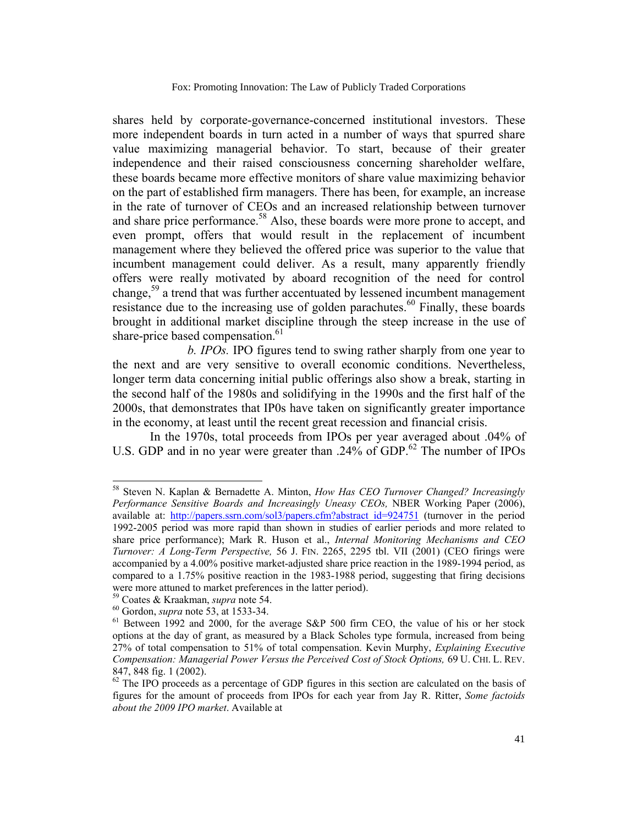shares held by corporate-governance-concerned institutional investors. These more independent boards in turn acted in a number of ways that spurred share value maximizing managerial behavior. To start, because of their greater independence and their raised consciousness concerning shareholder welfare, these boards became more effective monitors of share value maximizing behavior on the part of established firm managers. There has been, for example, an increase in the rate of turnover of CEOs and an increased relationship between turnover and share price performance.<sup>58</sup> Also, these boards were more prone to accept, and even prompt, offers that would result in the replacement of incumbent management where they believed the offered price was superior to the value that incumbent management could deliver. As a result, many apparently friendly offers were really motivated by aboard recognition of the need for control change,59 a trend that was further accentuated by lessened incumbent management resistance due to the increasing use of golden parachutes.<sup>60</sup> Finally, these boards brought in additional market discipline through the steep increase in the use of share-price based compensation.<sup>61</sup>

 *b. IPOs.* IPO figures tend to swing rather sharply from one year to the next and are very sensitive to overall economic conditions. Nevertheless, longer term data concerning initial public offerings also show a break, starting in the second half of the 1980s and solidifying in the 1990s and the first half of the 2000s, that demonstrates that IP0s have taken on significantly greater importance in the economy, at least until the recent great recession and financial crisis.

In the 1970s, total proceeds from IPOs per year averaged about .04% of U.S. GDP and in no year were greater than .24% of GDP.<sup>62</sup> The number of IPOs

l

<sup>58</sup> Steven N. Kaplan & Bernadette A. Minton, *How Has CEO Turnover Changed? Increasingly Performance Sensitive Boards and Increasingly Uneasy CEOs,* NBER Working Paper (2006), available at: http://papers.ssrn.com/sol3/papers.cfm?abstract\_id=924751 (turnover in the period 1992-2005 period was more rapid than shown in studies of earlier periods and more related to share price performance); Mark R. Huson et al., *Internal Monitoring Mechanisms and CEO Turnover: A Long-Term Perspective,* 56 J. FIN. 2265, 2295 tbl. VII (2001) (CEO firings were accompanied by a 4.00% positive market-adjusted share price reaction in the 1989-1994 period, as compared to a 1.75% positive reaction in the 1983-1988 period, suggesting that firing decisions were more attuned to market preferences in the latter period).

 $^{59}$  Coates & Kraakman, *supra* note 54.

<sup>&</sup>lt;sup>60</sup> Gordon, *supra* note 53, at 1533-34.

 $<sup>61</sup>$  Between 1992 and 2000, for the average S&P 500 firm CEO, the value of his or her stock</sup> options at the day of grant, as measured by a Black Scholes type formula, increased from being 27% of total compensation to 51% of total compensation. Kevin Murphy, *Explaining Executive Compensation: Managerial Power Versus the Perceived Cost of Stock Options,* 69 U. CHI. L. REV. 847, 848 fig. 1 (2002).

 $62$  The IPO proceeds as a percentage of GDP figures in this section are calculated on the basis of figures for the amount of proceeds from IPOs for each year from Jay R. Ritter, *Some factoids about the 2009 IPO market*. Available at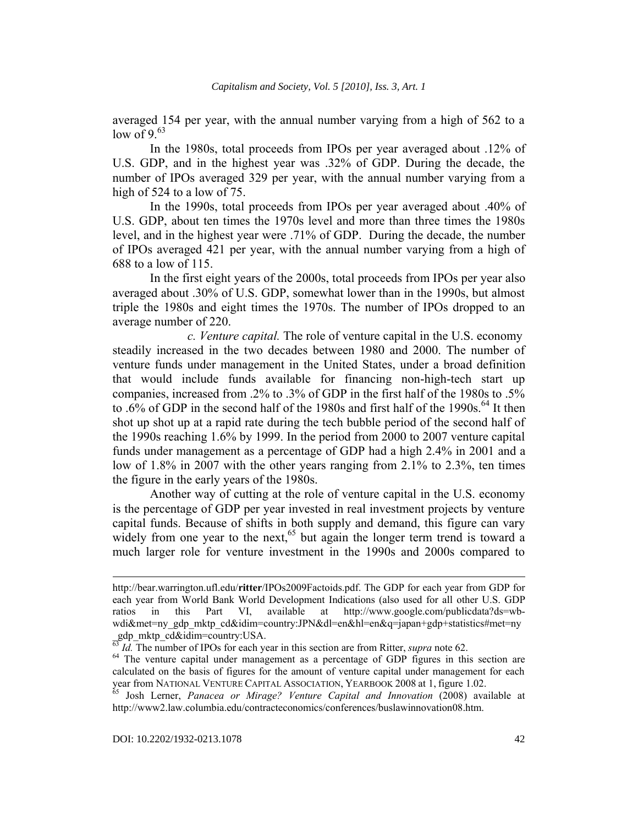averaged 154 per year, with the annual number varying from a high of 562 to a low of 9 $63$ 

In the 1980s, total proceeds from IPOs per year averaged about .12% of U.S. GDP, and in the highest year was .32% of GDP. During the decade, the number of IPOs averaged 329 per year, with the annual number varying from a high of 524 to a low of 75.

In the 1990s, total proceeds from IPOs per year averaged about .40% of U.S. GDP, about ten times the 1970s level and more than three times the 1980s level, and in the highest year were .71% of GDP. During the decade, the number of IPOs averaged 421 per year, with the annual number varying from a high of 688 to a low of 115.

In the first eight years of the 2000s, total proceeds from IPOs per year also averaged about .30% of U.S. GDP, somewhat lower than in the 1990s, but almost triple the 1980s and eight times the 1970s. The number of IPOs dropped to an average number of 220.

 *c. Venture capital.* The role of venture capital in the U.S. economy steadily increased in the two decades between 1980 and 2000. The number of venture funds under management in the United States, under a broad definition that would include funds available for financing non-high-tech start up companies, increased from .2% to .3% of GDP in the first half of the 1980s to .5% to .6% of GDP in the second half of the 1980s and first half of the 1990s.<sup>64</sup> It then shot up shot up at a rapid rate during the tech bubble period of the second half of the 1990s reaching 1.6% by 1999. In the period from 2000 to 2007 venture capital funds under management as a percentage of GDP had a high 2.4% in 2001 and a low of 1.8% in 2007 with the other years ranging from 2.1% to 2.3%, ten times the figure in the early years of the 1980s.

Another way of cutting at the role of venture capital in the U.S. economy is the percentage of GDP per year invested in real investment projects by venture capital funds. Because of shifts in both supply and demand, this figure can vary widely from one year to the next,<sup>65</sup> but again the longer term trend is toward a much larger role for venture investment in the 1990s and 2000s compared to

 $\overline{a}$ 

http://bear.warrington.ufl.edu/**ritter**/IPOs2009Factoids.pdf. The GDP for each year from GDP for each year from World Bank World Development Indications (also used for all other U.S. GDP ratios in this Part VI, available at http://www.google.com/publicdata?ds=wbwdi&met=ny\_gdp\_mktp\_cd&idim=country:JPN&dl=en&hl=en&q=japan+gdp+statistics#met=ny  $gdp_mktp_cddidim=county$ . USA.

*Id.* The number of IPOs for each year in this section are from Ritter, *supra* note 62.

<sup>&</sup>lt;sup>64</sup> The venture capital under management as a percentage of GDP figures in this section are calculated on the basis of figures for the amount of venture capital under management for each year from NATIONAL VENTURE CAPITAL ASSOCIATION, YEARBOOK 2008 at 1, figure 1.02.

Josh Lerner, *Panacea or Mirage? Venture Capital and Innovation* (2008) available at http://www2.law.columbia.edu/contracteconomics/conferences/buslawinnovation08.htm.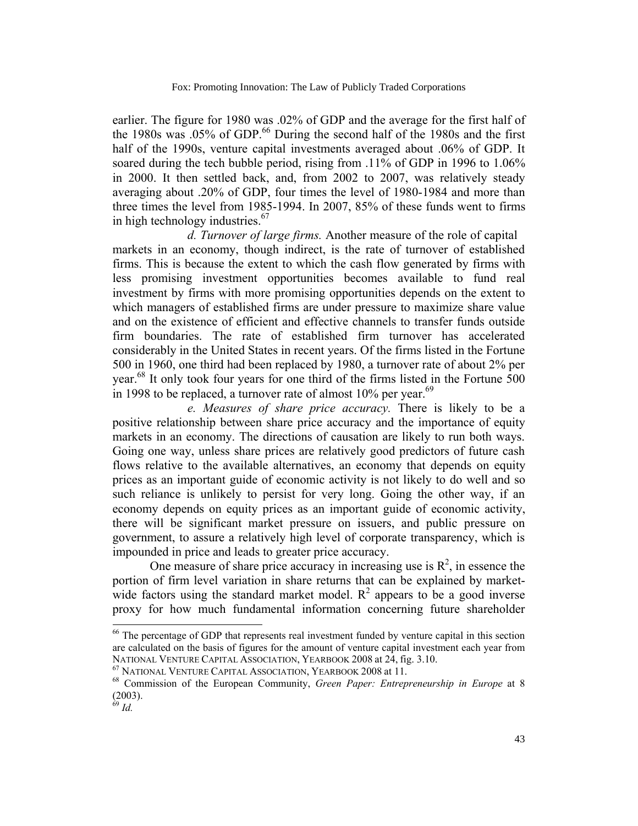earlier. The figure for 1980 was .02% of GDP and the average for the first half of the 1980s was  $.05\%$  of GDP.<sup>66</sup> During the second half of the 1980s and the first half of the 1990s, venture capital investments averaged about .06% of GDP. It soared during the tech bubble period, rising from .11% of GDP in 1996 to 1.06% in 2000. It then settled back, and, from 2002 to 2007, was relatively steady averaging about .20% of GDP, four times the level of 1980-1984 and more than three times the level from 1985-1994. In 2007, 85% of these funds went to firms in high technology industries.<sup>67</sup>

 *d. Turnover of large firms.* Another measure of the role of capital markets in an economy, though indirect, is the rate of turnover of established firms. This is because the extent to which the cash flow generated by firms with less promising investment opportunities becomes available to fund real investment by firms with more promising opportunities depends on the extent to which managers of established firms are under pressure to maximize share value and on the existence of efficient and effective channels to transfer funds outside firm boundaries. The rate of established firm turnover has accelerated considerably in the United States in recent years. Of the firms listed in the Fortune 500 in 1960, one third had been replaced by 1980, a turnover rate of about 2% per year.<sup>68</sup> It only took four years for one third of the firms listed in the Fortune 500 in 1998 to be replaced, a turnover rate of almost  $10\%$  per year.<sup>69</sup>

 *e. Measures of share price accuracy.* There is likely to be a positive relationship between share price accuracy and the importance of equity markets in an economy. The directions of causation are likely to run both ways. Going one way, unless share prices are relatively good predictors of future cash flows relative to the available alternatives, an economy that depends on equity prices as an important guide of economic activity is not likely to do well and so such reliance is unlikely to persist for very long. Going the other way, if an economy depends on equity prices as an important guide of economic activity, there will be significant market pressure on issuers, and public pressure on government, to assure a relatively high level of corporate transparency, which is impounded in price and leads to greater price accuracy.

One measure of share price accuracy in increasing use is  $R^2$ , in essence the portion of firm level variation in share returns that can be explained by marketwide factors using the standard market model.  $R^2$  appears to be a good inverse proxy for how much fundamental information concerning future shareholder

l

<sup>&</sup>lt;sup>66</sup> The percentage of GDP that represents real investment funded by venture capital in this section are calculated on the basis of figures for the amount of venture capital investment each year from NATIONAL VENTURE CAPITAL ASSOCIATION, YEARBOOK 2008 at 24, fig. 3.10.

 $^{67}$  NATIONAL VENTURE CAPITAL ASSOCIATION, YEARBOOK 2008 at 11.  $\,$ 

Commission of the European Community, *Green Paper: Entrepreneurship in Europe* at 8 (2003).

<sup>69</sup> *Id.*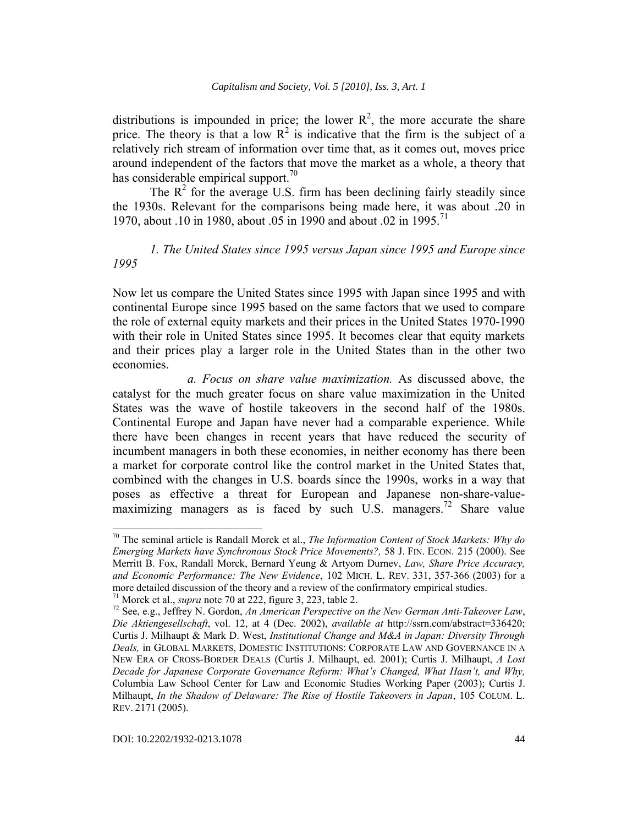distributions is impounded in price; the lower  $\mathbb{R}^2$ , the more accurate the share price. The theory is that a low  $\mathbb{R}^2$  is indicative that the firm is the subject of a relatively rich stream of information over time that, as it comes out, moves price around independent of the factors that move the market as a whole, a theory that has considerable empirical support.<sup>70</sup>

The  $R^2$  for the average U.S. firm has been declining fairly steadily since the 1930s. Relevant for the comparisons being made here, it was about .20 in 1970, about .10 in 1980, about .05 in 1990 and about .02 in 1995.<sup>71</sup>

*1. The United States since 1995 versus Japan since 1995 and Europe since 1995*

Now let us compare the United States since 1995 with Japan since 1995 and with continental Europe since 1995 based on the same factors that we used to compare the role of external equity markets and their prices in the United States 1970-1990 with their role in United States since 1995. It becomes clear that equity markets and their prices play a larger role in the United States than in the other two economies.

 *a. Focus on share value maximization.* As discussed above, the catalyst for the much greater focus on share value maximization in the United States was the wave of hostile takeovers in the second half of the 1980s. Continental Europe and Japan have never had a comparable experience. While there have been changes in recent years that have reduced the security of incumbent managers in both these economies, in neither economy has there been a market for corporate control like the control market in the United States that, combined with the changes in U.S. boards since the 1990s, works in a way that poses as effective a threat for European and Japanese non-share-valuemaximizing managers as is faced by such U.S. managers.<sup>72</sup> Share value

 70 The seminal article is Randall Morck et al., *The Information Content of Stock Markets: Why do Emerging Markets have Synchronous Stock Price Movements?,* 58 J. FIN. ECON. 215 (2000). See Merritt B. Fox, Randall Morck, Bernard Yeung & Artyom Durnev, *Law, Share Price Accuracy, and Economic Performance: The New Evidence*, 102 MICH. L. REV. 331, 357-366 (2003) for a more detailed discussion of the theory and a review of the confirmatory empirical studies.

<sup>&</sup>lt;sup>71</sup> Morck et al., *supra* note 70 at 222, figure 3, 223, table 2.<br><sup>72</sup> See 2.8. Jeffrey N. Gordon, 4n American Baranestine o

 $^{72}$  See, e.g., Jeffrey N. Gordon, An American Perspective on the New German Anti-Takeover Law, *Die Aktiengesellschaft*, vol. 12, at 4 (Dec. 2002), *available at* http://ssrn.com/abstract=336420; Curtis J. Milhaupt & Mark D. West, *Institutional Change and M&A in Japan: Diversity Through Deals,* in GLOBAL MARKETS, DOMESTIC INSTITUTIONS: CORPORATE LAW AND GOVERNANCE IN A NEW ERA OF CROSS-BORDER DEALS (Curtis J. Milhaupt, ed. 2001); Curtis J. Milhaupt, *A Lost Decade for Japanese Corporate Governance Reform: What's Changed, What Hasn't, and Why,*  Columbia Law School Center for Law and Economic Studies Working Paper (2003); Curtis J. Milhaupt, *In the Shadow of Delaware: The Rise of Hostile Takeovers in Japan*, 105 COLUM. L. REV. 2171 (2005).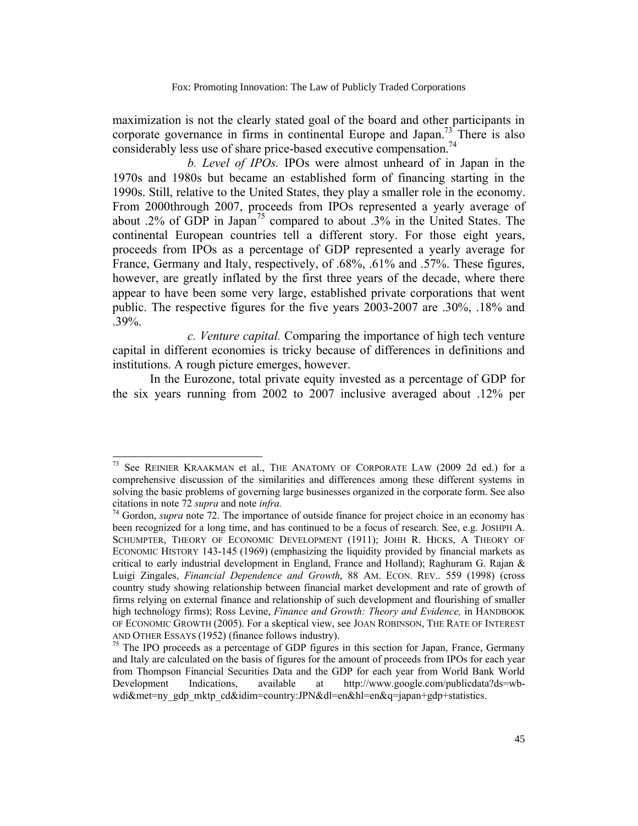maximization is not the clearly stated goal of the board and other participants in corporate governance in firms in continental Europe and Japan.<sup>73</sup> There is also considerably less use of share price-based executive compensation.<sup>74</sup>

*b. Level of IPOs.* IPOs were almost unheard of in Japan in the 1970s and 1980s but became an established form of financing starting in the 1990s. Still, relative to the United States, they play a smaller role in the economy. From 2000through 2007, proceeds from IPOs represented a yearly average of about .2% of GDP in Japan75 compared to about .3% in the United States. The continental European countries tell a different story. For those eight years, proceeds from IPOs as a percentage of GDP represented a yearly average for France, Germany and Italy, respectively, of .68%, .61% and .57%. These figures, however, are greatly inflated by the first three years of the decade, where there appear to have been some very large, established private corporations that went public. The respective figures for the five years 2003-2007 are .30%, .18% and .39%.

 *c. Venture capital.* Comparing the importance of high tech venture capital in different economies is tricky because of differences in definitions and institutions. A rough picture emerges, however.

In the Eurozone, total private equity invested as a percentage of GDP for the six years running from 2002 to 2007 inclusive averaged about .12% per

 73 See REINIER KRAAKMAN et al., THE ANATOMY OF CORPORATE LAW (2009 2d ed.) for a comprehensive discussion of the similarities and differences among these different systems in solving the basic problems of governing large businesses organized in the corporate form. See also citations in note 72 *supra* and note *infra.* <sup>74</sup>

<sup>&</sup>lt;sup>74</sup> Gordon, *supra* note 72. The importance of outside finance for project choice in an economy has been recognized for a long time, and has continued to be a focus of research. See, e.g. JOSHPH A. SCHUMPTER, THEORY OF ECONOMIC DEVELOPMENT (1911); JOHH R. HICKS, A THEORY OF ECONOMIC HISTORY 143-145 (1969) (emphasizing the liquidity provided by financial markets as critical to early industrial development in England, France and Holland); Raghuram G. Rajan  $\&$ Luigi Zingales, *Financial Dependence and Growth*, 88 AM. ECON. REV.. 559 (1998) (cross country study showing relationship between financial market development and rate of growth of firms relying on external finance and relationship of such development and flourishing of smaller high technology firms); Ross Levine, *Finance and Growth: Theory and Evidence,* in HANDBOOK OF ECONOMIC GROWTH (2005). For a skeptical view, see JOAN ROBINSON, THE RATE OF INTEREST

AND OTHER ESSAYS (1952) (finance follows industry).<br><sup>75</sup> The IPO proceeds as a percentage of GDP figures in this section for Japan, France, Germany and Italy are calculated on the basis of figures for the amount of proceeds from IPOs for each year from Thompson Financial Securities Data and the GDP for each year from World Bank World Development Indications, available at http://www.google.com/publicdata?ds=wbwdi&met=ny\_gdp\_mktp\_cd&idim=country:JPN&dl=en&hl=en&q=japan+gdp+statistics.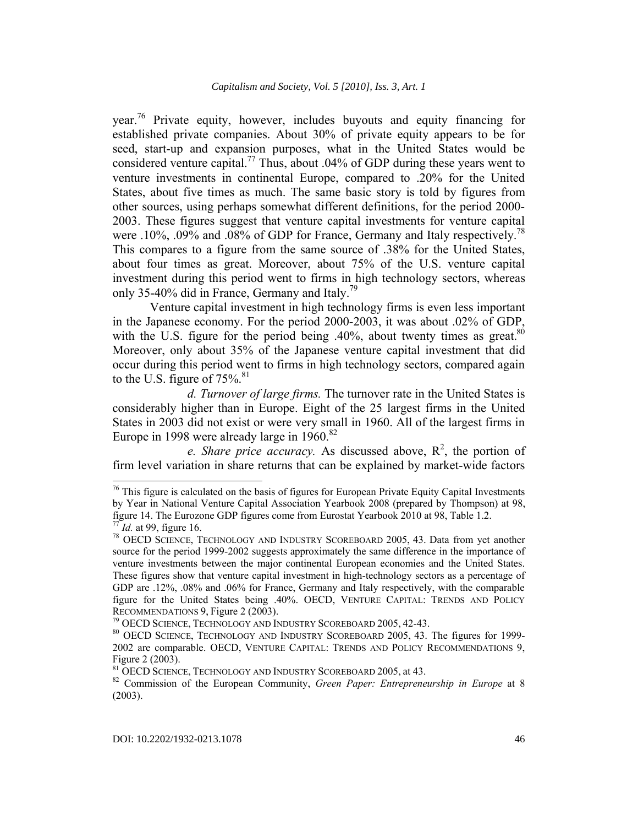year.<sup>76</sup> Private equity, however, includes buyouts and equity financing for established private companies. About 30% of private equity appears to be for seed, start-up and expansion purposes, what in the United States would be considered venture capital.<sup>77</sup> Thus, about .04% of GDP during these years went to venture investments in continental Europe, compared to .20% for the United States, about five times as much. The same basic story is told by figures from other sources, using perhaps somewhat different definitions, for the period 2000- 2003. These figures suggest that venture capital investments for venture capital were .10%, .09% and .08% of GDP for France, Germany and Italy respectively.<sup>78</sup> This compares to a figure from the same source of .38% for the United States, about four times as great. Moreover, about 75% of the U.S. venture capital investment during this period went to firms in high technology sectors, whereas only 35-40% did in France, Germany and Italy.<sup>79</sup>

Venture capital investment in high technology firms is even less important in the Japanese economy. For the period 2000-2003, it was about .02% of GDP, with the U.S. figure for the period being .40%, about twenty times as great. $80$ Moreover, only about 35% of the Japanese venture capital investment that did occur during this period went to firms in high technology sectors, compared again to the U.S. figure of  $75\%$ <sup>81</sup>

 *d. Turnover of large firms.* The turnover rate in the United States is considerably higher than in Europe. Eight of the 25 largest firms in the United States in 2003 did not exist or were very small in 1960. All of the largest firms in Europe in 1998 were already large in 1960.<sup>82</sup>

*e. Share price accuracy.* As discussed above,  $R^2$ , the portion of firm level variation in share returns that can be explained by market-wide factors l

 $76$  This figure is calculated on the basis of figures for European Private Equity Capital Investments by Year in National Venture Capital Association Yearbook 2008 (prepared by Thompson) at 98, figure 14. The Eurozone GDP figures come from Eurostat Yearbook 2010 at 98, Table 1.2.  $^{77}$ *Id.* at 99, figure 16.

<sup>&</sup>lt;sup>78</sup> OECD SCIENCE, TECHNOLOGY AND INDUSTRY SCOREBOARD 2005, 43. Data from yet another source for the period 1999-2002 suggests approximately the same difference in the importance of venture investments between the major continental European economies and the United States. These figures show that venture capital investment in high-technology sectors as a percentage of GDP are .12%, .08% and .06% for France, Germany and Italy respectively, with the comparable figure for the United States being .40%. OECD, VENTURE CAPITAL: TRENDS AND POLICY RECOMMENDATIONS 9, Figure 2 (2003).

 $^{79}$  OECD SCIENCE, TECHNOLOGY AND INDUSTRY SCOREBOARD 2005, 42-43.

OECD SCIENCE, TECHNOLOGY AND INDUSTRY SCOREBOARD 2005, 43. The figures for 1999- 2002 are comparable. OECD, VENTURE CAPITAL: TRENDS AND POLICY RECOMMENDATIONS 9, Figure 2 (2003).

<sup>&</sup>lt;sup>81</sup> OECD SCIENCE, TECHNOLOGY AND INDUSTRY SCOREBOARD 2005, at 43.

Commission of the European Community, *Green Paper: Entrepreneurship in Europe* at 8 (2003).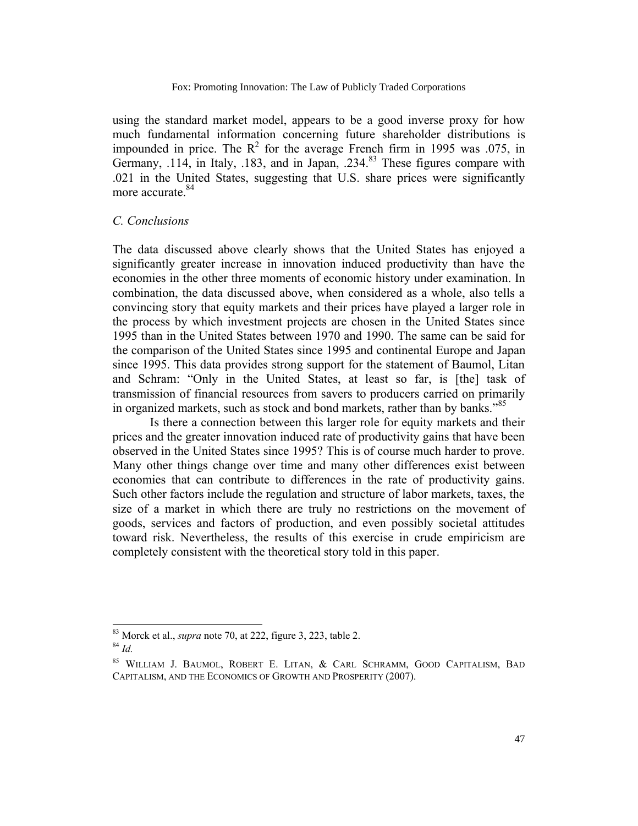using the standard market model, appears to be a good inverse proxy for how much fundamental information concerning future shareholder distributions is impounded in price. The  $R^2$  for the average French firm in 1995 was .075, in Germany,  $.114$ , in Italy,  $.183$ , and in Japan,  $.234$ <sup>83</sup>. These figures compare with .021 in the United States, suggesting that U.S. share prices were significantly more accurate.<sup>84</sup>

# *C. Conclusions*

The data discussed above clearly shows that the United States has enjoyed a significantly greater increase in innovation induced productivity than have the economies in the other three moments of economic history under examination. In combination, the data discussed above, when considered as a whole, also tells a convincing story that equity markets and their prices have played a larger role in the process by which investment projects are chosen in the United States since 1995 than in the United States between 1970 and 1990. The same can be said for the comparison of the United States since 1995 and continental Europe and Japan since 1995. This data provides strong support for the statement of Baumol, Litan and Schram: "Only in the United States, at least so far, is [the] task of transmission of financial resources from savers to producers carried on primarily in organized markets, such as stock and bond markets, rather than by banks."<sup>85</sup>

Is there a connection between this larger role for equity markets and their prices and the greater innovation induced rate of productivity gains that have been observed in the United States since 1995? This is of course much harder to prove. Many other things change over time and many other differences exist between economies that can contribute to differences in the rate of productivity gains. Such other factors include the regulation and structure of labor markets, taxes, the size of a market in which there are truly no restrictions on the movement of goods, services and factors of production, and even possibly societal attitudes toward risk. Nevertheless, the results of this exercise in crude empiricism are completely consistent with the theoretical story told in this paper.

<sup>83</sup> Morck et al., *supra* note 70, at 222, figure 3, 223, table 2. 84 *Id.* 

<sup>85</sup> WILLIAM J. BAUMOL, ROBERT E. LITAN, & CARL SCHRAMM, GOOD CAPITALISM, BAD CAPITALISM, AND THE ECONOMICS OF GROWTH AND PROSPERITY (2007).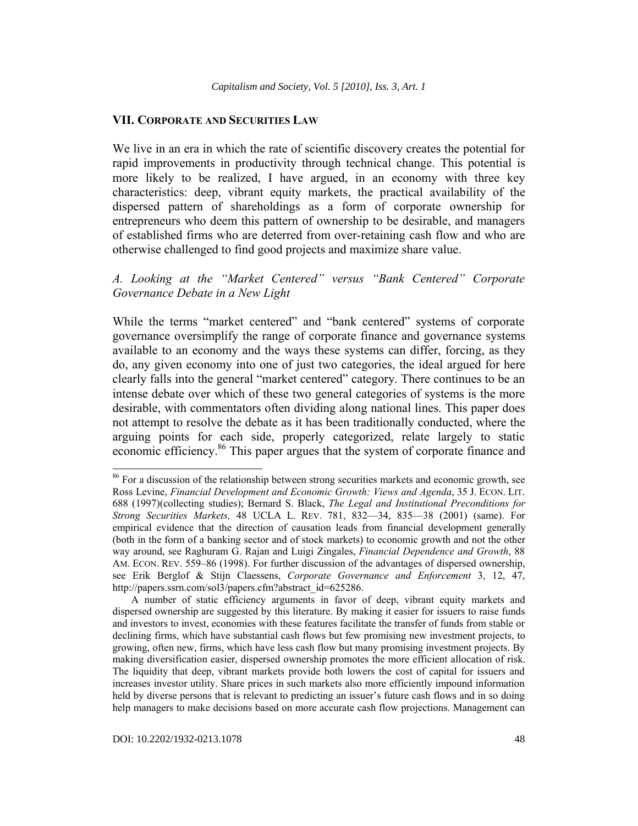# **VII. CORPORATE AND SECURITIES LAW**

We live in an era in which the rate of scientific discovery creates the potential for rapid improvements in productivity through technical change. This potential is more likely to be realized, I have argued, in an economy with three key characteristics: deep, vibrant equity markets, the practical availability of the dispersed pattern of shareholdings as a form of corporate ownership for entrepreneurs who deem this pattern of ownership to be desirable, and managers of established firms who are deterred from over-retaining cash flow and who are otherwise challenged to find good projects and maximize share value.

# *A. Looking at the "Market Centered" versus "Bank Centered" Corporate Governance Debate in a New Light*

While the terms "market centered" and "bank centered" systems of corporate governance oversimplify the range of corporate finance and governance systems available to an economy and the ways these systems can differ, forcing, as they do, any given economy into one of just two categories, the ideal argued for here clearly falls into the general "market centered" category. There continues to be an intense debate over which of these two general categories of systems is the more desirable, with commentators often dividing along national lines. This paper does not attempt to resolve the debate as it has been traditionally conducted, where the arguing points for each side, properly categorized, relate largely to static economic efficiency.86 This paper argues that the system of corporate finance and

 $\overline{a}$ 

<sup>&</sup>lt;sup>86</sup> For a discussion of the relationship between strong securities markets and economic growth, see Ross Levine, *Financial Development and Economic Growth: Views and Agenda*, 35 J. ECON. LIT. 688 (1997)(collecting studies); Bernard S. Black, *The Legal and Institutional Preconditions for Strong Securities Markets,* 48 UCLA L. REV. 781, 832—34, 835—38 (2001) (same). For empirical evidence that the direction of causation leads from financial development generally (both in the form of a banking sector and of stock markets) to economic growth and not the other way around, see Raghuram G. Rajan and Luigi Zingales, *Financial Dependence and Growth*, 88 AM. ECON. REV. 559–86 (1998). For further discussion of the advantages of dispersed ownership, see Erik Berglof & Stijn Claessens, *Corporate Governance and Enforcement* 3, 12, 47, http://papers.ssrn.com/sol3/papers.cfm?abstract\_id=625286.

A number of static efficiency arguments in favor of deep, vibrant equity markets and dispersed ownership are suggested by this literature. By making it easier for issuers to raise funds and investors to invest, economies with these features facilitate the transfer of funds from stable or declining firms, which have substantial cash flows but few promising new investment projects, to growing, often new, firms, which have less cash flow but many promising investment projects. By making diversification easier, dispersed ownership promotes the more efficient allocation of risk. The liquidity that deep, vibrant markets provide both lowers the cost of capital for issuers and increases investor utility. Share prices in such markets also more efficiently impound information held by diverse persons that is relevant to predicting an issuer's future cash flows and in so doing help managers to make decisions based on more accurate cash flow projections. Management can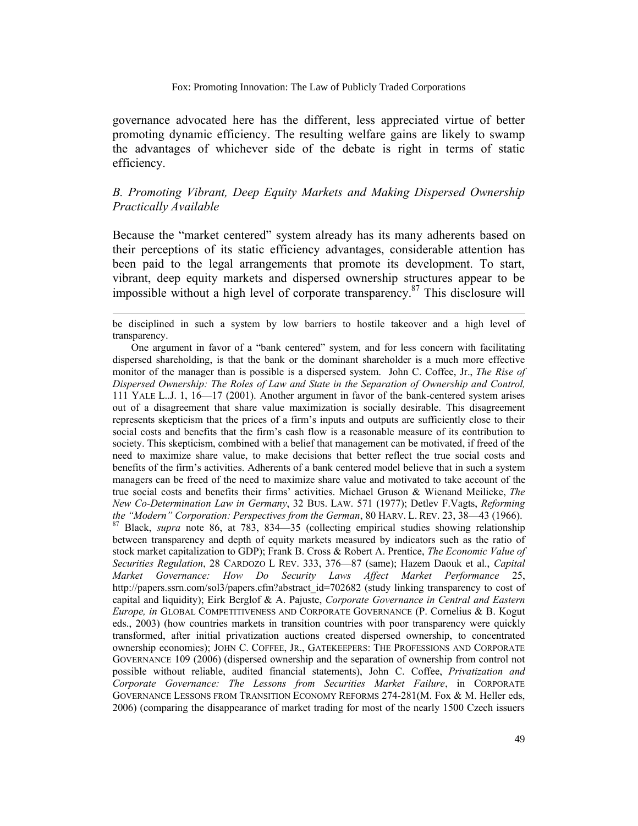governance advocated here has the different, less appreciated virtue of better promoting dynamic efficiency. The resulting welfare gains are likely to swamp the advantages of whichever side of the debate is right in terms of static efficiency.

# *B. Promoting Vibrant, Deep Equity Markets and Making Dispersed Ownership Practically Available*

Because the "market centered" system already has its many adherents based on their perceptions of its static efficiency advantages, considerable attention has been paid to the legal arrangements that promote its development. To start, vibrant, deep equity markets and dispersed ownership structures appear to be impossible without a high level of corporate transparency. $87$  This disclosure will

be disciplined in such a system by low barriers to hostile takeover and a high level of transparency.

 $\overline{\phantom{a}}$ 

One argument in favor of a "bank centered" system, and for less concern with facilitating dispersed shareholding, is that the bank or the dominant shareholder is a much more effective monitor of the manager than is possible is a dispersed system. John C. Coffee, Jr., *The Rise of Dispersed Ownership: The Roles of Law and State in the Separation of Ownership and Control,* 111 YALE L..J. 1, 16—17 (2001). Another argument in favor of the bank-centered system arises out of a disagreement that share value maximization is socially desirable. This disagreement represents skepticism that the prices of a firm's inputs and outputs are sufficiently close to their social costs and benefits that the firm's cash flow is a reasonable measure of its contribution to society. This skepticism, combined with a belief that management can be motivated, if freed of the need to maximize share value, to make decisions that better reflect the true social costs and benefits of the firm's activities. Adherents of a bank centered model believe that in such a system managers can be freed of the need to maximize share value and motivated to take account of the true social costs and benefits their firms' activities. Michael Gruson & Wienand Meilicke, *The New Co-Determination Law in Germany*, 32 BUS. LAW. 571 (1977); Detlev F.Vagts, *Reforming the "Modern" Corporation: Perspectives from the German*, 80 HARV. L. REV. 23, 38—43 (1966). 87 Black, *supra* note 86, at 783, 834—35 (collecting empirical studies showing relationship between transparency and depth of equity markets measured by indicators such as the ratio of stock market capitalization to GDP); Frank B. Cross & Robert A. Prentice, *The Economic Value of Securities Regulation*, 28 CARDOZO L REV. 333, 376—87 (same); Hazem Daouk et al., *Capital Market Governance: How Do Security Laws Affect Market Performance* 25, http://papers.ssrn.com/sol3/papers.cfm?abstract\_id=702682 (study linking transparency to cost of capital and liquidity); Eirk Berglof & A. Pajuste, *Corporate Governance in Central and Eastern Europe, in* GLOBAL COMPETITIVENESS AND CORPORATE GOVERNANCE (P. Cornelius & B. Kogut eds., 2003) (how countries markets in transition countries with poor transparency were quickly transformed, after initial privatization auctions created dispersed ownership, to concentrated ownership economies); JOHN C. COFFEE, JR., GATEKEEPERS: THE PROFESSIONS AND CORPORATE GOVERNANCE 109 (2006) (dispersed ownership and the separation of ownership from control not possible without reliable, audited financial statements), John C. Coffee, *Privatization and Corporate Governance: The Lessons from Securities Market Failure*, in CORPORATE GOVERNANCE LESSONS FROM TRANSITION ECONOMY REFORMS 274-281(M. Fox & M. Heller eds, 2006) (comparing the disappearance of market trading for most of the nearly 1500 Czech issuers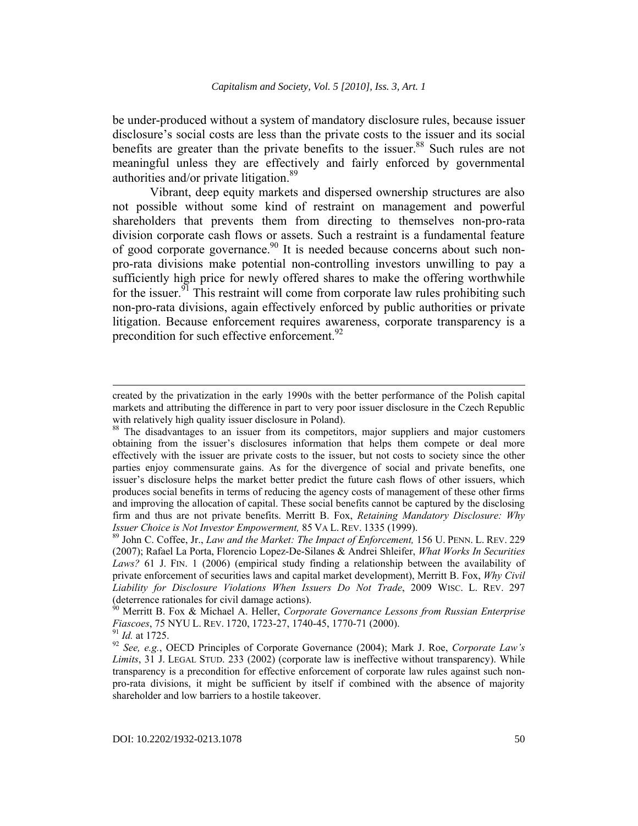be under-produced without a system of mandatory disclosure rules, because issuer disclosure's social costs are less than the private costs to the issuer and its social benefits are greater than the private benefits to the issuer.<sup>88</sup> Such rules are not meaningful unless they are effectively and fairly enforced by governmental authorities and/or private litigation.<sup>89</sup>

Vibrant, deep equity markets and dispersed ownership structures are also not possible without some kind of restraint on management and powerful shareholders that prevents them from directing to themselves non-pro-rata division corporate cash flows or assets. Such a restraint is a fundamental feature of good corporate governance.<sup>90</sup> It is needed because concerns about such nonpro-rata divisions make potential non-controlling investors unwilling to pay a sufficiently high price for newly offered shares to make the offering worthwhile for the issuer.<sup>91</sup> This restraint will come from corporate law rules prohibiting such non-pro-rata divisions, again effectively enforced by public authorities or private litigation. Because enforcement requires awareness, corporate transparency is a precondition for such effective enforcement.<sup>92</sup>

 $\overline{\phantom{a}}$ 

created by the privatization in the early 1990s with the better performance of the Polish capital markets and attributing the difference in part to very poor issuer disclosure in the Czech Republic with relatively high quality issuer disclosure in Poland).

<sup>&</sup>lt;sup>88</sup> The disadvantages to an issuer from its competitors, major suppliers and major customers obtaining from the issuer's disclosures information that helps them compete or deal more effectively with the issuer are private costs to the issuer, but not costs to society since the other parties enjoy commensurate gains. As for the divergence of social and private benefits, one issuer's disclosure helps the market better predict the future cash flows of other issuers, which produces social benefits in terms of reducing the agency costs of management of these other firms and improving the allocation of capital. These social benefits cannot be captured by the disclosing firm and thus are not private benefits. Merritt B. Fox, *Retaining Mandatory Disclosure: Why Issuer Choice is Not Investor Empowerment, 85 VA L. REV. 1335 (1999).* 

John C. Coffee, Jr., *Law and the Market: The Impact of Enforcement,* 156 U. PENN. L. REV. 229 (2007); Rafael La Porta, Florencio Lopez-De-Silanes & Andrei Shleifer, *What Works In Securities*  Laws? 61 J. FIN. 1 (2006) (empirical study finding a relationship between the availability of private enforcement of securities laws and capital market development), Merritt B. Fox, *Why Civil Liability for Disclosure Violations When Issuers Do Not Trade*, 2009 WISC. L. REV. 297 (deterrence rationales for civil damage actions).

<sup>90</sup> Merritt B. Fox & Michael A. Heller, *Corporate Governance Lessons from Russian Enterprise Fiascoes*, 75 NYU L. REV. 1720, 1723-27, 1740-45, 1770-71 (2000).<br><sup>91</sup> *Id.* at 1725.<br><sup>92</sup> *See, e.g.*, OECD Principles of Corporate Governance (2004); Mark J. Roe, *Corporate Law's* 

*Limits*, 31 J. LEGAL STUD. 233 (2002) (corporate law is ineffective without transparency). While transparency is a precondition for effective enforcement of corporate law rules against such nonpro-rata divisions, it might be sufficient by itself if combined with the absence of majority shareholder and low barriers to a hostile takeover.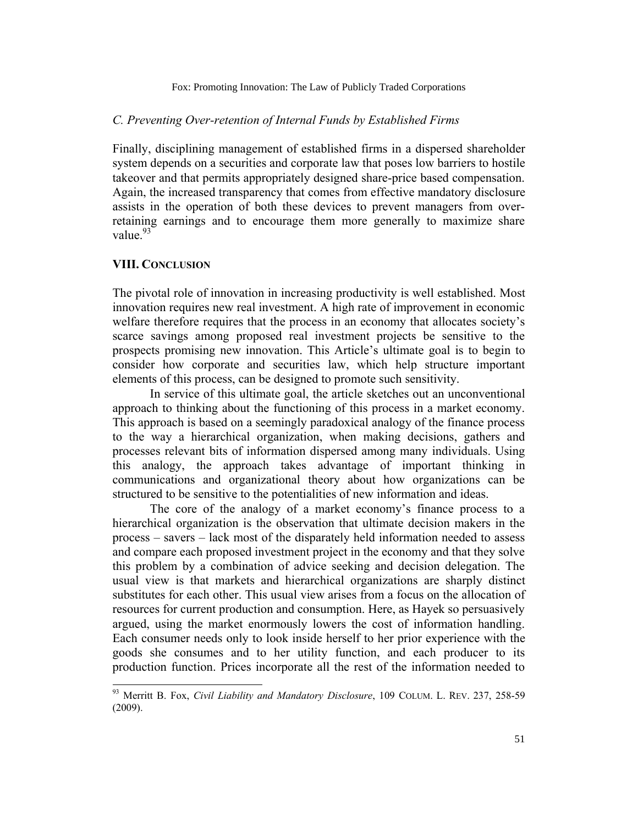# *C. Preventing Over-retention of Internal Funds by Established Firms*

Finally, disciplining management of established firms in a dispersed shareholder system depends on a securities and corporate law that poses low barriers to hostile takeover and that permits appropriately designed share-price based compensation. Again, the increased transparency that comes from effective mandatory disclosure assists in the operation of both these devices to prevent managers from overretaining earnings and to encourage them more generally to maximize share value.<sup>93</sup>

# **VIII. CONCLUSION**

The pivotal role of innovation in increasing productivity is well established. Most innovation requires new real investment. A high rate of improvement in economic welfare therefore requires that the process in an economy that allocates society's scarce savings among proposed real investment projects be sensitive to the prospects promising new innovation. This Article's ultimate goal is to begin to consider how corporate and securities law, which help structure important elements of this process, can be designed to promote such sensitivity.

In service of this ultimate goal, the article sketches out an unconventional approach to thinking about the functioning of this process in a market economy. This approach is based on a seemingly paradoxical analogy of the finance process to the way a hierarchical organization, when making decisions, gathers and processes relevant bits of information dispersed among many individuals. Using this analogy, the approach takes advantage of important thinking in communications and organizational theory about how organizations can be structured to be sensitive to the potentialities of new information and ideas.

The core of the analogy of a market economy's finance process to a hierarchical organization is the observation that ultimate decision makers in the process – savers – lack most of the disparately held information needed to assess and compare each proposed investment project in the economy and that they solve this problem by a combination of advice seeking and decision delegation. The usual view is that markets and hierarchical organizations are sharply distinct substitutes for each other. This usual view arises from a focus on the allocation of resources for current production and consumption. Here, as Hayek so persuasively argued, using the market enormously lowers the cost of information handling. Each consumer needs only to look inside herself to her prior experience with the goods she consumes and to her utility function, and each producer to its production function. Prices incorporate all the rest of the information needed to

 93 Merritt B. Fox, *Civil Liability and Mandatory Disclosure*, 109 COLUM. L. REV. 237, 258-59 (2009).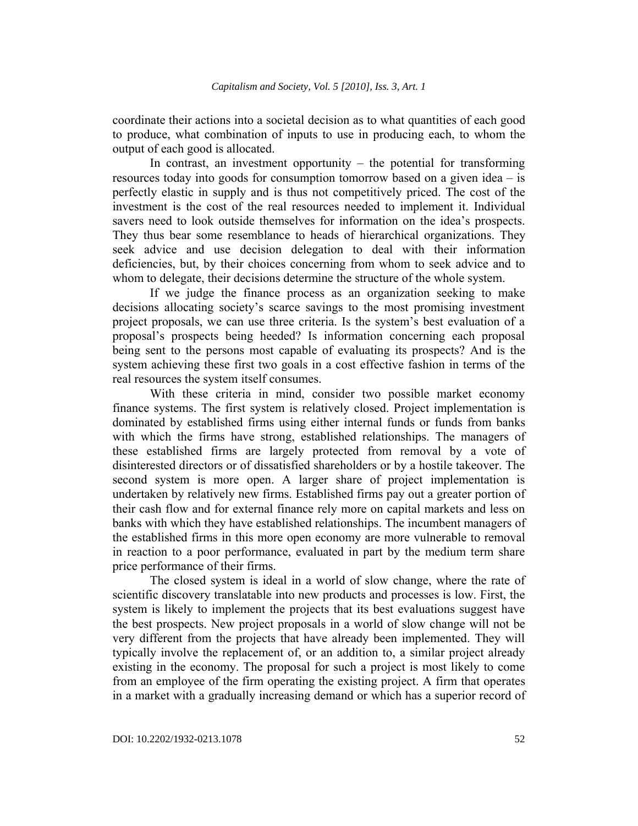coordinate their actions into a societal decision as to what quantities of each good to produce, what combination of inputs to use in producing each, to whom the output of each good is allocated.

In contrast, an investment opportunity  $-$  the potential for transforming resources today into goods for consumption tomorrow based on a given idea – is perfectly elastic in supply and is thus not competitively priced. The cost of the investment is the cost of the real resources needed to implement it. Individual savers need to look outside themselves for information on the idea's prospects. They thus bear some resemblance to heads of hierarchical organizations. They seek advice and use decision delegation to deal with their information deficiencies, but, by their choices concerning from whom to seek advice and to whom to delegate, their decisions determine the structure of the whole system.

If we judge the finance process as an organization seeking to make decisions allocating society's scarce savings to the most promising investment project proposals, we can use three criteria. Is the system's best evaluation of a proposal's prospects being heeded? Is information concerning each proposal being sent to the persons most capable of evaluating its prospects? And is the system achieving these first two goals in a cost effective fashion in terms of the real resources the system itself consumes.

With these criteria in mind, consider two possible market economy finance systems. The first system is relatively closed. Project implementation is dominated by established firms using either internal funds or funds from banks with which the firms have strong, established relationships. The managers of these established firms are largely protected from removal by a vote of disinterested directors or of dissatisfied shareholders or by a hostile takeover. The second system is more open. A larger share of project implementation is undertaken by relatively new firms. Established firms pay out a greater portion of their cash flow and for external finance rely more on capital markets and less on banks with which they have established relationships. The incumbent managers of the established firms in this more open economy are more vulnerable to removal in reaction to a poor performance, evaluated in part by the medium term share price performance of their firms.

The closed system is ideal in a world of slow change, where the rate of scientific discovery translatable into new products and processes is low. First, the system is likely to implement the projects that its best evaluations suggest have the best prospects. New project proposals in a world of slow change will not be very different from the projects that have already been implemented. They will typically involve the replacement of, or an addition to, a similar project already existing in the economy. The proposal for such a project is most likely to come from an employee of the firm operating the existing project. A firm that operates in a market with a gradually increasing demand or which has a superior record of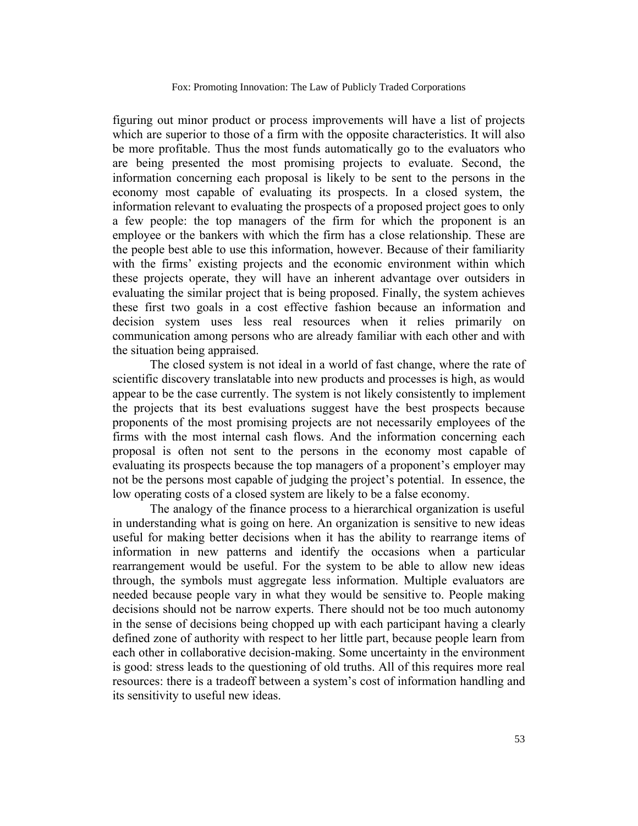figuring out minor product or process improvements will have a list of projects which are superior to those of a firm with the opposite characteristics. It will also be more profitable. Thus the most funds automatically go to the evaluators who are being presented the most promising projects to evaluate. Second, the information concerning each proposal is likely to be sent to the persons in the economy most capable of evaluating its prospects. In a closed system, the information relevant to evaluating the prospects of a proposed project goes to only a few people: the top managers of the firm for which the proponent is an employee or the bankers with which the firm has a close relationship. These are the people best able to use this information, however. Because of their familiarity with the firms' existing projects and the economic environment within which these projects operate, they will have an inherent advantage over outsiders in evaluating the similar project that is being proposed. Finally, the system achieves these first two goals in a cost effective fashion because an information and decision system uses less real resources when it relies primarily on communication among persons who are already familiar with each other and with the situation being appraised.

The closed system is not ideal in a world of fast change, where the rate of scientific discovery translatable into new products and processes is high, as would appear to be the case currently. The system is not likely consistently to implement the projects that its best evaluations suggest have the best prospects because proponents of the most promising projects are not necessarily employees of the firms with the most internal cash flows. And the information concerning each proposal is often not sent to the persons in the economy most capable of evaluating its prospects because the top managers of a proponent's employer may not be the persons most capable of judging the project's potential. In essence, the low operating costs of a closed system are likely to be a false economy.

The analogy of the finance process to a hierarchical organization is useful in understanding what is going on here. An organization is sensitive to new ideas useful for making better decisions when it has the ability to rearrange items of information in new patterns and identify the occasions when a particular rearrangement would be useful. For the system to be able to allow new ideas through, the symbols must aggregate less information. Multiple evaluators are needed because people vary in what they would be sensitive to. People making decisions should not be narrow experts. There should not be too much autonomy in the sense of decisions being chopped up with each participant having a clearly defined zone of authority with respect to her little part, because people learn from each other in collaborative decision-making. Some uncertainty in the environment is good: stress leads to the questioning of old truths. All of this requires more real resources: there is a tradeoff between a system's cost of information handling and its sensitivity to useful new ideas.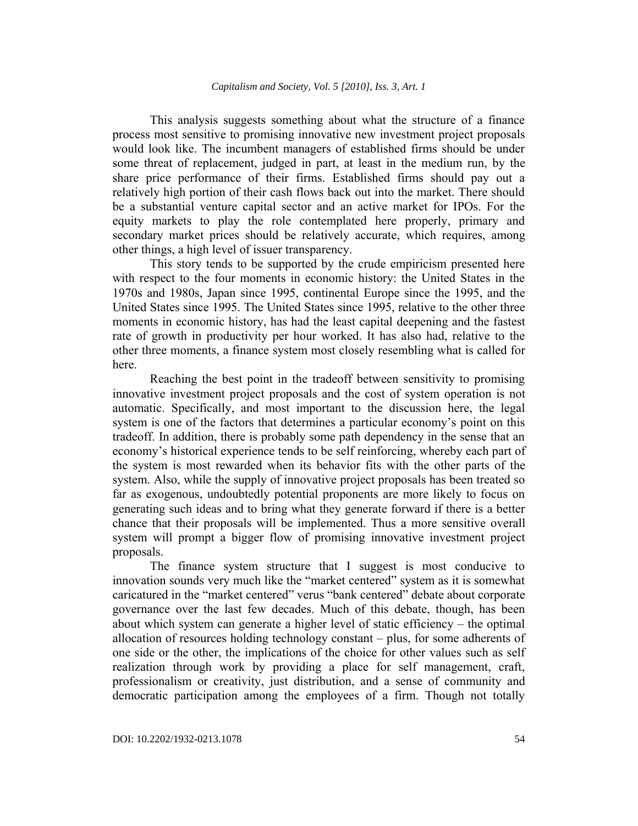This analysis suggests something about what the structure of a finance process most sensitive to promising innovative new investment project proposals would look like. The incumbent managers of established firms should be under some threat of replacement, judged in part, at least in the medium run, by the share price performance of their firms. Established firms should pay out a relatively high portion of their cash flows back out into the market. There should be a substantial venture capital sector and an active market for IPOs. For the equity markets to play the role contemplated here properly, primary and secondary market prices should be relatively accurate, which requires, among other things, a high level of issuer transparency.

This story tends to be supported by the crude empiricism presented here with respect to the four moments in economic history: the United States in the 1970s and 1980s, Japan since 1995, continental Europe since the 1995, and the United States since 1995. The United States since 1995, relative to the other three moments in economic history, has had the least capital deepening and the fastest rate of growth in productivity per hour worked. It has also had, relative to the other three moments, a finance system most closely resembling what is called for here.

Reaching the best point in the tradeoff between sensitivity to promising innovative investment project proposals and the cost of system operation is not automatic. Specifically, and most important to the discussion here, the legal system is one of the factors that determines a particular economy's point on this tradeoff. In addition, there is probably some path dependency in the sense that an economy's historical experience tends to be self reinforcing, whereby each part of the system is most rewarded when its behavior fits with the other parts of the system. Also, while the supply of innovative project proposals has been treated so far as exogenous, undoubtedly potential proponents are more likely to focus on generating such ideas and to bring what they generate forward if there is a better chance that their proposals will be implemented. Thus a more sensitive overall system will prompt a bigger flow of promising innovative investment project proposals.

The finance system structure that I suggest is most conducive to innovation sounds very much like the "market centered" system as it is somewhat caricatured in the "market centered" verus "bank centered" debate about corporate governance over the last few decades. Much of this debate, though, has been about which system can generate a higher level of static efficiency – the optimal allocation of resources holding technology constant – plus, for some adherents of one side or the other, the implications of the choice for other values such as self realization through work by providing a place for self management, craft, professionalism or creativity, just distribution, and a sense of community and democratic participation among the employees of a firm. Though not totally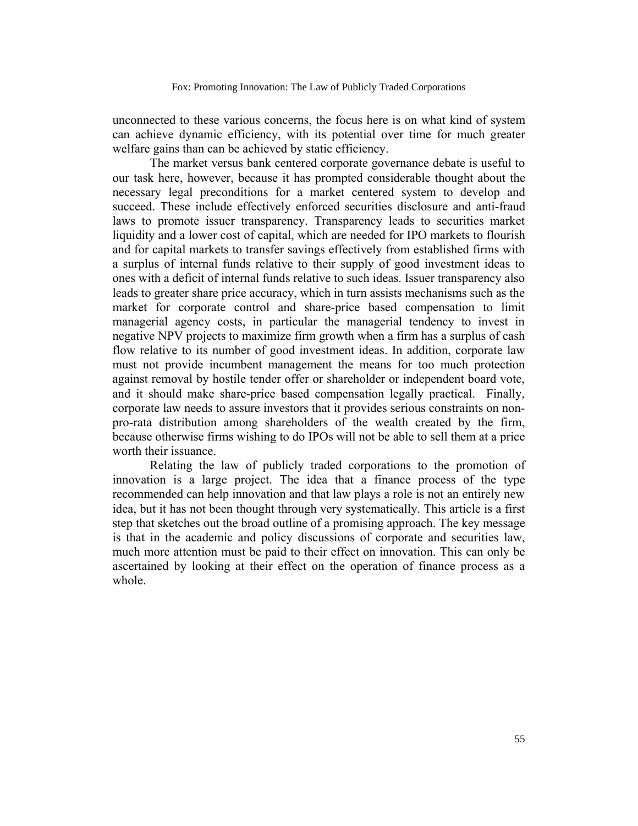unconnected to these various concerns, the focus here is on what kind of system can achieve dynamic efficiency, with its potential over time for much greater welfare gains than can be achieved by static efficiency.

The market versus bank centered corporate governance debate is useful to our task here, however, because it has prompted considerable thought about the necessary legal preconditions for a market centered system to develop and succeed. These include effectively enforced securities disclosure and anti-fraud laws to promote issuer transparency. Transparency leads to securities market liquidity and a lower cost of capital, which are needed for IPO markets to flourish and for capital markets to transfer savings effectively from established firms with a surplus of internal funds relative to their supply of good investment ideas to ones with a deficit of internal funds relative to such ideas. Issuer transparency also leads to greater share price accuracy, which in turn assists mechanisms such as the market for corporate control and share-price based compensation to limit managerial agency costs, in particular the managerial tendency to invest in negative NPV projects to maximize firm growth when a firm has a surplus of cash flow relative to its number of good investment ideas. In addition, corporate law must not provide incumbent management the means for too much protection against removal by hostile tender offer or shareholder or independent board vote, and it should make share-price based compensation legally practical. Finally, corporate law needs to assure investors that it provides serious constraints on nonpro-rata distribution among shareholders of the wealth created by the firm, because otherwise firms wishing to do IPOs will not be able to sell them at a price worth their issuance.

Relating the law of publicly traded corporations to the promotion of innovation is a large project. The idea that a finance process of the type recommended can help innovation and that law plays a role is not an entirely new idea, but it has not been thought through very systematically. This article is a first step that sketches out the broad outline of a promising approach. The key message is that in the academic and policy discussions of corporate and securities law, much more attention must be paid to their effect on innovation. This can only be ascertained by looking at their effect on the operation of finance process as a whole.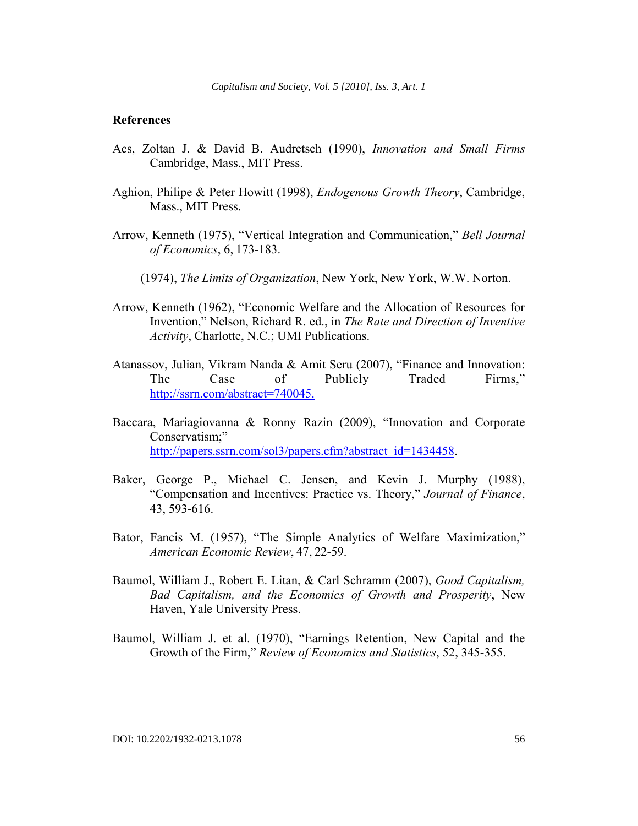#### **References**

- Acs, Zoltan J. & David B. Audretsch (1990), *Innovation and Small Firms* Cambridge, Mass., MIT Press.
- Aghion, Philipe & Peter Howitt (1998), *Endogenous Growth Theory*, Cambridge, Mass., MIT Press.
- Arrow, Kenneth (1975), "Vertical Integration and Communication," *Bell Journal of Economics*, 6, 173-183.
- —— (1974), *The Limits of Organization*, New York, New York, W.W. Norton.
- Arrow, Kenneth (1962), "Economic Welfare and the Allocation of Resources for Invention," Nelson, Richard R. ed., in *The Rate and Direction of Inventive Activity*, Charlotte, N.C.; UMI Publications.
- Atanassov, Julian, Vikram Nanda & Amit Seru (2007), "Finance and Innovation: The Case of Publicly Traded Firms," http://ssrn.com/abstract=740045.
- Baccara, Mariagiovanna & Ronny Razin (2009), "Innovation and Corporate Conservatism;" http://papers.ssrn.com/sol3/papers.cfm?abstract\_id=1434458.
- Baker, George P., Michael C. Jensen, and Kevin J. Murphy (1988), "Compensation and Incentives: Practice vs. Theory," *Journal of Finance*, 43, 593-616.
- Bator, Fancis M. (1957), "The Simple Analytics of Welfare Maximization," *American Economic Review*, 47, 22-59.
- Baumol, William J., Robert E. Litan, & Carl Schramm (2007), *Good Capitalism, Bad Capitalism, and the Economics of Growth and Prosperity*, New Haven, Yale University Press.
- Baumol, William J. et al. (1970), "Earnings Retention, New Capital and the Growth of the Firm," *Review of Economics and Statistics*, 52, 345-355.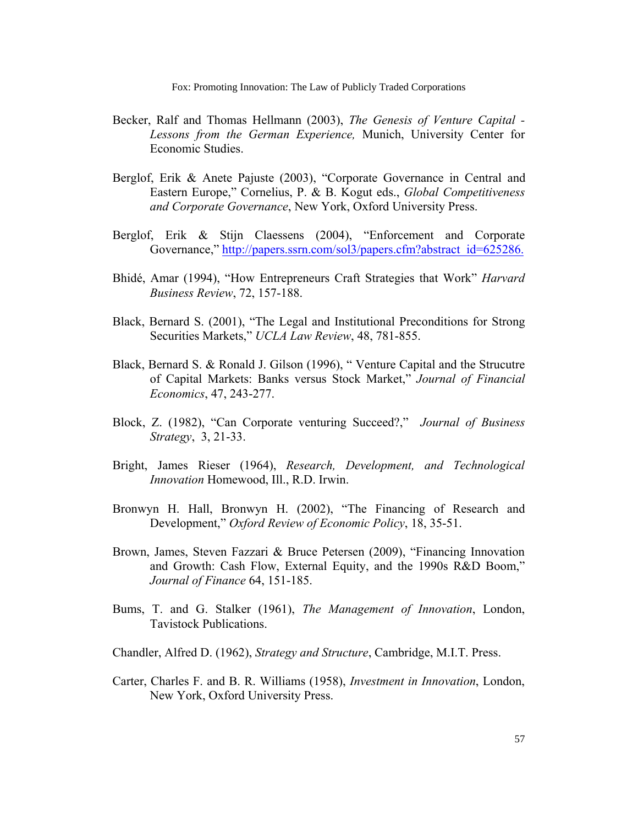- Becker, Ralf and Thomas Hellmann (2003), *The Genesis of Venture Capital Lessons from the German Experience,* Munich, University Center for Economic Studies.
- Berglof, Erik & Anete Pajuste (2003), "Corporate Governance in Central and Eastern Europe," Cornelius, P. & B. Kogut eds., *Global Competitiveness and Corporate Governance*, New York, Oxford University Press.
- Berglof, Erik & Stijn Claessens (2004), "Enforcement and Corporate Governance," http://papers.ssrn.com/sol3/papers.cfm?abstract\_id=625286.
- Bhidé, Amar (1994), "How Entrepreneurs Craft Strategies that Work" *Harvard Business Review*, 72, 157-188.
- Black, Bernard S. (2001), "The Legal and Institutional Preconditions for Strong Securities Markets," *UCLA Law Review*, 48, 781-855.
- Black, Bernard S. & Ronald J. Gilson (1996), " Venture Capital and the Strucutre of Capital Markets: Banks versus Stock Market," *Journal of Financial Economics*, 47, 243-277.
- Block, Z. (1982), "Can Corporate venturing Succeed?," *Journal of Business Strategy*, 3, 21-33.
- Bright, James Rieser (1964), *Research, Development, and Technological Innovation* Homewood, Ill., R.D. Irwin.
- Bronwyn H. Hall, Bronwyn H. (2002), "The Financing of Research and Development," *Oxford Review of Economic Policy*, 18, 35-51.
- Brown, James, Steven Fazzari & Bruce Petersen (2009), "Financing Innovation and Growth: Cash Flow, External Equity, and the 1990s R&D Boom," *Journal of Finance* 64, 151-185.
- Bums, T. and G. Stalker (1961), *The Management of Innovation*, London, Tavistock Publications.
- Chandler, Alfred D. (1962), *Strategy and Structure*, Cambridge, M.I.T. Press.
- Carter, Charles F. and B. R. Williams (1958), *Investment in Innovation*, London, New York, Oxford University Press.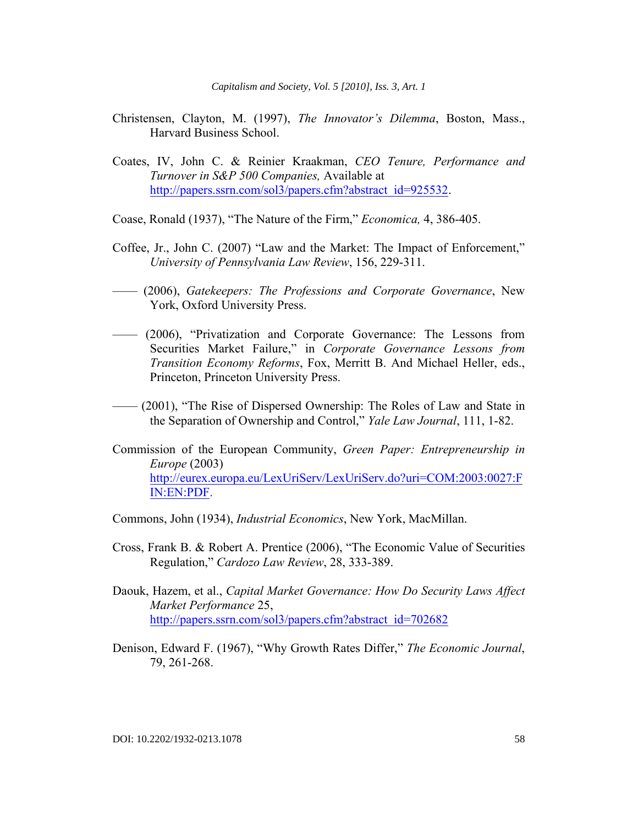*Capitalism and Society, Vol. 5 [2010], Iss. 3, Art. 1*

- Christensen, Clayton, M. (1997), *The Innovator's Dilemma*, Boston, Mass., Harvard Business School.
- Coates, IV, John C. & Reinier Kraakman, *CEO Tenure, Performance and Turnover in S&P 500 Companies,* Available at http://papers.ssrn.com/sol3/papers.cfm?abstract\_id=925532.
- Coase, Ronald (1937), "The Nature of the Firm," *Economica,* 4, 386-405.
- Coffee, Jr., John C. (2007) "Law and the Market: The Impact of Enforcement," *University of Pennsylvania Law Review*, 156, 229-311.
- —— (2006), *Gatekeepers: The Professions and Corporate Governance*, New York, Oxford University Press.
- —— (2006), "Privatization and Corporate Governance: The Lessons from Securities Market Failure," in *Corporate Governance Lessons from Transition Economy Reforms*, Fox, Merritt B. And Michael Heller, eds., Princeton, Princeton University Press.
- —— (2001), "The Rise of Dispersed Ownership: The Roles of Law and State in the Separation of Ownership and Control," *Yale Law Journal*, 111, 1-82.
- Commission of the European Community, *Green Paper: Entrepreneurship in Europe* (2003) http://eurex.europa.eu/LexUriServ/LexUriServ.do?uri=COM:2003:0027:F IN:EN:PDF.
- Commons, John (1934), *Industrial Economics*, New York, MacMillan.
- Cross, Frank B. & Robert A. Prentice (2006), "The Economic Value of Securities Regulation," *Cardozo Law Review*, 28, 333-389.
- Daouk, Hazem, et al., *Capital Market Governance: How Do Security Laws Affect Market Performance* 25, http://papers.ssrn.com/sol3/papers.cfm?abstract\_id=702682
- Denison, Edward F. (1967), "Why Growth Rates Differ," *The Economic Journal*, 79, 261-268.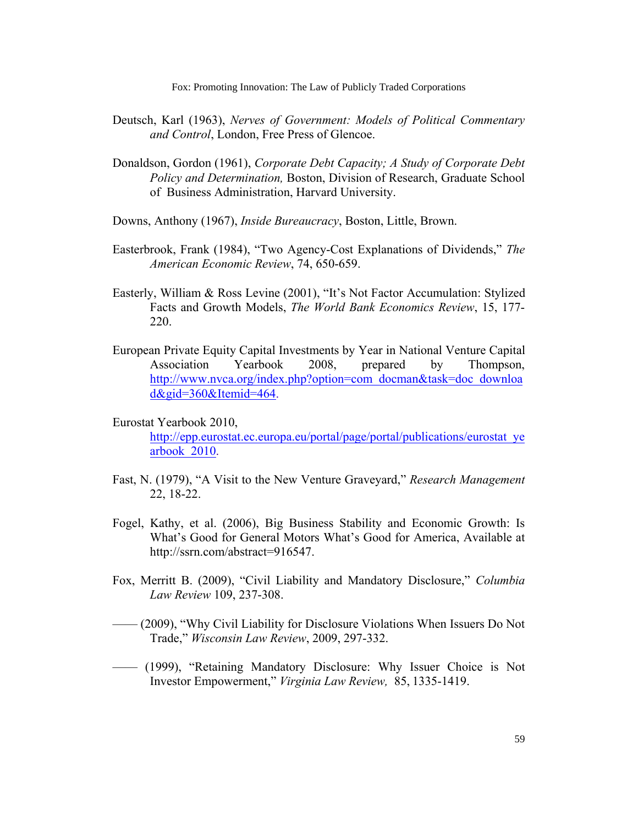- Deutsch, Karl (1963), *Nerves of Government: Models of Political Commentary and Control*, London, Free Press of Glencoe.
- Donaldson, Gordon (1961), *Corporate Debt Capacity; A Study of Corporate Debt Policy and Determination,* Boston, Division of Research, Graduate School of Business Administration, Harvard University.

Downs, Anthony (1967), *Inside Bureaucracy*, Boston, Little, Brown.

- Easterbrook, Frank (1984), "Two Agency-Cost Explanations of Dividends," *The American Economic Review*, 74, 650-659.
- Easterly, William & Ross Levine (2001), "It's Not Factor Accumulation: Stylized Facts and Growth Models, *The World Bank Economics Review*, 15, 177- 220.
- European Private Equity Capital Investments by Year in National Venture Capital Association Yearbook 2008, prepared by Thompson, http://www.nvca.org/index.php?option=com\_docman&task=doc\_downloa d&gid=360&Itemid=464.
- Eurostat Yearbook 2010, http://epp.eurostat.ec.europa.eu/portal/page/portal/publications/eurostat\_ye\_ arbook\_2010.
- Fast, N. (1979), "A Visit to the New Venture Graveyard," *Research Management*  22, 18-22.
- Fogel, Kathy, et al. (2006), Big Business Stability and Economic Growth: Is What's Good for General Motors What's Good for America, Available at http://ssrn.com/abstract=916547.
- Fox, Merritt B. (2009), "Civil Liability and Mandatory Disclosure," *Columbia Law Review* 109, 237-308.
- —— (2009), "Why Civil Liability for Disclosure Violations When Issuers Do Not Trade," *Wisconsin Law Review*, 2009, 297-332.
- —— (1999), "Retaining Mandatory Disclosure: Why Issuer Choice is Not Investor Empowerment," *Virginia Law Review,* 85, 1335-1419.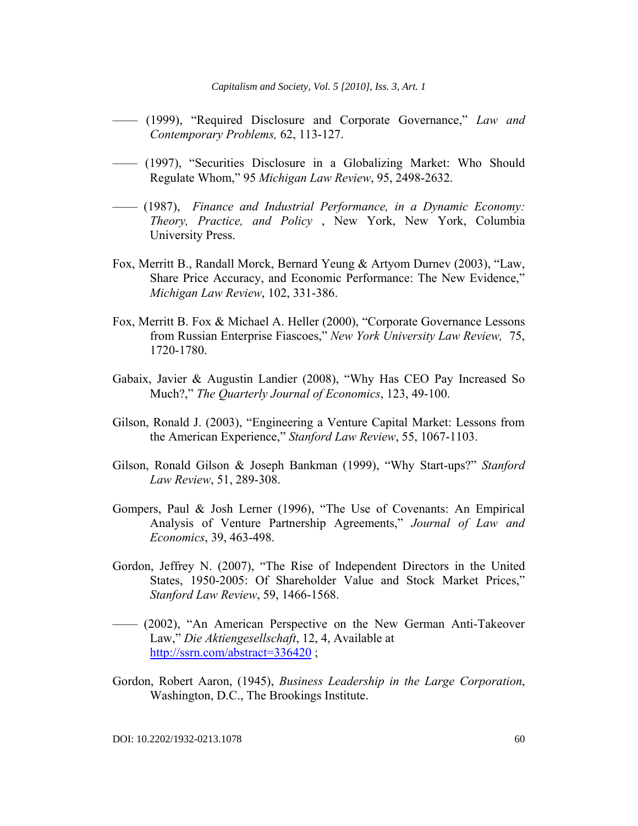*Capitalism and Society, Vol. 5 [2010], Iss. 3, Art. 1*

- —— (1999), "Required Disclosure and Corporate Governance," *Law and Contemporary Problems,* 62, 113-127.
- —— (1997), "Securities Disclosure in a Globalizing Market: Who Should Regulate Whom," 95 *Michigan Law Review*, 95, 2498-2632.
- —— (1987), *Finance and Industrial Performance, in a Dynamic Economy: Theory, Practice, and Policy* , New York, New York, Columbia University Press.
- Fox, Merritt B., Randall Morck, Bernard Yeung & Artyom Durnev (2003), "Law, Share Price Accuracy, and Economic Performance: The New Evidence," *Michigan Law Review*, 102, 331-386.
- Fox, Merritt B. Fox & Michael A. Heller (2000), "Corporate Governance Lessons from Russian Enterprise Fiascoes," *New York University Law Review,* 75, 1720-1780.
- Gabaix, Javier & Augustin Landier (2008), "Why Has CEO Pay Increased So Much?," *The Quarterly Journal of Economics*, 123, 49-100.
- Gilson, Ronald J. (2003), "Engineering a Venture Capital Market: Lessons from the American Experience," *Stanford Law Review*, 55, 1067-1103.
- Gilson, Ronald Gilson & Joseph Bankman (1999), "Why Start-ups?" *Stanford Law Review*, 51, 289-308.
- Gompers, Paul & Josh Lerner (1996), "The Use of Covenants: An Empirical Analysis of Venture Partnership Agreements," *Journal of Law and Economics*, 39, 463-498.
- Gordon, Jeffrey N. (2007), "The Rise of Independent Directors in the United States, 1950-2005: Of Shareholder Value and Stock Market Prices," *Stanford Law Review*, 59, 1466-1568.
- —— (2002), "An American Perspective on the New German Anti-Takeover Law," *Die Aktiengesellschaft*, 12, 4, Available at http://ssrn.com/abstract=336420;
- Gordon, Robert Aaron, (1945), *Business Leadership in the Large Corporation*, Washington, D.C., The Brookings Institute.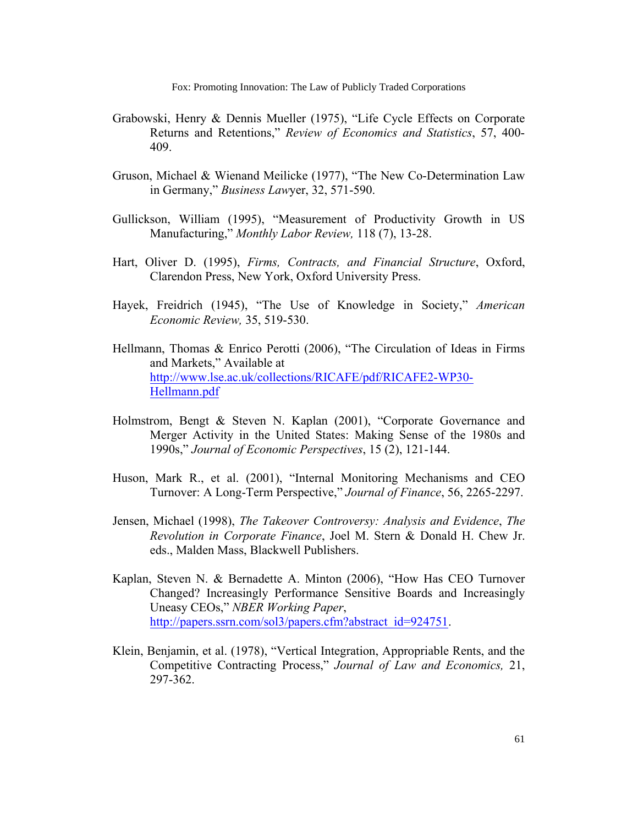- Grabowski, Henry & Dennis Mueller (1975), "Life Cycle Effects on Corporate Returns and Retentions," *Review of Economics and Statistics*, 57, 400- 409.
- Gruson, Michael & Wienand Meilicke (1977), "The New Co-Determination Law in Germany," *Business Law*yer, 32, 571-590.
- Gullickson, William (1995), "Measurement of Productivity Growth in US Manufacturing," *Monthly Labor Review,* 118 (7), 13-28.
- Hart, Oliver D. (1995), *Firms, Contracts, and Financial Structure*, Oxford, Clarendon Press, New York, Oxford University Press.
- Hayek, Freidrich (1945), "The Use of Knowledge in Society," *American Economic Review,* 35, 519-530.
- Hellmann, Thomas & Enrico Perotti (2006), "The Circulation of Ideas in Firms and Markets," Available at http://www.lse.ac.uk/collections/RICAFE/pdf/RICAFE2-WP30- Hellmann.pdf
- Holmstrom, Bengt & Steven N. Kaplan (2001), "Corporate Governance and Merger Activity in the United States: Making Sense of the 1980s and 1990s," *Journal of Economic Perspectives*, 15 (2), 121-144.
- Huson, Mark R., et al. (2001), "Internal Monitoring Mechanisms and CEO Turnover: A Long-Term Perspective," *Journal of Finance*, 56, 2265-2297.
- Jensen, Michael (1998), *The Takeover Controversy: Analysis and Evidence*, *The Revolution in Corporate Finance*, Joel M. Stern & Donald H. Chew Jr. eds., Malden Mass, Blackwell Publishers.
- Kaplan, Steven N. & Bernadette A. Minton (2006), "How Has CEO Turnover Changed? Increasingly Performance Sensitive Boards and Increasingly Uneasy CEOs," *NBER Working Paper*, http://papers.ssrn.com/sol3/papers.cfm?abstract\_id=924751.
- Klein, Benjamin, et al. (1978), "Vertical Integration, Appropriable Rents, and the Competitive Contracting Process," *Journal of Law and Economics,* 21, 297-362.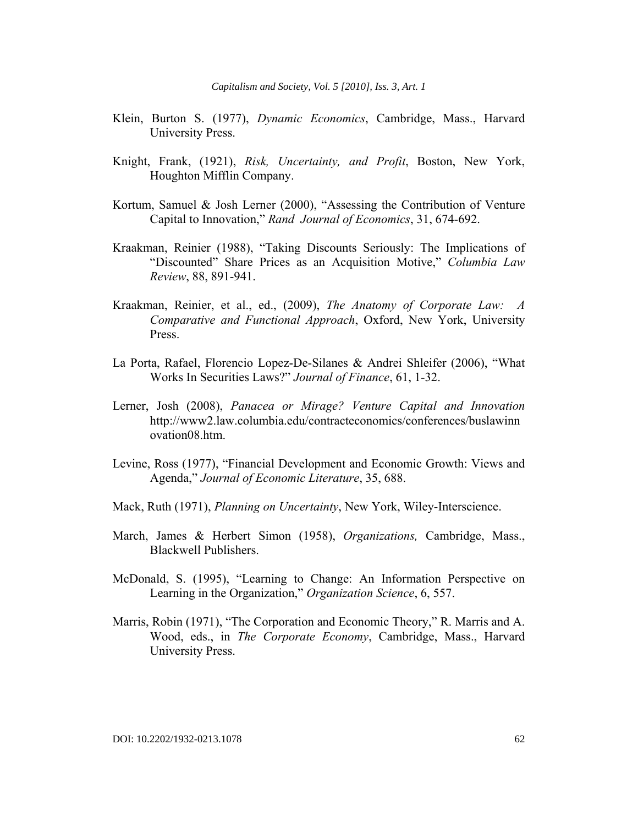- Klein, Burton S. (1977), *Dynamic Economics*, Cambridge, Mass., Harvard University Press.
- Knight, Frank, (1921), *Risk, Uncertainty, and Profit*, Boston, New York, Houghton Mifflin Company.
- Kortum, Samuel & Josh Lerner (2000), "Assessing the Contribution of Venture Capital to Innovation," *Rand Journal of Economics*, 31, 674-692.
- Kraakman, Reinier (1988), "Taking Discounts Seriously: The Implications of "Discounted" Share Prices as an Acquisition Motive," *Columbia Law Review*, 88, 891-941.
- Kraakman, Reinier, et al., ed., (2009), *The Anatomy of Corporate Law: A Comparative and Functional Approach*, Oxford, New York, University Press.
- La Porta, Rafael, Florencio Lopez-De-Silanes & Andrei Shleifer (2006), "What Works In Securities Laws?" *Journal of Finance*, 61, 1-32.
- Lerner, Josh (2008), *Panacea or Mirage? Venture Capital and Innovation*  http://www2.law.columbia.edu/contracteconomics/conferences/buslawinn ovation08.htm.
- Levine, Ross (1977), "Financial Development and Economic Growth: Views and Agenda," *Journal of Economic Literature*, 35, 688.
- Mack, Ruth (1971), *Planning on Uncertainty*, New York, Wiley-Interscience.
- March, James & Herbert Simon (1958), *Organizations,* Cambridge, Mass., Blackwell Publishers.
- McDonald, S. (1995), "Learning to Change: An Information Perspective on Learning in the Organization," *Organization Science*, 6, 557.
- Marris, Robin (1971), "The Corporation and Economic Theory," R. Marris and A. Wood, eds., in *The Corporate Economy*, Cambridge, Mass., Harvard University Press.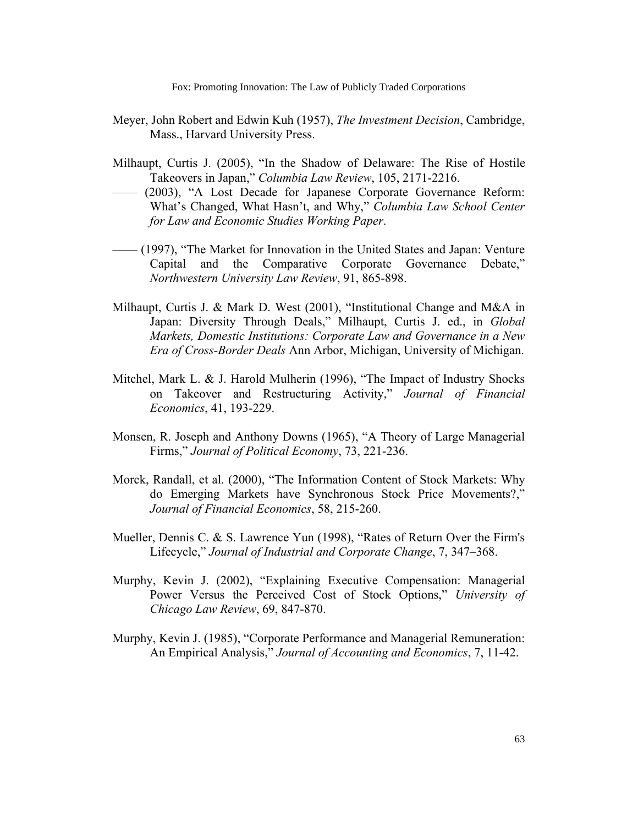- Meyer, John Robert and Edwin Kuh (1957), *The Investment Decision*, Cambridge, Mass., Harvard University Press.
- Milhaupt, Curtis J. (2005), "In the Shadow of Delaware: The Rise of Hostile Takeovers in Japan," *Columbia Law Review*, 105, 2171-2216.
- —— (2003), "A Lost Decade for Japanese Corporate Governance Reform: What's Changed, What Hasn't, and Why," *Columbia Law School Center for Law and Economic Studies Working Paper*.
- —— (1997), "The Market for Innovation in the United States and Japan: Venture Capital and the Comparative Corporate Governance Debate," *Northwestern University Law Review*, 91, 865-898.
- Milhaupt, Curtis J. & Mark D. West (2001), "Institutional Change and M&A in Japan: Diversity Through Deals," Milhaupt, Curtis J. ed., in *Global Markets, Domestic Institutions: Corporate Law and Governance in a New Era of Cross-Border Deals* Ann Arbor, Michigan, University of Michigan.
- Mitchel, Mark L. & J. Harold Mulherin (1996), "The Impact of Industry Shocks on Takeover and Restructuring Activity," *Journal of Financial Economics*, 41, 193-229.
- Monsen, R. Joseph and Anthony Downs (1965), "A Theory of Large Managerial Firms," *Journal of Political Economy*, 73, 221-236.
- Morck, Randall, et al. (2000), "The Information Content of Stock Markets: Why do Emerging Markets have Synchronous Stock Price Movements?," *Journal of Financial Economics*, 58, 215-260.
- Mueller, Dennis C. & S. Lawrence Yun (1998), "Rates of Return Over the Firm's Lifecycle," *Journal of Industrial and Corporate Change*, 7, 347–368.
- Murphy, Kevin J. (2002), "Explaining Executive Compensation: Managerial Power Versus the Perceived Cost of Stock Options," *University of Chicago Law Review*, 69, 847-870.
- Murphy, Kevin J. (1985), "Corporate Performance and Managerial Remuneration: An Empirical Analysis," *Journal of Accounting and Economics*, 7, 11-42.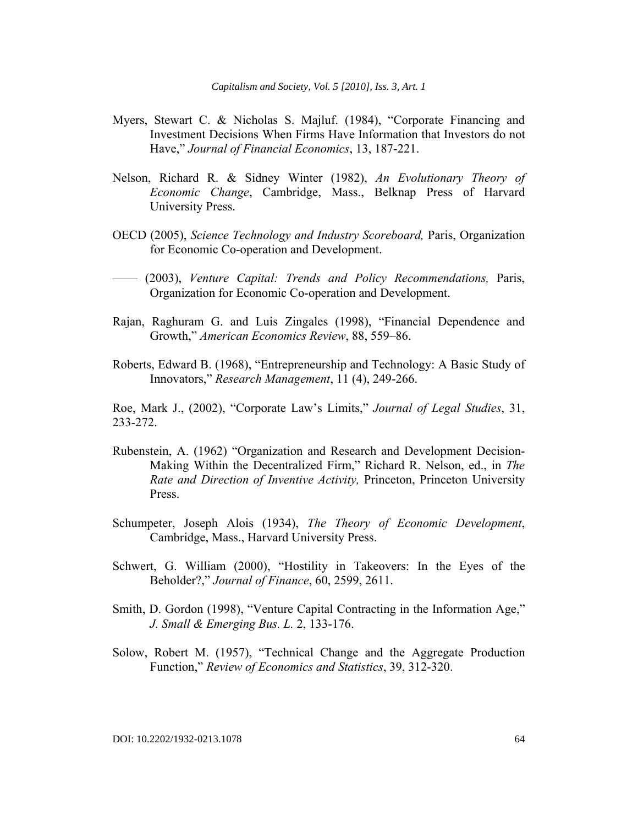- Myers, Stewart C. & Nicholas S. Majluf. (1984), "Corporate Financing and Investment Decisions When Firms Have Information that Investors do not Have," *Journal of Financial Economics*, 13, 187-221.
- Nelson, Richard R. & Sidney Winter (1982), *An Evolutionary Theory of Economic Change*, Cambridge, Mass., Belknap Press of Harvard University Press.
- OECD (2005), *Science Technology and Industry Scoreboard,* Paris, Organization for Economic Co-operation and Development.
- —— (2003), *Venture Capital: Trends and Policy Recommendations,* Paris, Organization for Economic Co-operation and Development.
- Rajan, Raghuram G. and Luis Zingales (1998), "Financial Dependence and Growth," *American Economics Review*, 88, 559–86.
- Roberts, Edward B. (1968), "Entrepreneurship and Technology: A Basic Study of Innovators," *Research Management*, 11 (4), 249-266.

Roe, Mark J., (2002), "Corporate Law's Limits," *Journal of Legal Studies*, 31, 233-272.

- Rubenstein, A. (1962) "Organization and Research and Development Decision-Making Within the Decentralized Firm," Richard R. Nelson, ed., in *The Rate and Direction of Inventive Activity,* Princeton, Princeton University Press.
- Schumpeter, Joseph Alois (1934), *The Theory of Economic Development*, Cambridge, Mass., Harvard University Press.
- Schwert, G. William (2000), "Hostility in Takeovers: In the Eyes of the Beholder?," *Journal of Finance*, 60, 2599, 2611.
- Smith, D. Gordon (1998), "Venture Capital Contracting in the Information Age," *J. Small & Emerging Bus. L.* 2, 133-176.
- Solow, Robert M. (1957), "Technical Change and the Aggregate Production Function," *Review of Economics and Statistics*, 39, 312-320.